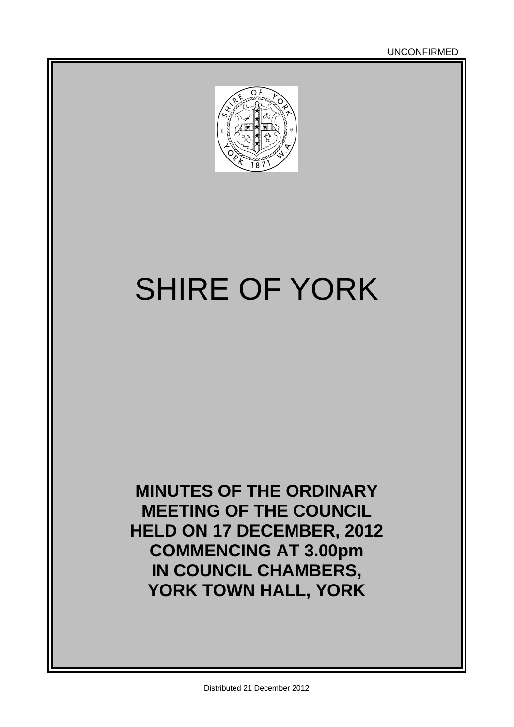

# SHIRE OF YORK

**MINUTES OF THE ORDINARY MEETING OF THE COUNCIL HELD ON 17 DECEMBER, 2012 COMMENCING AT 3.00pm IN COUNCIL CHAMBERS, YORK TOWN HALL, YORK**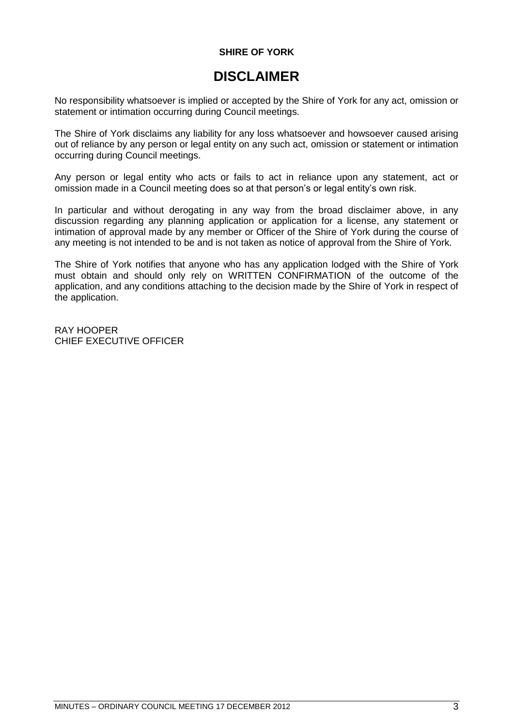### **SHIRE OF YORK**

# **DISCLAIMER**

No responsibility whatsoever is implied or accepted by the Shire of York for any act, omission or statement or intimation occurring during Council meetings.

The Shire of York disclaims any liability for any loss whatsoever and howsoever caused arising out of reliance by any person or legal entity on any such act, omission or statement or intimation occurring during Council meetings.

Any person or legal entity who acts or fails to act in reliance upon any statement, act or omission made in a Council meeting does so at that person's or legal entity's own risk.

In particular and without derogating in any way from the broad disclaimer above, in any discussion regarding any planning application or application for a license, any statement or intimation of approval made by any member or Officer of the Shire of York during the course of any meeting is not intended to be and is not taken as notice of approval from the Shire of York.

The Shire of York notifies that anyone who has any application lodged with the Shire of York must obtain and should only rely on WRITTEN CONFIRMATION of the outcome of the application, and any conditions attaching to the decision made by the Shire of York in respect of the application.

RAY HOOPER CHIEF EXECUTIVE OFFICER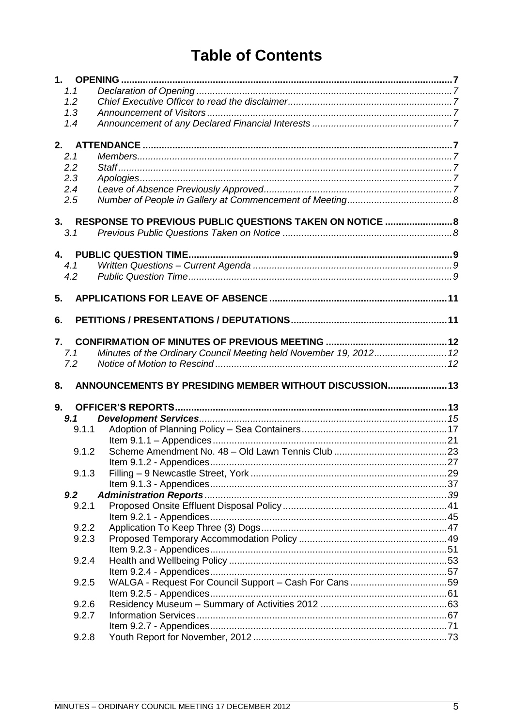# **Table of Contents**

|                  | 1.1   |                                                                   |  |
|------------------|-------|-------------------------------------------------------------------|--|
|                  | 1.2   |                                                                   |  |
|                  | 1.3   |                                                                   |  |
|                  | 1.4   |                                                                   |  |
| 2.               |       |                                                                   |  |
|                  | 2.1   |                                                                   |  |
|                  | 2.2   |                                                                   |  |
|                  | 2.3   |                                                                   |  |
|                  | 2.4   |                                                                   |  |
|                  | 2.5   |                                                                   |  |
| 3.               |       | RESPONSE TO PREVIOUS PUBLIC QUESTIONS TAKEN ON NOTICE  8          |  |
|                  | 3.1   |                                                                   |  |
|                  |       |                                                                   |  |
| 4.               |       |                                                                   |  |
|                  | 4.1   |                                                                   |  |
|                  | 4.2   |                                                                   |  |
|                  |       |                                                                   |  |
| 5.               |       |                                                                   |  |
| 6.               |       |                                                                   |  |
|                  |       |                                                                   |  |
| $\mathbf{7}_{-}$ |       |                                                                   |  |
|                  | 7.1   | Minutes of the Ordinary Council Meeting held November 19, 2012 12 |  |
|                  | 7.2   |                                                                   |  |
|                  |       |                                                                   |  |
| 8.               |       | ANNOUNCEMENTS BY PRESIDING MEMBER WITHOUT DISCUSSION 13           |  |
| 9.               |       |                                                                   |  |
|                  | 9.1   |                                                                   |  |
|                  | 9.1.1 |                                                                   |  |
|                  |       |                                                                   |  |
|                  | 9.1.2 |                                                                   |  |
|                  |       |                                                                   |  |
|                  | 9.1.3 |                                                                   |  |
|                  |       |                                                                   |  |
|                  | 9.2   |                                                                   |  |
|                  | 9.2.1 |                                                                   |  |
|                  |       |                                                                   |  |
|                  | 9.2.2 |                                                                   |  |
|                  | 9.2.3 |                                                                   |  |
|                  |       |                                                                   |  |
|                  | 9.2.4 |                                                                   |  |
|                  |       |                                                                   |  |
|                  | 9.2.5 | WALGA - Request For Council Support - Cash For Cans59             |  |
|                  |       |                                                                   |  |
|                  | 9.2.6 |                                                                   |  |
|                  | 9.2.7 |                                                                   |  |
|                  |       |                                                                   |  |
|                  |       |                                                                   |  |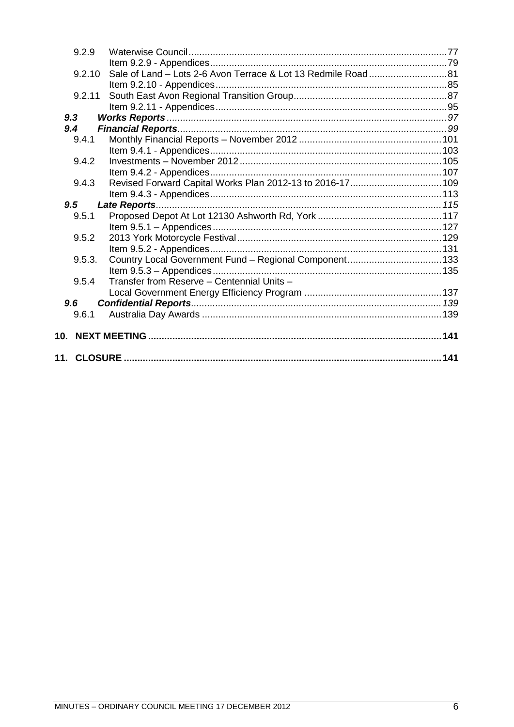|     | 9.2.9  |                                                           |  |
|-----|--------|-----------------------------------------------------------|--|
|     |        |                                                           |  |
|     | 9.2.10 |                                                           |  |
|     |        |                                                           |  |
|     | 9.2.11 |                                                           |  |
|     |        |                                                           |  |
|     | 9.3    |                                                           |  |
|     | 9.4    |                                                           |  |
|     | 9.4.1  |                                                           |  |
|     |        |                                                           |  |
|     | 9.4.2  |                                                           |  |
|     |        |                                                           |  |
|     | 9.4.3  | Revised Forward Capital Works Plan 2012-13 to 2016-17 109 |  |
|     |        |                                                           |  |
|     | 9.5    |                                                           |  |
|     | 9.5.1  |                                                           |  |
|     |        |                                                           |  |
|     | 9.5.2  |                                                           |  |
|     |        |                                                           |  |
|     | 9.5.3. |                                                           |  |
|     |        |                                                           |  |
|     | 9.5.4  | Transfer from Reserve - Centennial Units -                |  |
|     |        |                                                           |  |
|     | 9.6    |                                                           |  |
|     | 9.6.1  |                                                           |  |
|     |        |                                                           |  |
| 10. |        |                                                           |  |
|     |        |                                                           |  |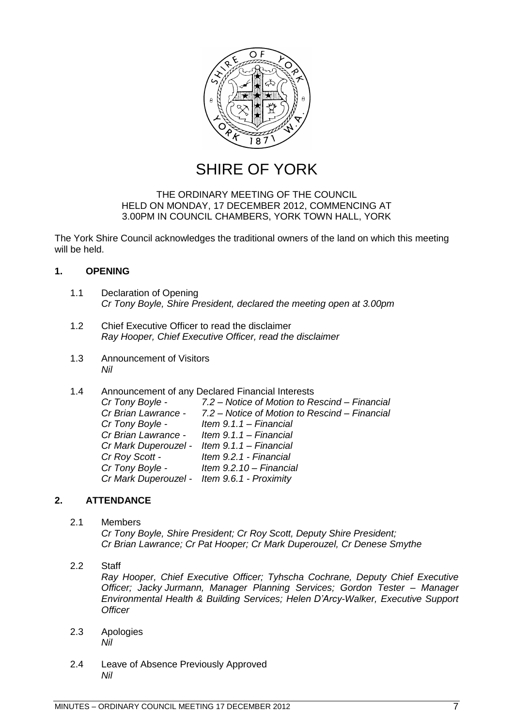

SHIRE OF YORK

### THE ORDINARY MEETING OF THE COUNCIL HELD ON MONDAY, 17 DECEMBER 2012, COMMENCING AT 3.00PM IN COUNCIL CHAMBERS, YORK TOWN HALL, YORK

The York Shire Council acknowledges the traditional owners of the land on which this meeting will be held.

### <span id="page-6-0"></span>**1. OPENING**

- <span id="page-6-1"></span>1.1 Declaration of Opening *Cr Tony Boyle, Shire President, declared the meeting open at 3.00pm*
- <span id="page-6-2"></span>1.2 Chief Executive Officer to read the disclaimer *Ray Hooper, Chief Executive Officer, read the disclaimer*
- <span id="page-6-3"></span>1.3 Announcement of Visitors *Nil*
- <span id="page-6-4"></span>1.4 Announcement of any Declared Financial Interests

| Cr Tony Boyle -                             | 7.2 – Notice of Motion to Rescind – Financial                     |
|---------------------------------------------|-------------------------------------------------------------------|
|                                             | Cr Brian Lawrance - 7.2 - Notice of Motion to Rescind - Financial |
| Cr Tony Boyle -                             | Item $9.1.1 - Financial$                                          |
| Cr Brian Lawrance - Item 9.1.1 - Financial  |                                                                   |
| Cr Mark Duperouzel - Item 9.1.1 - Financial |                                                                   |
| Cr Roy Scott -                              | Item 9.2.1 - Financial                                            |
|                                             | Cr Tony Boyle - Item 9.2.10 - Financial                           |
| Cr Mark Duperouzel - Item 9.6.1 - Proximity |                                                                   |
|                                             |                                                                   |

### <span id="page-6-5"></span>**2. ATTENDANCE**

### <span id="page-6-6"></span>2.1 Members *Cr Tony Boyle, Shire President; Cr Roy Scott, Deputy Shire President; Cr Brian Lawrance; Cr Pat Hooper; Cr Mark Duperouzel, Cr Denese Smythe*

- <span id="page-6-7"></span>2.2 Staff *Ray Hooper, Chief Executive Officer; Tyhscha Cochrane, Deputy Chief Executive Officer; Jacky Jurmann, Manager Planning Services; Gordon Tester – Manager Environmental Health & Building Services; Helen D'Arcy-Walker, Executive Support Officer*
- <span id="page-6-8"></span>2.3 Apologies *Nil*
- <span id="page-6-9"></span>2.4 Leave of Absence Previously Approved *Nil*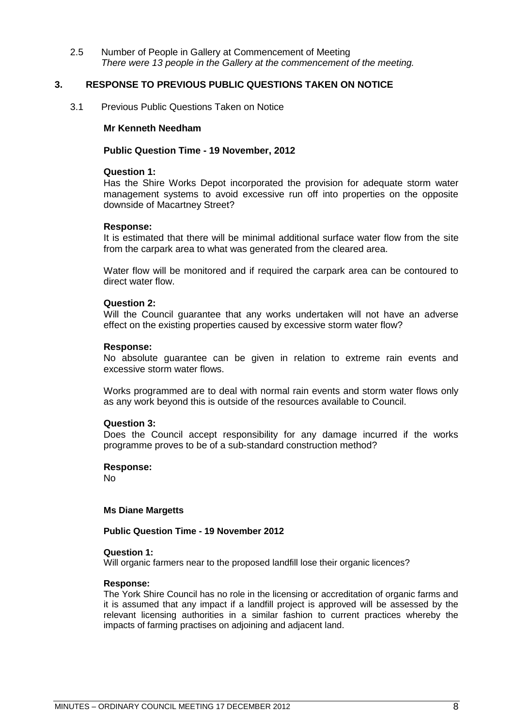<span id="page-7-0"></span>2.5 Number of People in Gallery at Commencement of Meeting *There were 13 people in the Gallery at the commencement of the meeting.* 

### <span id="page-7-1"></span>**3. RESPONSE TO PREVIOUS PUBLIC QUESTIONS TAKEN ON NOTICE**

<span id="page-7-2"></span>3.1 Previous Public Questions Taken on Notice

### **Mr Kenneth Needham**

### **Public Question Time - 19 November, 2012**

### **Question 1:**

Has the Shire Works Depot incorporated the provision for adequate storm water management systems to avoid excessive run off into properties on the opposite downside of Macartney Street?

### **Response:**

It is estimated that there will be minimal additional surface water flow from the site from the carpark area to what was generated from the cleared area.

Water flow will be monitored and if required the carpark area can be contoured to direct water flow.

### **Question 2:**

Will the Council guarantee that any works undertaken will not have an adverse effect on the existing properties caused by excessive storm water flow?

### **Response:**

No absolute guarantee can be given in relation to extreme rain events and excessive storm water flows.

Works programmed are to deal with normal rain events and storm water flows only as any work beyond this is outside of the resources available to Council.

### **Question 3:**

Does the Council accept responsibility for any damage incurred if the works programme proves to be of a sub-standard construction method?

### **Response:**

No

### **Ms Diane Margetts**

### **Public Question Time - 19 November 2012**

### **Question 1:**

Will organic farmers near to the proposed landfill lose their organic licences?

### **Response:**

The York Shire Council has no role in the licensing or accreditation of organic farms and it is assumed that any impact if a landfill project is approved will be assessed by the relevant licensing authorities in a similar fashion to current practices whereby the impacts of farming practises on adjoining and adjacent land.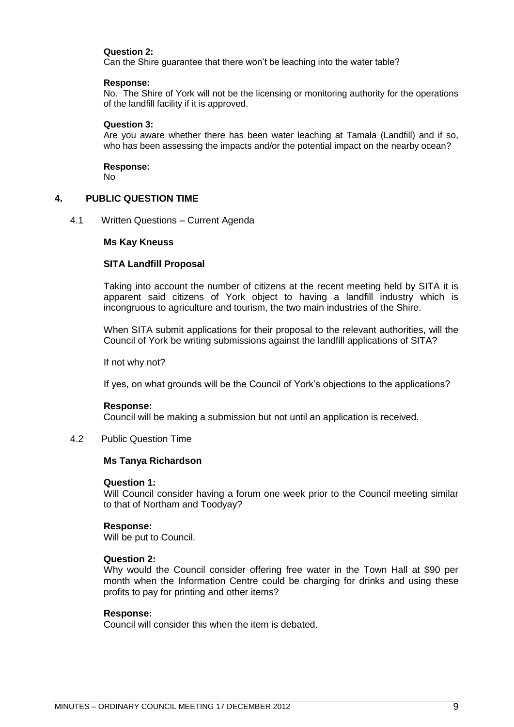### **Question 2:**

Can the Shire guarantee that there won't be leaching into the water table?

### **Response:**

No. The Shire of York will not be the licensing or monitoring authority for the operations of the landfill facility if it is approved.

### **Question 3:**

Are you aware whether there has been water leaching at Tamala (Landfill) and if so, who has been assessing the impacts and/or the potential impact on the nearby ocean?

**Response:** No

### <span id="page-8-0"></span>**4. PUBLIC QUESTION TIME**

### <span id="page-8-1"></span>4.1 Written Questions – Current Agenda

### **Ms Kay Kneuss**

### **SITA Landfill Proposal**

Taking into account the number of citizens at the recent meeting held by SITA it is apparent said citizens of York object to having a landfill industry which is incongruous to agriculture and tourism, the two main industries of the Shire.

When SITA submit applications for their proposal to the relevant authorities, will the Council of York be writing submissions against the landfill applications of SITA?

If not why not?

If yes, on what grounds will be the Council of York's objections to the applications?

### **Response:**

Council will be making a submission but not until an application is received.

<span id="page-8-2"></span>4.2 Public Question Time

### **Ms Tanya Richardson**

### **Question 1:**

Will Council consider having a forum one week prior to the Council meeting similar to that of Northam and Toodyay?

### **Response:**

Will be put to Council.

### **Question 2:**

Why would the Council consider offering free water in the Town Hall at \$90 per month when the Information Centre could be charging for drinks and using these profits to pay for printing and other items?

### **Response:**

Council will consider this when the item is debated.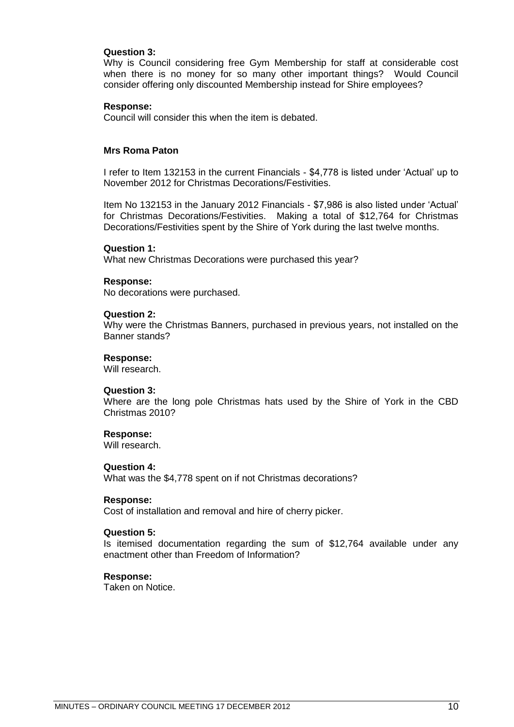### **Question 3:**

Why is Council considering free Gym Membership for staff at considerable cost when there is no money for so many other important things? Would Council consider offering only discounted Membership instead for Shire employees?

### **Response:**

Council will consider this when the item is debated.

### **Mrs Roma Paton**

I refer to Item 132153 in the current Financials - \$4,778 is listed under ‗Actual' up to November 2012 for Christmas Decorations/Festivities.

Item No 132153 in the January 2012 Financials - \$7,986 is also listed under ‗Actual' for Christmas Decorations/Festivities. Making a total of \$12,764 for Christmas Decorations/Festivities spent by the Shire of York during the last twelve months.

### **Question 1:**

What new Christmas Decorations were purchased this year?

### **Response:**

No decorations were purchased.

### **Question 2:**

Why were the Christmas Banners, purchased in previous years, not installed on the Banner stands?

### **Response:**

Will research.

### **Question 3:**

Where are the long pole Christmas hats used by the Shire of York in the CBD Christmas 2010?

### **Response:**

Will research.

### **Question 4:**

What was the \$4,778 spent on if not Christmas decorations?

#### **Response:**

Cost of installation and removal and hire of cherry picker.

### **Question 5:**

Is itemised documentation regarding the sum of \$12,764 available under any enactment other than Freedom of Information?

### **Response:**

Taken on Notice.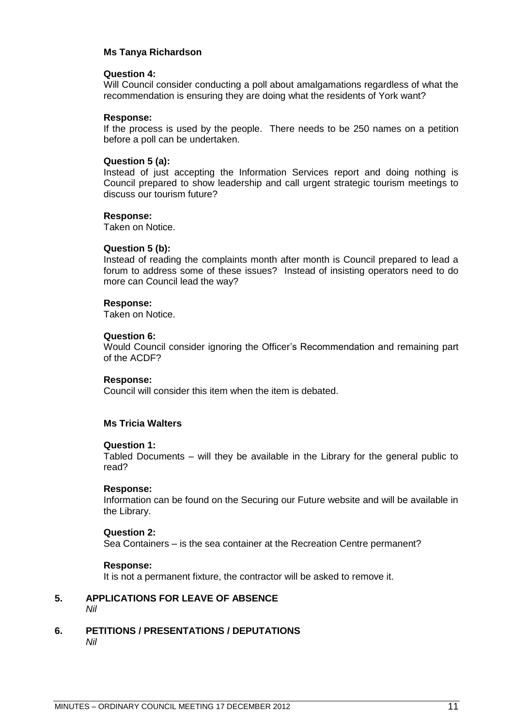### **Ms Tanya Richardson**

### **Question 4:**

Will Council consider conducting a poll about amalgamations regardless of what the recommendation is ensuring they are doing what the residents of York want?

### **Response:**

If the process is used by the people. There needs to be 250 names on a petition before a poll can be undertaken.

### **Question 5 (a):**

Instead of just accepting the Information Services report and doing nothing is Council prepared to show leadership and call urgent strategic tourism meetings to discuss our tourism future?

### **Response:**

Taken on Notice.

### **Question 5 (b):**

Instead of reading the complaints month after month is Council prepared to lead a forum to address some of these issues? Instead of insisting operators need to do more can Council lead the way?

### **Response:**

Taken on Notice.

### **Question 6:**

Would Council consider ignoring the Officer's Recommendation and remaining part of the ACDF?

### **Response:**

Council will consider this item when the item is debated.

### **Ms Tricia Walters**

### **Question 1:**

Tabled Documents – will they be available in the Library for the general public to read?

### **Response:**

Information can be found on the Securing our Future website and will be available in the Library.

### **Question 2:**

Sea Containers – is the sea container at the Recreation Centre permanent?

### **Response:**

It is not a permanent fixture, the contractor will be asked to remove it.

### <span id="page-10-0"></span>**5. APPLICATIONS FOR LEAVE OF ABSENCE**  *Nil*

<span id="page-10-1"></span>**6. PETITIONS / PRESENTATIONS / DEPUTATIONS** *Nil*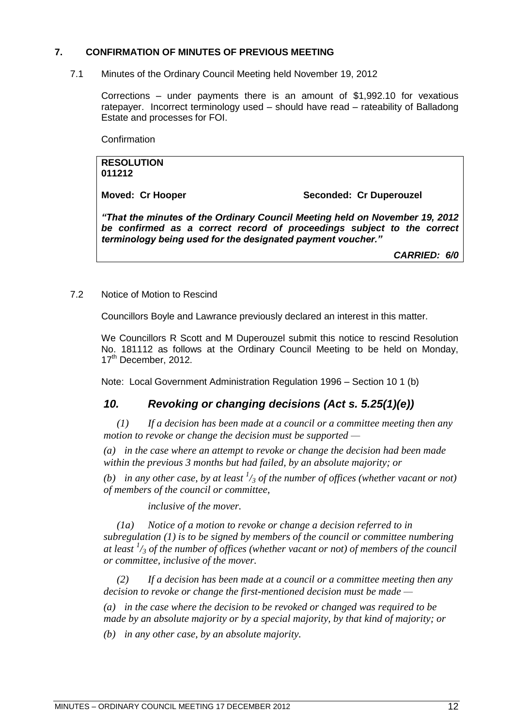### <span id="page-11-0"></span>**7. CONFIRMATION OF MINUTES OF PREVIOUS MEETING**

<span id="page-11-1"></span>7.1 Minutes of the Ordinary Council Meeting held November 19, 2012

Corrections – under payments there is an amount of \$1,992.10 for vexatious ratepayer. Incorrect terminology used – should have read – rateability of Balladong Estate and processes for FOI.

**Confirmation** 

### **RESOLUTION 011212**

**Moved: Cr Hooper Seconded: Cr Duperouzel**

*"That the minutes of the Ordinary Council Meeting held on November 19, 2012 be confirmed as a correct record of proceedings subject to the correct terminology being used for the designated payment voucher."*

*CARRIED: 6/0*

### <span id="page-11-2"></span>7.2 Notice of Motion to Rescind

Councillors Boyle and Lawrance previously declared an interest in this matter.

We Councillors R Scott and M Duperouzel submit this notice to rescind Resolution No. 181112 as follows at the Ordinary Council Meeting to be held on Monday, 17<sup>th</sup> December, 2012.

Note: Local Government Administration Regulation 1996 – Section 10 1 (b)

### *10. Revoking or changing decisions (Act s. 5.25(1)(e))*

*(1) If a decision has been made at a council or a committee meeting then any motion to revoke or change the decision must be supported —*

*(a) in the case where an attempt to revoke or change the decision had been made within the previous 3 months but had failed, by an absolute majority; or*

*(b) in any other case, by at least*  $\frac{1}{3}$  *of the number of offices (whether vacant or not) of members of the council or committee,*

*inclusive of the mover.*

*(1a) Notice of a motion to revoke or change a decision referred to in subregulation (1) is to be signed by members of the council or committee numbering at least <sup>1</sup> /<sup>3</sup> of the number of offices (whether vacant or not) of members of the council or committee, inclusive of the mover.*

*(2) If a decision has been made at a council or a committee meeting then any decision to revoke or change the first-mentioned decision must be made —*

*(a) in the case where the decision to be revoked or changed was required to be made by an absolute majority or by a special majority, by that kind of majority; or*

*(b) in any other case, by an absolute majority.*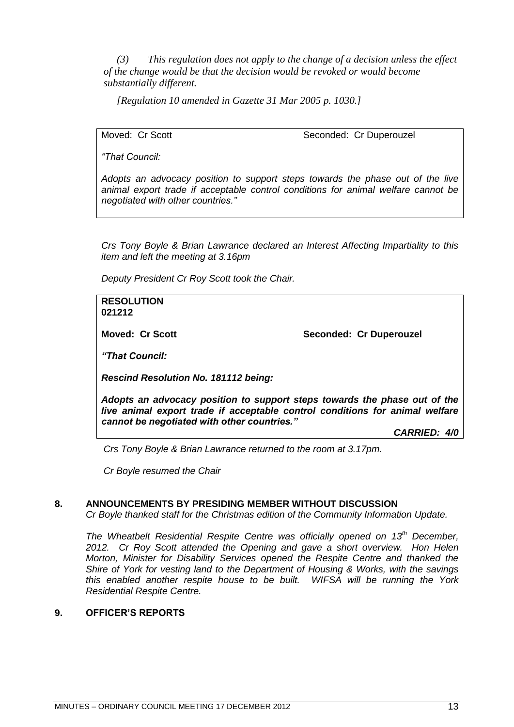*(3) This regulation does not apply to the change of a decision unless the effect of the change would be that the decision would be revoked or would become substantially different.*

*[Regulation 10 amended in Gazette 31 Mar 2005 p. 1030.]*

Moved: Cr Scott Seconded: Cr Duperouzel

*―That Council:*

*Adopts an advocacy position to support steps towards the phase out of the live animal export trade if acceptable control conditions for animal welfare cannot be negotiated with other countries.‖*

*Crs Tony Boyle & Brian Lawrance declared an Interest Affecting Impartiality to this item and left the meeting at 3.16pm*

*Deputy President Cr Roy Scott took the Chair.*

**RESOLUTION 021212**

**Moved: Cr Scott Seconded: Cr Duperouzel** 

*"That Council:*

*Rescind Resolution No. 181112 being:*

*Adopts an advocacy position to support steps towards the phase out of the live animal export trade if acceptable control conditions for animal welfare cannot be negotiated with other countries."*

*CARRIED: 4/0*

*Crs Tony Boyle & Brian Lawrance returned to the room at 3.17pm.*

*Cr Boyle resumed the Chair*

### <span id="page-12-0"></span>**8. ANNOUNCEMENTS BY PRESIDING MEMBER WITHOUT DISCUSSION**

*Cr Boyle thanked staff for the Christmas edition of the Community Information Update.*

*The Wheatbelt Residential Respite Centre was officially opened on 13th December, 2012. Cr Roy Scott attended the Opening and gave a short overview. Hon Helen Morton, Minister for Disability Services opened the Respite Centre and thanked the Shire of York for vesting land to the Department of Housing & Works, with the savings this enabled another respite house to be built. WIFSA will be running the York Residential Respite Centre.*

### <span id="page-12-1"></span>**9. OFFICER'S REPORTS**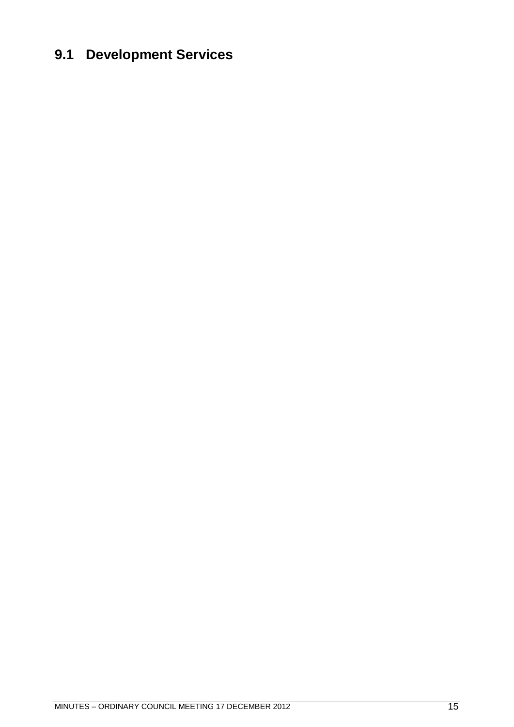# <span id="page-14-0"></span>**9.1 Development Services**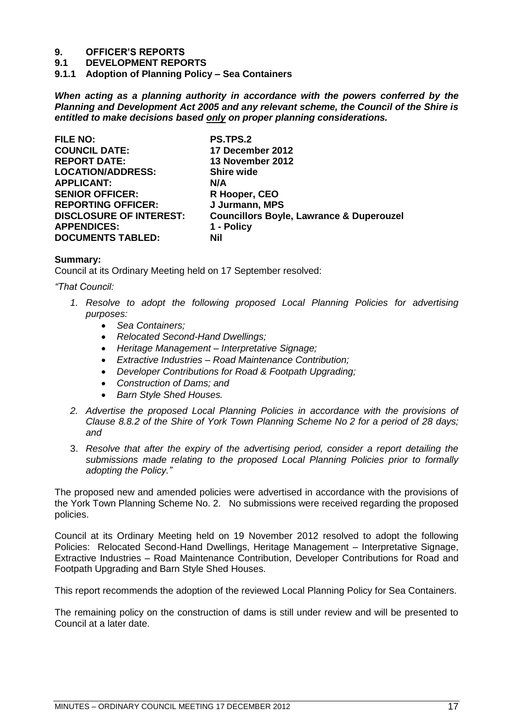# **9. OFFICER'S REPORTS**

**9.1 DEVELOPMENT REPORTS**

<span id="page-16-0"></span>**9.1.1 Adoption of Planning Policy – Sea Containers**

*When acting as a planning authority in accordance with the powers conferred by the Planning and Development Act 2005 and any relevant scheme, the Council of the Shire is entitled to make decisions based only on proper planning considerations.*

| <b>FILE NO:</b>                | <b>PS.TPS.2</b>                                     |
|--------------------------------|-----------------------------------------------------|
| <b>COUNCIL DATE:</b>           | 17 December 2012                                    |
| <b>REPORT DATE:</b>            | 13 November 2012                                    |
| <b>LOCATION/ADDRESS:</b>       | <b>Shire wide</b>                                   |
| <b>APPLICANT:</b>              | N/A                                                 |
| <b>SENIOR OFFICER:</b>         | R Hooper, CEO                                       |
| <b>REPORTING OFFICER:</b>      | J Jurmann, MPS                                      |
| <b>DISCLOSURE OF INTEREST:</b> | <b>Councillors Boyle, Lawrance &amp; Duperouzel</b> |
| <b>APPENDICES:</b>             | 1 - Policy                                          |
| <b>DOCUMENTS TABLED:</b>       | Nil                                                 |
|                                |                                                     |

### **Summary:**

Council at its Ordinary Meeting held on 17 September resolved:

*―That Council:*

- 1. Resolve to adopt the following proposed Local Planning Policies for advertising *purposes:*
	- *Sea Containers;*
	- *Relocated Second-Hand Dwellings;*
	- *Heritage Management – Interpretative Signage;*
	- *Extractive Industries – Road Maintenance Contribution;*
	- *Developer Contributions for Road & Footpath Upgrading;*
	- *Construction of Dams; and*
	- *Barn Style Shed Houses.*
- *2. Advertise the proposed Local Planning Policies in accordance with the provisions of Clause 8.8.2 of the Shire of York Town Planning Scheme No 2 for a period of 28 days; and*
- 3. *Resolve that after the expiry of the advertising period, consider a report detailing the submissions made relating to the proposed Local Planning Policies prior to formally adopting the Policy.‖*

The proposed new and amended policies were advertised in accordance with the provisions of the York Town Planning Scheme No. 2. No submissions were received regarding the proposed policies.

Council at its Ordinary Meeting held on 19 November 2012 resolved to adopt the following Policies: Relocated Second-Hand Dwellings, Heritage Management – Interpretative Signage, Extractive Industries – Road Maintenance Contribution, Developer Contributions for Road and Footpath Upgrading and Barn Style Shed Houses.

This report recommends the adoption of the reviewed Local Planning Policy for Sea Containers.

The remaining policy on the construction of dams is still under review and will be presented to Council at a later date.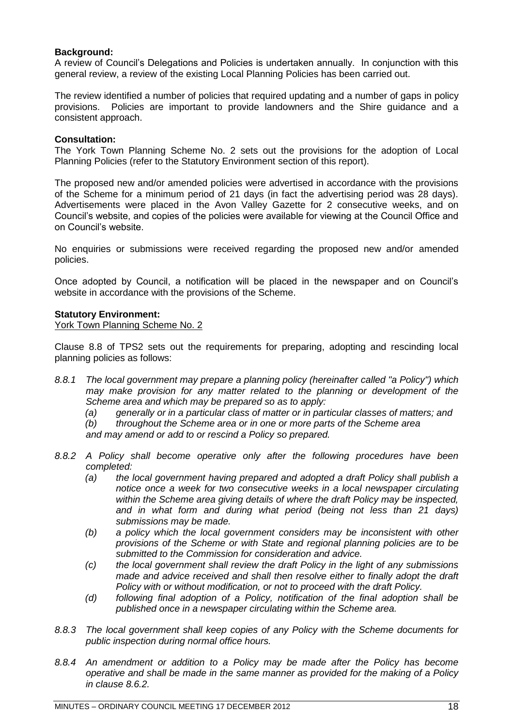### **Background:**

A review of Council's Delegations and Policies is undertaken annually. In conjunction with this general review, a review of the existing Local Planning Policies has been carried out.

The review identified a number of policies that required updating and a number of gaps in policy provisions. Policies are important to provide landowners and the Shire guidance and a consistent approach.

### **Consultation:**

The York Town Planning Scheme No. 2 sets out the provisions for the adoption of Local Planning Policies (refer to the Statutory Environment section of this report).

The proposed new and/or amended policies were advertised in accordance with the provisions of the Scheme for a minimum period of 21 days (in fact the advertising period was 28 days). Advertisements were placed in the Avon Valley Gazette for 2 consecutive weeks, and on Council's website, and copies of the policies were available for viewing at the Council Office and on Council's website.

No enquiries or submissions were received regarding the proposed new and/or amended policies.

Once adopted by Council, a notification will be placed in the newspaper and on Council's website in accordance with the provisions of the Scheme.

### **Statutory Environment:**

York Town Planning Scheme No. 2

Clause 8.8 of TPS2 sets out the requirements for preparing, adopting and rescinding local planning policies as follows:

- *8.8.1 The local government may prepare a planning policy (hereinafter called "a Policy") which may make provision for any matter related to the planning or development of the Scheme area and which may be prepared so as to apply:*
	- *(a) generally or in a particular class of matter or in particular classes of matters; and*
	- *(b) throughout the Scheme area or in one or more parts of the Scheme area*

*and may amend or add to or rescind a Policy so prepared.*

- *8.8.2 A Policy shall become operative only after the following procedures have been completed:*
	- *(a) the local government having prepared and adopted a draft Policy shall publish a*  notice once a week for two consecutive weeks in a local newspaper circulating *within the Scheme area giving details of where the draft Policy may be inspected, and in what form and during what period (being not less than 21 days) submissions may be made.*
	- *(b) a policy which the local government considers may be inconsistent with other provisions of the Scheme or with State and regional planning policies are to be submitted to the Commission for consideration and advice.*
	- *(c) the local government shall review the draft Policy in the light of any submissions made and advice received and shall then resolve either to finally adopt the draft Policy with or without modification, or not to proceed with the draft Policy.*
	- *(d) following final adoption of a Policy, notification of the final adoption shall be published once in a newspaper circulating within the Scheme area.*
- *8.8.3 The local government shall keep copies of any Policy with the Scheme documents for public inspection during normal office hours.*
- *8.8.4 An amendment or addition to a Policy may be made after the Policy has become operative and shall be made in the same manner as provided for the making of a Policy in clause 8.6.2.*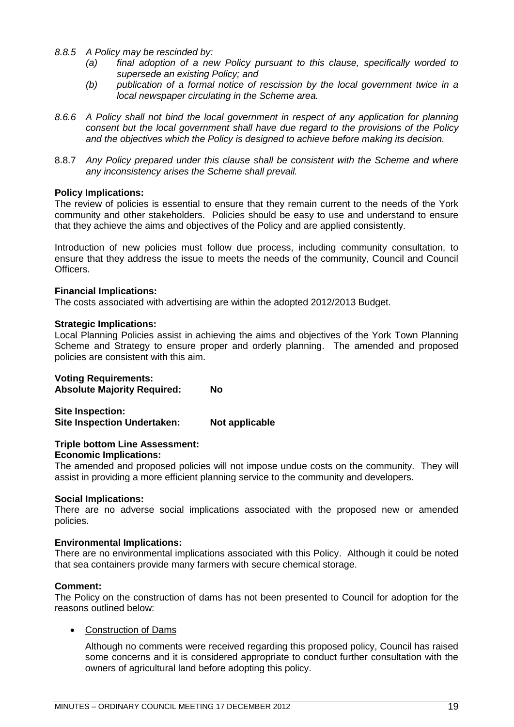- *8.8.5 A Policy may be rescinded by:*
	- *(a) final adoption of a new Policy pursuant to this clause, specifically worded to supersede an existing Policy; and*
	- *(b) publication of a formal notice of rescission by the local government twice in a local newspaper circulating in the Scheme area.*
- *8.6.6 A Policy shall not bind the local government in respect of any application for planning consent but the local government shall have due regard to the provisions of the Policy and the objectives which the Policy is designed to achieve before making its decision.*
- 8.8.7 *Any Policy prepared under this clause shall be consistent with the Scheme and where any inconsistency arises the Scheme shall prevail.*

### **Policy Implications:**

The review of policies is essential to ensure that they remain current to the needs of the York community and other stakeholders. Policies should be easy to use and understand to ensure that they achieve the aims and objectives of the Policy and are applied consistently.

Introduction of new policies must follow due process, including community consultation, to ensure that they address the issue to meets the needs of the community, Council and Council Officers.

### **Financial Implications:**

The costs associated with advertising are within the adopted 2012/2013 Budget.

### **Strategic Implications:**

Local Planning Policies assist in achieving the aims and objectives of the York Town Planning Scheme and Strategy to ensure proper and orderly planning. The amended and proposed policies are consistent with this aim.

# **Voting Requirements:**

**Absolute Majority Required: No**

**Site Inspection: Site Inspection Undertaken: Not applicable**

### **Triple bottom Line Assessment:**

### **Economic Implications:**

The amended and proposed policies will not impose undue costs on the community. They will assist in providing a more efficient planning service to the community and developers.

### **Social Implications:**

There are no adverse social implications associated with the proposed new or amended policies.

### **Environmental Implications:**

There are no environmental implications associated with this Policy. Although it could be noted that sea containers provide many farmers with secure chemical storage.

### **Comment:**

The Policy on the construction of dams has not been presented to Council for adoption for the reasons outlined below:

### • Construction of Dams

Although no comments were received regarding this proposed policy, Council has raised some concerns and it is considered appropriate to conduct further consultation with the owners of agricultural land before adopting this policy.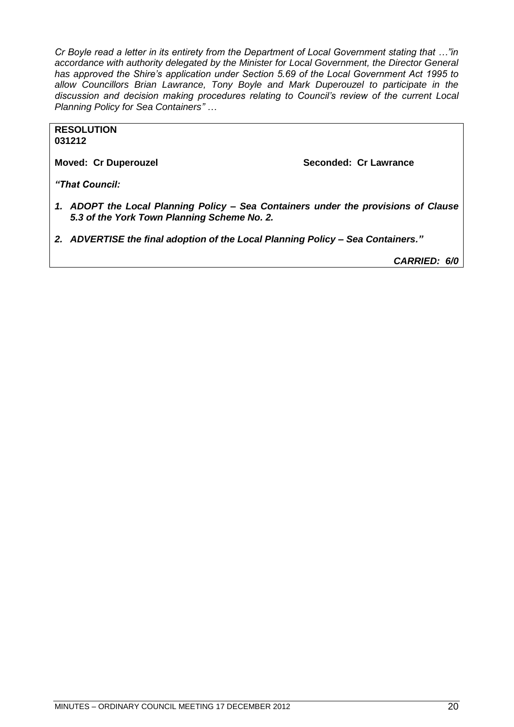*Cr Boyle read a letter in its entirety from the Department of Local Government stating that ..."in accordance with authority delegated by the Minister for Local Government, the Director General has approved the Shire's application under Section 5.69 of the Local Government Act 1995 to allow Councillors Brian Lawrance, Tony Boyle and Mark Duperouzel to participate in the discussion and decision making procedures relating to Council's review of the current Local Planning Policy for Sea Containers‖ …*

**RESOLUTION 031212**

**Moved: Cr Duperouzel Seconded: Cr Lawrance**

*"That Council:*

- *1. ADOPT the Local Planning Policy – Sea Containers under the provisions of Clause 5.3 of the York Town Planning Scheme No. 2.*
- *2. ADVERTISE the final adoption of the Local Planning Policy – Sea Containers."*

*CARRIED: 6/0*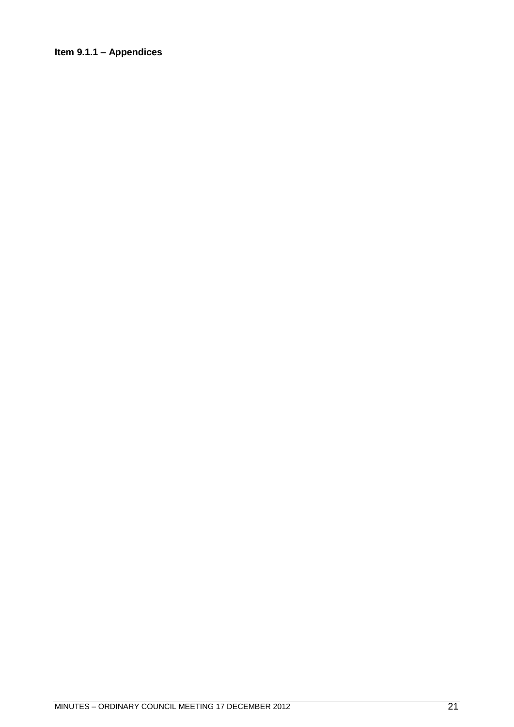### <span id="page-20-0"></span>**Item 9.1.1 – Appendices**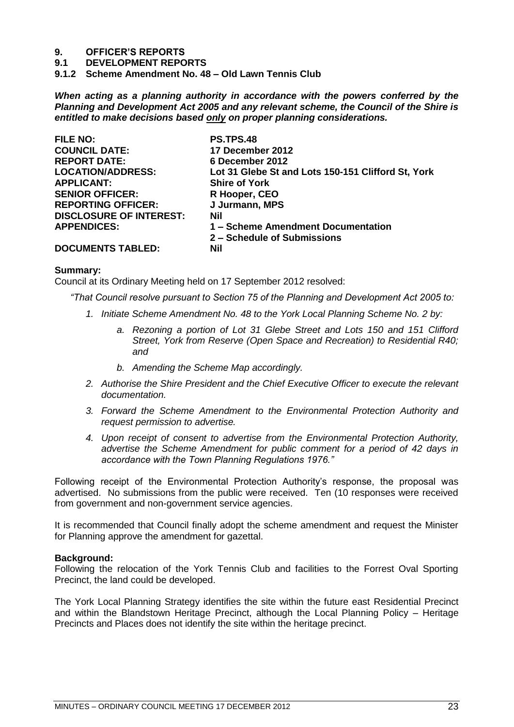# **9. OFFICER'S REPORTS**

- **9.1 DEVELOPMENT REPORTS**
- <span id="page-22-0"></span>**9.1.2 Scheme Amendment No. 48 – Old Lawn Tennis Club**

*When acting as a planning authority in accordance with the powers conferred by the Planning and Development Act 2005 and any relevant scheme, the Council of the Shire is entitled to make decisions based only on proper planning considerations.*

| FILE NO:                       | <b>PS.TPS.48</b>                                   |
|--------------------------------|----------------------------------------------------|
| <b>COUNCIL DATE:</b>           | 17 December 2012                                   |
| <b>REPORT DATE:</b>            | 6 December 2012                                    |
| <b>LOCATION/ADDRESS:</b>       | Lot 31 Glebe St and Lots 150-151 Clifford St, York |
| <b>APPLICANT:</b>              | <b>Shire of York</b>                               |
| <b>SENIOR OFFICER:</b>         | R Hooper, CEO                                      |
| <b>REPORTING OFFICER:</b>      | J Jurmann, MPS                                     |
| <b>DISCLOSURE OF INTEREST:</b> | Nil                                                |
| <b>APPENDICES:</b>             | 1 – Scheme Amendment Documentation                 |
|                                | 2 – Schedule of Submissions                        |
| <b>DOCUMENTS TABLED:</b>       | Nil                                                |

### **Summary:**

Council at its Ordinary Meeting held on 17 September 2012 resolved:

*―That Council resolve pursuant to Section 75 of the Planning and Development Act 2005 to:*

- *1. Initiate Scheme Amendment No. 48 to the York Local Planning Scheme No. 2 by:*
	- *a. Rezoning a portion of Lot 31 Glebe Street and Lots 150 and 151 Clifford Street, York from Reserve (Open Space and Recreation) to Residential R40; and*
	- *b. Amending the Scheme Map accordingly.*
- *2. Authorise the Shire President and the Chief Executive Officer to execute the relevant documentation.*
- *3. Forward the Scheme Amendment to the Environmental Protection Authority and request permission to advertise.*
- *4. Upon receipt of consent to advertise from the Environmental Protection Authority, advertise the Scheme Amendment for public comment for a period of 42 days in accordance with the Town Planning Regulations 1976.‖*

Following receipt of the Environmental Protection Authority's response, the proposal was advertised. No submissions from the public were received. Ten (10 responses were received from government and non-government service agencies.

It is recommended that Council finally adopt the scheme amendment and request the Minister for Planning approve the amendment for gazettal.

### **Background:**

Following the relocation of the York Tennis Club and facilities to the Forrest Oval Sporting Precinct, the land could be developed.

The York Local Planning Strategy identifies the site within the future east Residential Precinct and within the Blandstown Heritage Precinct, although the Local Planning Policy – Heritage Precincts and Places does not identify the site within the heritage precinct.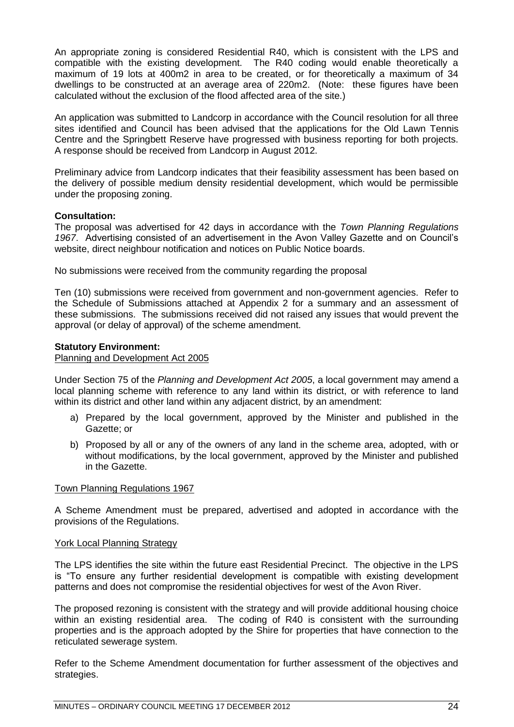An appropriate zoning is considered Residential R40, which is consistent with the LPS and compatible with the existing development. The R40 coding would enable theoretically a maximum of 19 lots at 400m2 in area to be created, or for theoretically a maximum of 34 dwellings to be constructed at an average area of 220m2. (Note: these figures have been calculated without the exclusion of the flood affected area of the site.)

An application was submitted to Landcorp in accordance with the Council resolution for all three sites identified and Council has been advised that the applications for the Old Lawn Tennis Centre and the Springbett Reserve have progressed with business reporting for both projects. A response should be received from Landcorp in August 2012.

Preliminary advice from Landcorp indicates that their feasibility assessment has been based on the delivery of possible medium density residential development, which would be permissible under the proposing zoning.

### **Consultation:**

The proposal was advertised for 42 days in accordance with the *Town Planning Regulations 1967*. Advertising consisted of an advertisement in the Avon Valley Gazette and on Council's website, direct neighbour notification and notices on Public Notice boards.

No submissions were received from the community regarding the proposal

Ten (10) submissions were received from government and non-government agencies. Refer to the Schedule of Submissions attached at Appendix 2 for a summary and an assessment of these submissions. The submissions received did not raised any issues that would prevent the approval (or delay of approval) of the scheme amendment.

### **Statutory Environment:**

### Planning and Development Act 2005

Under Section 75 of the *Planning and Development Act 2005*, a local government may amend a local planning scheme with reference to any land within its district, or with reference to land within its district and other land within any adjacent district, by an amendment:

- a) Prepared by the local government, approved by the Minister and published in the Gazette; or
- b) Proposed by all or any of the owners of any land in the scheme area, adopted, with or without modifications, by the local government, approved by the Minister and published in the Gazette.

### Town Planning Regulations 1967

A Scheme Amendment must be prepared, advertised and adopted in accordance with the provisions of the Regulations.

### York Local Planning Strategy

The LPS identifies the site within the future east Residential Precinct. The objective in the LPS is "To ensure any further residential development is compatible with existing development patterns and does not compromise the residential objectives for west of the Avon River.

The proposed rezoning is consistent with the strategy and will provide additional housing choice within an existing residential area. The coding of R40 is consistent with the surrounding properties and is the approach adopted by the Shire for properties that have connection to the reticulated sewerage system.

Refer to the Scheme Amendment documentation for further assessment of the objectives and strategies.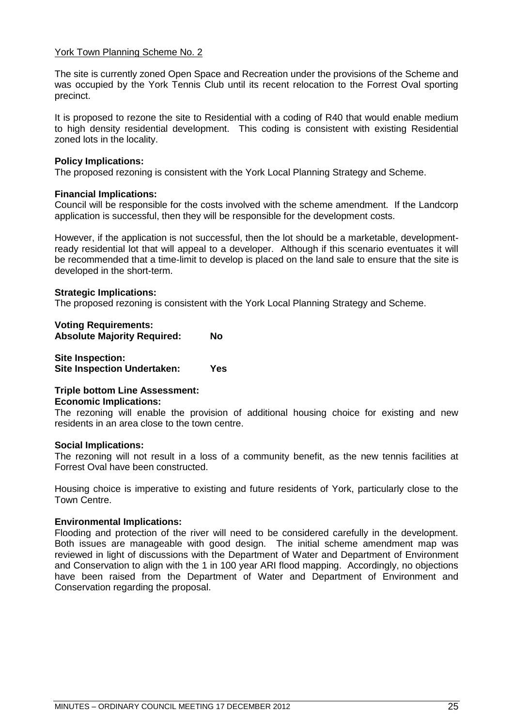### York Town Planning Scheme No. 2

The site is currently zoned Open Space and Recreation under the provisions of the Scheme and was occupied by the York Tennis Club until its recent relocation to the Forrest Oval sporting precinct.

It is proposed to rezone the site to Residential with a coding of R40 that would enable medium to high density residential development. This coding is consistent with existing Residential zoned lots in the locality.

### **Policy Implications:**

The proposed rezoning is consistent with the York Local Planning Strategy and Scheme.

### **Financial Implications:**

Council will be responsible for the costs involved with the scheme amendment. If the Landcorp application is successful, then they will be responsible for the development costs.

However, if the application is not successful, then the lot should be a marketable, developmentready residential lot that will appeal to a developer. Although if this scenario eventuates it will be recommended that a time-limit to develop is placed on the land sale to ensure that the site is developed in the short-term.

### **Strategic Implications:**

The proposed rezoning is consistent with the York Local Planning Strategy and Scheme.

| <b>Voting Requirements:</b><br><b>Absolute Majority Required:</b> | Nο |
|-------------------------------------------------------------------|----|
| <b>Site Inspection:</b>                                           |    |

**Site Inspection Undertaken: Yes**

### **Triple bottom Line Assessment: Economic Implications:**

The rezoning will enable the provision of additional housing choice for existing and new residents in an area close to the town centre.

### **Social Implications:**

The rezoning will not result in a loss of a community benefit, as the new tennis facilities at Forrest Oval have been constructed.

Housing choice is imperative to existing and future residents of York, particularly close to the Town Centre.

### **Environmental Implications:**

Flooding and protection of the river will need to be considered carefully in the development. Both issues are manageable with good design. The initial scheme amendment map was reviewed in light of discussions with the Department of Water and Department of Environment and Conservation to align with the 1 in 100 year ARI flood mapping. Accordingly, no objections have been raised from the Department of Water and Department of Environment and Conservation regarding the proposal.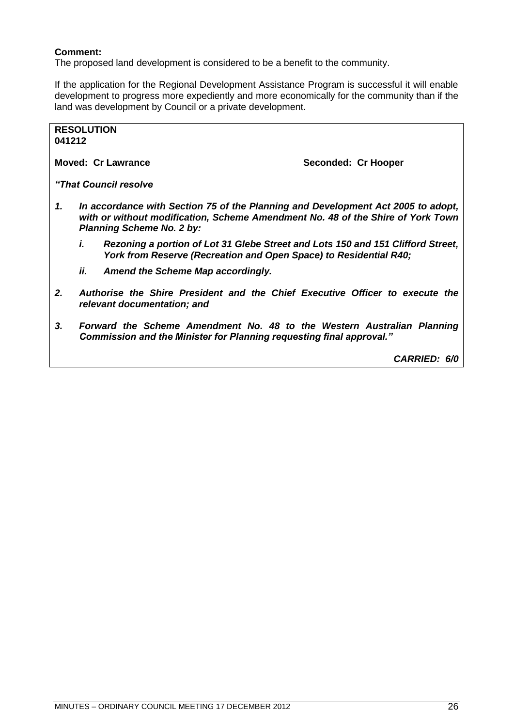### **Comment:**

The proposed land development is considered to be a benefit to the community.

If the application for the Regional Development Assistance Program is successful it will enable development to progress more expediently and more economically for the community than if the land was development by Council or a private development.

#### **RESOLUTION 041212**

**Moved: Cr Lawrance Seconded: Cr Hooper** 

*"That Council resolve*

- *1. In accordance with Section 75 of the Planning and Development Act 2005 to adopt, with or without modification, Scheme Amendment No. 48 of the Shire of York Town Planning Scheme No. 2 by:*
	- *i. Rezoning a portion of Lot 31 Glebe Street and Lots 150 and 151 Clifford Street, York from Reserve (Recreation and Open Space) to Residential R40;*
	- *ii. Amend the Scheme Map accordingly.*
- *2. Authorise the Shire President and the Chief Executive Officer to execute the relevant documentation; and*
- *3. Forward the Scheme Amendment No. 48 to the Western Australian Planning Commission and the Minister for Planning requesting final approval."*

*CARRIED: 6/0*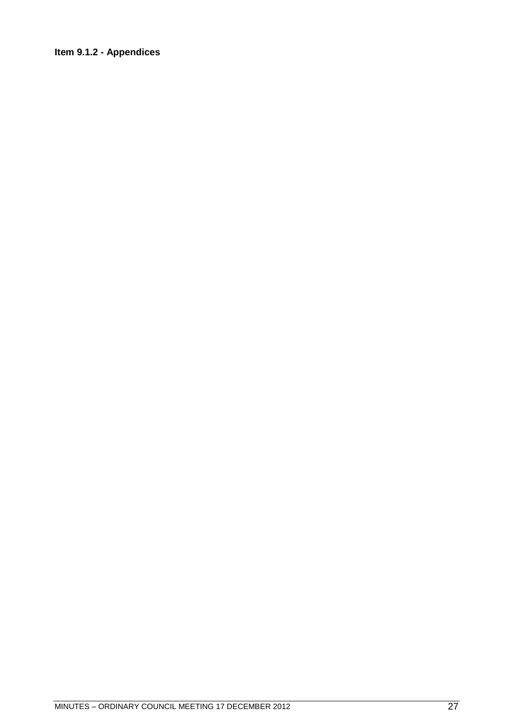### <span id="page-26-0"></span>**Item 9.1.2 - Appendices**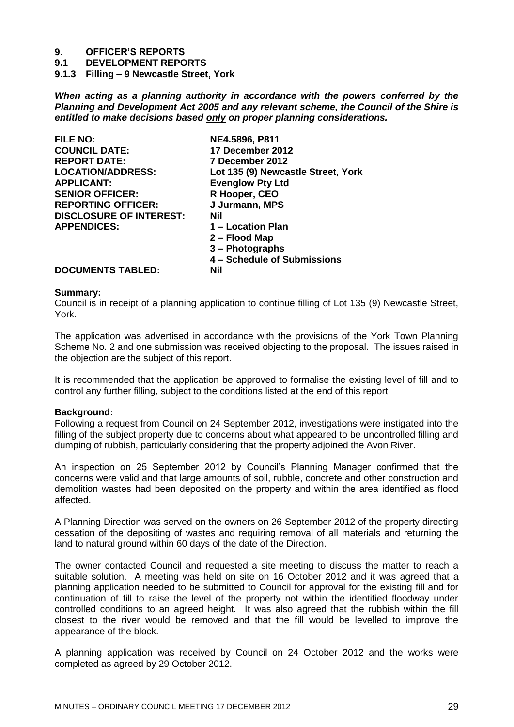# **9. OFFICER'S REPORTS**

**9.1 DEVELOPMENT REPORTS**

<span id="page-28-0"></span>**9.1.3 Filling – 9 Newcastle Street, York**

*When acting as a planning authority in accordance with the powers conferred by the Planning and Development Act 2005 and any relevant scheme, the Council of the Shire is entitled to make decisions based only on proper planning considerations.*

| <b>FILE NO:</b>                | NE4.5896, P811                     |
|--------------------------------|------------------------------------|
| <b>COUNCIL DATE:</b>           | 17 December 2012                   |
| <b>REPORT DATE:</b>            | 7 December 2012                    |
| <b>LOCATION/ADDRESS:</b>       | Lot 135 (9) Newcastle Street, York |
| <b>APPLICANT:</b>              | <b>Evenglow Pty Ltd</b>            |
| <b>SENIOR OFFICER:</b>         | R Hooper, CEO                      |
| <b>REPORTING OFFICER:</b>      | J Jurmann, MPS                     |
| <b>DISCLOSURE OF INTEREST:</b> | <b>Nil</b>                         |
| <b>APPENDICES:</b>             | 1 - Location Plan                  |
|                                | 2 – Flood Map                      |
|                                | 3 – Photographs                    |
|                                | 4 - Schedule of Submissions        |
| <b>DOCUMENTS TABLED:</b>       | Nil                                |

## **Summary:**

Council is in receipt of a planning application to continue filling of Lot 135 (9) Newcastle Street, York.

The application was advertised in accordance with the provisions of the York Town Planning Scheme No. 2 and one submission was received objecting to the proposal. The issues raised in the objection are the subject of this report.

It is recommended that the application be approved to formalise the existing level of fill and to control any further filling, subject to the conditions listed at the end of this report.

### **Background:**

Following a request from Council on 24 September 2012, investigations were instigated into the filling of the subject property due to concerns about what appeared to be uncontrolled filling and dumping of rubbish, particularly considering that the property adjoined the Avon River.

An inspection on 25 September 2012 by Council's Planning Manager confirmed that the concerns were valid and that large amounts of soil, rubble, concrete and other construction and demolition wastes had been deposited on the property and within the area identified as flood affected.

A Planning Direction was served on the owners on 26 September 2012 of the property directing cessation of the depositing of wastes and requiring removal of all materials and returning the land to natural ground within 60 days of the date of the Direction.

The owner contacted Council and requested a site meeting to discuss the matter to reach a suitable solution. A meeting was held on site on 16 October 2012 and it was agreed that a planning application needed to be submitted to Council for approval for the existing fill and for continuation of fill to raise the level of the property not within the identified floodway under controlled conditions to an agreed height. It was also agreed that the rubbish within the fill closest to the river would be removed and that the fill would be levelled to improve the appearance of the block.

A planning application was received by Council on 24 October 2012 and the works were completed as agreed by 29 October 2012.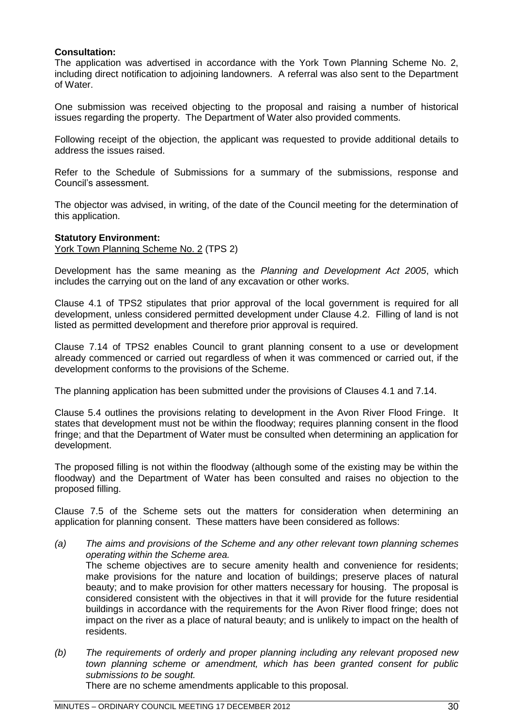### **Consultation:**

The application was advertised in accordance with the York Town Planning Scheme No. 2, including direct notification to adjoining landowners. A referral was also sent to the Department of Water.

One submission was received objecting to the proposal and raising a number of historical issues regarding the property. The Department of Water also provided comments.

Following receipt of the objection, the applicant was requested to provide additional details to address the issues raised.

Refer to the Schedule of Submissions for a summary of the submissions, response and Council's assessment.

The objector was advised, in writing, of the date of the Council meeting for the determination of this application.

### **Statutory Environment:**

York Town Planning Scheme No. 2 (TPS 2)

Development has the same meaning as the *Planning and Development Act 2005*, which includes the carrying out on the land of any excavation or other works.

Clause 4.1 of TPS2 stipulates that prior approval of the local government is required for all development, unless considered permitted development under Clause 4.2. Filling of land is not listed as permitted development and therefore prior approval is required.

Clause 7.14 of TPS2 enables Council to grant planning consent to a use or development already commenced or carried out regardless of when it was commenced or carried out, if the development conforms to the provisions of the Scheme.

The planning application has been submitted under the provisions of Clauses 4.1 and 7.14.

Clause 5.4 outlines the provisions relating to development in the Avon River Flood Fringe. It states that development must not be within the floodway; requires planning consent in the flood fringe; and that the Department of Water must be consulted when determining an application for development.

The proposed filling is not within the floodway (although some of the existing may be within the floodway) and the Department of Water has been consulted and raises no objection to the proposed filling.

Clause 7.5 of the Scheme sets out the matters for consideration when determining an application for planning consent. These matters have been considered as follows:

- *(a) The aims and provisions of the Scheme and any other relevant town planning schemes operating within the Scheme area.* The scheme objectives are to secure amenity health and convenience for residents; make provisions for the nature and location of buildings; preserve places of natural beauty; and to make provision for other matters necessary for housing. The proposal is considered consistent with the objectives in that it will provide for the future residential buildings in accordance with the requirements for the Avon River flood fringe; does not impact on the river as a place of natural beauty; and is unlikely to impact on the health of residents.
- *(b) The requirements of orderly and proper planning including any relevant proposed new town planning scheme or amendment, which has been granted consent for public submissions to be sought.*

There are no scheme amendments applicable to this proposal.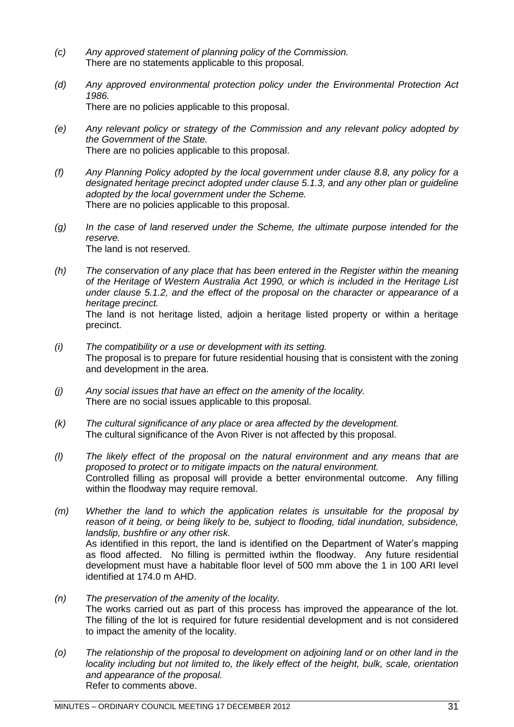- *(c) Any approved statement of planning policy of the Commission.* There are no statements applicable to this proposal.
- *(d) Any approved environmental protection policy under the Environmental Protection Act 1986.* There are no policies applicable to this proposal.
- *(e) Any relevant policy or strategy of the Commission and any relevant policy adopted by the Government of the State.* There are no policies applicable to this proposal.
- *(f) Any Planning Policy adopted by the local government under clause 8.8, any policy for a designated heritage precinct adopted under clause 5.1.3, and any other plan or guideline adopted by the local government under the Scheme.* There are no policies applicable to this proposal.
- *(g) In the case of land reserved under the Scheme, the ultimate purpose intended for the reserve.* The land is not reserved.
- *(h) The conservation of any place that has been entered in the Register within the meaning of the Heritage of Western Australia Act 1990, or which is included in the Heritage List under clause 5.1.2, and the effect of the proposal on the character or appearance of a heritage precinct.* The land is not heritage listed, adjoin a heritage listed property or within a heritage precinct.
- *(i) The compatibility or a use or development with its setting.* The proposal is to prepare for future residential housing that is consistent with the zoning and development in the area.
- *(j) Any social issues that have an effect on the amenity of the locality.* There are no social issues applicable to this proposal.
- *(k) The cultural significance of any place or area affected by the development.* The cultural significance of the Avon River is not affected by this proposal.
- *(l) The likely effect of the proposal on the natural environment and any means that are proposed to protect or to mitigate impacts on the natural environment.* Controlled filling as proposal will provide a better environmental outcome. Any filling within the floodway may require removal.
- *(m) Whether the land to which the application relates is unsuitable for the proposal by reason of it being, or being likely to be, subject to flooding, tidal inundation, subsidence, landslip, bushfire or any other risk.* As identified in this report, the land is identified on the Department of Water's mapping as flood affected. No filling is permitted iwthin the floodway. Any future residential development must have a habitable floor level of 500 mm above the 1 in 100 ARI level identified at 174.0 m AHD.
- *(n) The preservation of the amenity of the locality.* The works carried out as part of this process has improved the appearance of the lot. The filling of the lot is required for future residential development and is not considered to impact the amenity of the locality.
- *(o) The relationship of the proposal to development on adjoining land or on other land in the locality including but not limited to, the likely effect of the height, bulk, scale, orientation and appearance of the proposal.* Refer to comments above.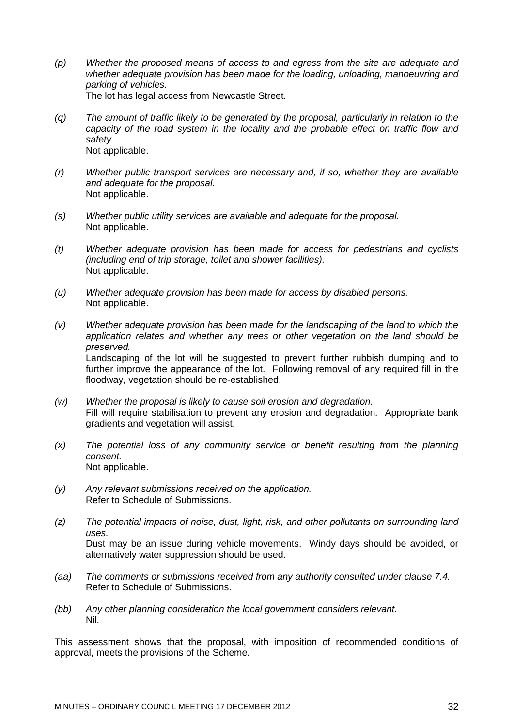- *(p) Whether the proposed means of access to and egress from the site are adequate and whether adequate provision has been made for the loading, unloading, manoeuvring and parking of vehicles.* The lot has legal access from Newcastle Street.
- *(q) The amount of traffic likely to be generated by the proposal, particularly in relation to the capacity of the road system in the locality and the probable effect on traffic flow and safety.* Not applicable.
- *(r) Whether public transport services are necessary and, if so, whether they are available and adequate for the proposal.* Not applicable.
- *(s) Whether public utility services are available and adequate for the proposal.* Not applicable.
- *(t) Whether adequate provision has been made for access for pedestrians and cyclists (including end of trip storage, toilet and shower facilities).* Not applicable.
- *(u) Whether adequate provision has been made for access by disabled persons.* Not applicable.
- *(v) Whether adequate provision has been made for the landscaping of the land to which the application relates and whether any trees or other vegetation on the land should be preserved.* Landscaping of the lot will be suggested to prevent further rubbish dumping and to further improve the appearance of the lot. Following removal of any required fill in the floodway, vegetation should be re-established.
- *(w) Whether the proposal is likely to cause soil erosion and degradation.* Fill will require stabilisation to prevent any erosion and degradation. Appropriate bank gradients and vegetation will assist.
- *(x) The potential loss of any community service or benefit resulting from the planning consent.* Not applicable.
- *(y) Any relevant submissions received on the application.* Refer to Schedule of Submissions.
- *(z) The potential impacts of noise, dust, light, risk, and other pollutants on surrounding land uses.* Dust may be an issue during vehicle movements. Windy days should be avoided, or alternatively water suppression should be used.
- *(aa) The comments or submissions received from any authority consulted under clause 7.4.* Refer to Schedule of Submissions.
- *(bb) Any other planning consideration the local government considers relevant.* Nil.

This assessment shows that the proposal, with imposition of recommended conditions of approval, meets the provisions of the Scheme.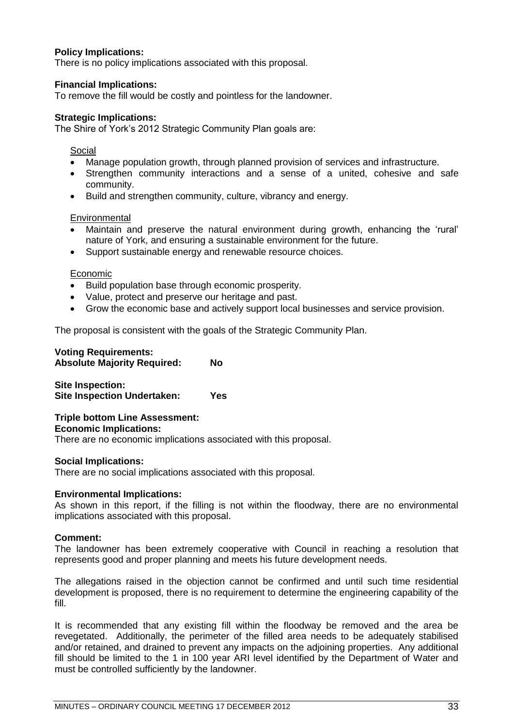### **Policy Implications:**

There is no policy implications associated with this proposal.

### **Financial Implications:**

To remove the fill would be costly and pointless for the landowner.

### **Strategic Implications:**

The Shire of York's 2012 Strategic Community Plan goals are:

### Social

- Manage population growth, through planned provision of services and infrastructure.
- Strengthen community interactions and a sense of a united, cohesive and safe community.
- Build and strengthen community, culture, vibrancy and energy.

### **Environmental**

- Maintain and preserve the natural environment during growth, enhancing the 'rural' nature of York, and ensuring a sustainable environment for the future.
- Support sustainable energy and renewable resource choices.

### Economic

- Build population base through economic prosperity.
- Value, protect and preserve our heritage and past.
- Grow the economic base and actively support local businesses and service provision.

The proposal is consistent with the goals of the Strategic Community Plan.

### **Voting Requirements: Absolute Majority Required: No**

**Site Inspection: Site Inspection Undertaken: Yes**

### **Triple bottom Line Assessment: Economic Implications:**

There are no economic implications associated with this proposal.

### **Social Implications:**

There are no social implications associated with this proposal.

### **Environmental Implications:**

As shown in this report, if the filling is not within the floodway, there are no environmental implications associated with this proposal.

### **Comment:**

The landowner has been extremely cooperative with Council in reaching a resolution that represents good and proper planning and meets his future development needs.

The allegations raised in the objection cannot be confirmed and until such time residential development is proposed, there is no requirement to determine the engineering capability of the fill.

It is recommended that any existing fill within the floodway be removed and the area be revegetated. Additionally, the perimeter of the filled area needs to be adequately stabilised and/or retained, and drained to prevent any impacts on the adjoining properties. Any additional fill should be limited to the 1 in 100 year ARI level identified by the Department of Water and must be controlled sufficiently by the landowner.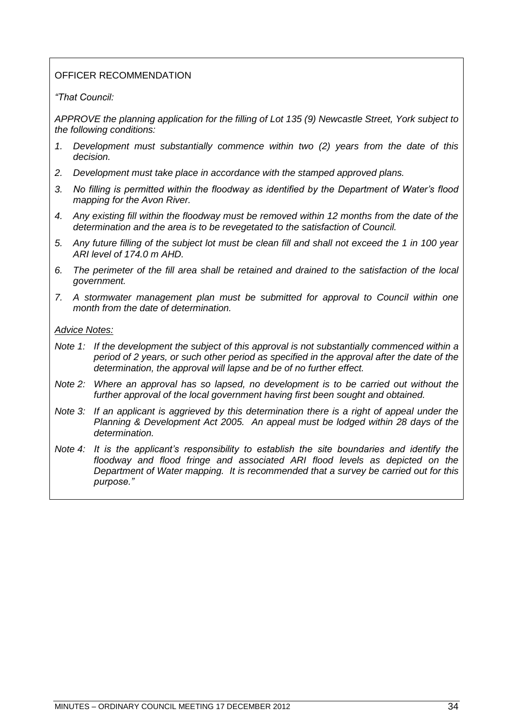### OFFICER RECOMMENDATION

### *―That Council:*

*APPROVE the planning application for the filling of Lot 135 (9) Newcastle Street, York subject to the following conditions:*

- *1. Development must substantially commence within two (2) years from the date of this decision.*
- *2. Development must take place in accordance with the stamped approved plans.*
- *3. No filling is permitted within the floodway as identified by the Department of Water's flood mapping for the Avon River.*
- *4. Any existing fill within the floodway must be removed within 12 months from the date of the determination and the area is to be revegetated to the satisfaction of Council.*
- *5. Any future filling of the subject lot must be clean fill and shall not exceed the 1 in 100 year ARI level of 174.0 m AHD.*
- *6. The perimeter of the fill area shall be retained and drained to the satisfaction of the local government.*
- *7. A stormwater management plan must be submitted for approval to Council within one month from the date of determination.*

### *Advice Notes:*

- *Note 1: If the development the subject of this approval is not substantially commenced within a period of 2 years, or such other period as specified in the approval after the date of the determination, the approval will lapse and be of no further effect.*
- *Note 2: Where an approval has so lapsed, no development is to be carried out without the further approval of the local government having first been sought and obtained.*
- *Note 3: If an applicant is aggrieved by this determination there is a right of appeal under the Planning & Development Act 2005. An appeal must be lodged within 28 days of the determination.*
- *Note 4: It is the applicant's responsibility to establish the site boundaries and identify the floodway and flood fringe and associated ARI flood levels as depicted on the Department of Water mapping. It is recommended that a survey be carried out for this purpose.‖*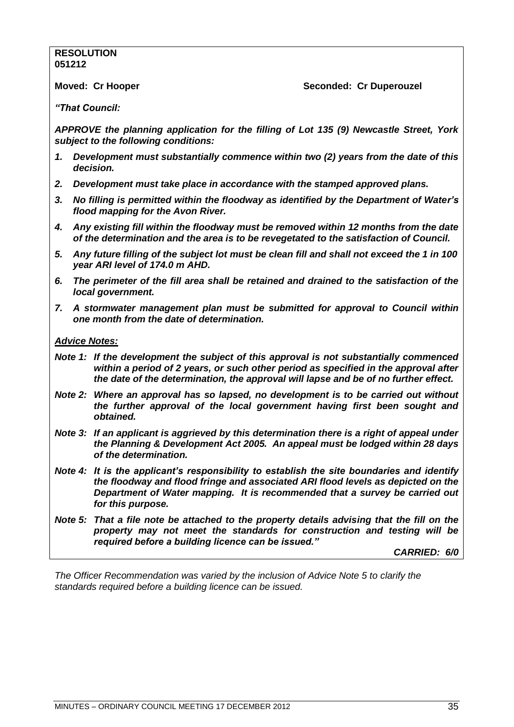### **RESOLUTION 051212**

**Moved: Cr Hooper Seconded: Cr Duperouzel**

*"That Council:*

*APPROVE the planning application for the filling of Lot 135 (9) Newcastle Street, York subject to the following conditions:*

- *1. Development must substantially commence within two (2) years from the date of this decision.*
- *2. Development must take place in accordance with the stamped approved plans.*
- *3. No filling is permitted within the floodway as identified by the Department of Water"s flood mapping for the Avon River.*
- *4. Any existing fill within the floodway must be removed within 12 months from the date of the determination and the area is to be revegetated to the satisfaction of Council.*
- *5. Any future filling of the subject lot must be clean fill and shall not exceed the 1 in 100 year ARI level of 174.0 m AHD.*
- *6. The perimeter of the fill area shall be retained and drained to the satisfaction of the local government.*
- *7. A stormwater management plan must be submitted for approval to Council within one month from the date of determination.*

### *Advice Notes:*

- *Note 1: If the development the subject of this approval is not substantially commenced within a period of 2 years, or such other period as specified in the approval after the date of the determination, the approval will lapse and be of no further effect.*
- *Note 2: Where an approval has so lapsed, no development is to be carried out without the further approval of the local government having first been sought and obtained.*
- *Note 3: If an applicant is aggrieved by this determination there is a right of appeal under the Planning & Development Act 2005. An appeal must be lodged within 28 days of the determination.*
- *Note 4: It is the applicant"s responsibility to establish the site boundaries and identify the floodway and flood fringe and associated ARI flood levels as depicted on the Department of Water mapping. It is recommended that a survey be carried out for this purpose.*
- *Note 5: That a file note be attached to the property details advising that the fill on the property may not meet the standards for construction and testing will be required before a building licence can be issued."*

*CARRIED: 6/0*

*The Officer Recommendation was varied by the inclusion of Advice Note 5 to clarify the standards required before a building licence can be issued.*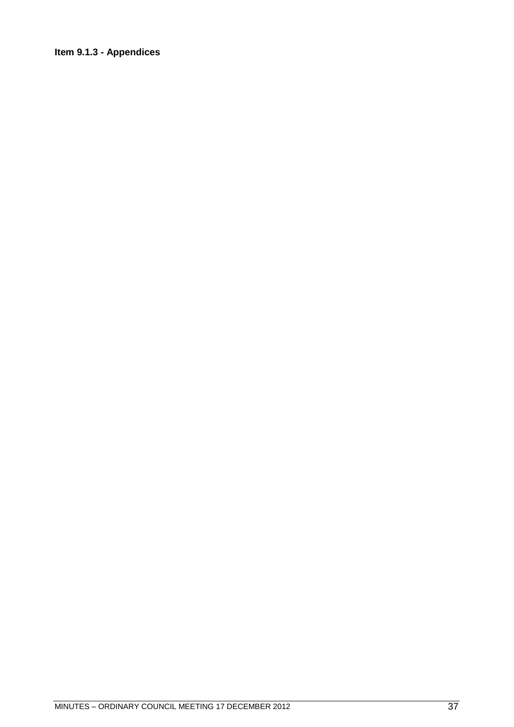# Item 9.1.3 - Appendices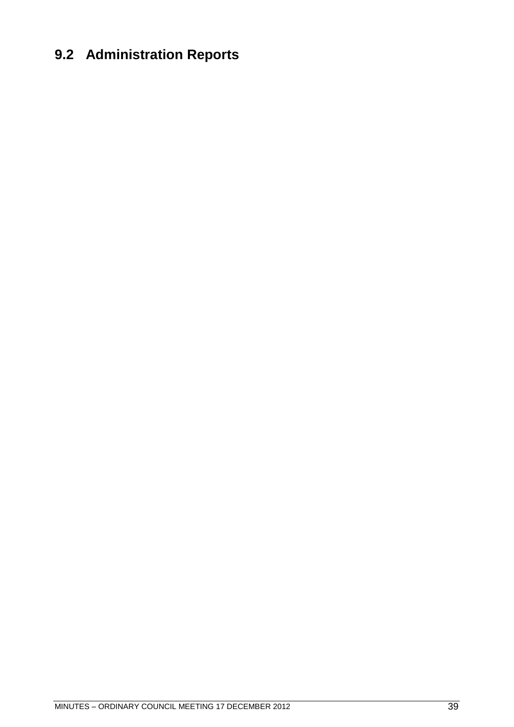# **9.2 Administration Reports**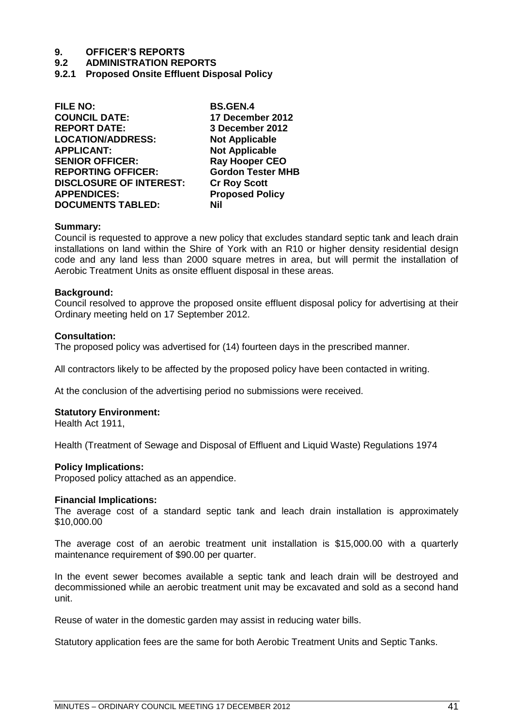#### **9.2 ADMINISTRATION REPORTS**

**9.2.1 Proposed Onsite Effluent Disposal Policy** 

| <b>FILE NO:</b>                | <b>BS.GEN.4</b>          |
|--------------------------------|--------------------------|
| <b>COUNCIL DATE:</b>           | 17 December 2012         |
| <b>REPORT DATE:</b>            | 3 December 2012          |
| <b>LOCATION/ADDRESS:</b>       | <b>Not Applicable</b>    |
| <b>APPLICANT:</b>              | <b>Not Applicable</b>    |
| <b>SENIOR OFFICER:</b>         | <b>Ray Hooper CEO</b>    |
| <b>REPORTING OFFICER:</b>      | <b>Gordon Tester MHB</b> |
| <b>DISCLOSURE OF INTEREST:</b> | <b>Cr Roy Scott</b>      |
| <b>APPENDICES:</b>             | <b>Proposed Policy</b>   |
| <b>DOCUMENTS TABLED:</b>       | Nil                      |
|                                |                          |

#### **Summary:**

Council is requested to approve a new policy that excludes standard septic tank and leach drain installations on land within the Shire of York with an R10 or higher density residential design code and any land less than 2000 square metres in area, but will permit the installation of Aerobic Treatment Units as onsite effluent disposal in these areas.

#### **Background:**

Council resolved to approve the proposed onsite effluent disposal policy for advertising at their Ordinary meeting held on 17 September 2012.

#### **Consultation:**

The proposed policy was advertised for (14) fourteen days in the prescribed manner.

All contractors likely to be affected by the proposed policy have been contacted in writing.

At the conclusion of the advertising period no submissions were received.

#### **Statutory Environment:**

Health Act 1911,

Health (Treatment of Sewage and Disposal of Effluent and Liquid Waste) Regulations 1974

#### **Policy Implications:**

Proposed policy attached as an appendice.

#### **Financial Implications:**

The average cost of a standard septic tank and leach drain installation is approximately \$10,000.00

The average cost of an aerobic treatment unit installation is \$15,000.00 with a quarterly maintenance requirement of \$90.00 per quarter.

In the event sewer becomes available a septic tank and leach drain will be destroyed and decommissioned while an aerobic treatment unit may be excavated and sold as a second hand unit.

Reuse of water in the domestic garden may assist in reducing water bills.

Statutory application fees are the same for both Aerobic Treatment Units and Septic Tanks.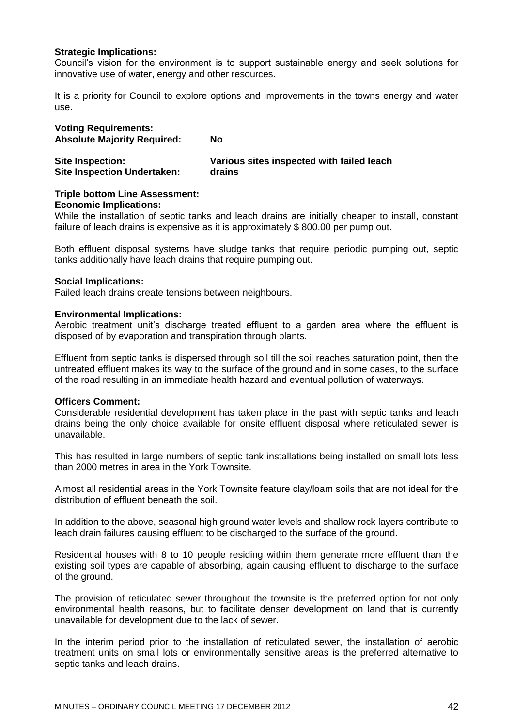## **Strategic Implications:**

Council's vision for the environment is to support sustainable energy and seek solutions for innovative use of water, energy and other resources.

It is a priority for Council to explore options and improvements in the towns energy and water use.

| <b>Voting Requirements:</b><br><b>Absolute Majority Required:</b> | No                                        |
|-------------------------------------------------------------------|-------------------------------------------|
| <b>Site Inspection:</b>                                           | Various sites inspected with failed leach |
| <b>Site Inspection Undertaken:</b>                                | drains                                    |

#### **Triple bottom Line Assessment: Economic Implications:**

While the installation of septic tanks and leach drains are initially cheaper to install, constant failure of leach drains is expensive as it is approximately \$ 800.00 per pump out.

Both effluent disposal systems have sludge tanks that require periodic pumping out, septic tanks additionally have leach drains that require pumping out.

## **Social Implications:**

Failed leach drains create tensions between neighbours.

### **Environmental Implications:**

Aerobic treatment unit's discharge treated effluent to a garden area where the effluent is disposed of by evaporation and transpiration through plants.

Effluent from septic tanks is dispersed through soil till the soil reaches saturation point, then the untreated effluent makes its way to the surface of the ground and in some cases, to the surface of the road resulting in an immediate health hazard and eventual pollution of waterways.

#### **Officers Comment:**

Considerable residential development has taken place in the past with septic tanks and leach drains being the only choice available for onsite effluent disposal where reticulated sewer is unavailable.

This has resulted in large numbers of septic tank installations being installed on small lots less than 2000 metres in area in the York Townsite.

Almost all residential areas in the York Townsite feature clay/loam soils that are not ideal for the distribution of effluent beneath the soil.

In addition to the above, seasonal high ground water levels and shallow rock layers contribute to leach drain failures causing effluent to be discharged to the surface of the ground.

Residential houses with 8 to 10 people residing within them generate more effluent than the existing soil types are capable of absorbing, again causing effluent to discharge to the surface of the ground.

The provision of reticulated sewer throughout the townsite is the preferred option for not only environmental health reasons, but to facilitate denser development on land that is currently unavailable for development due to the lack of sewer.

In the interim period prior to the installation of reticulated sewer, the installation of aerobic treatment units on small lots or environmentally sensitive areas is the preferred alternative to septic tanks and leach drains.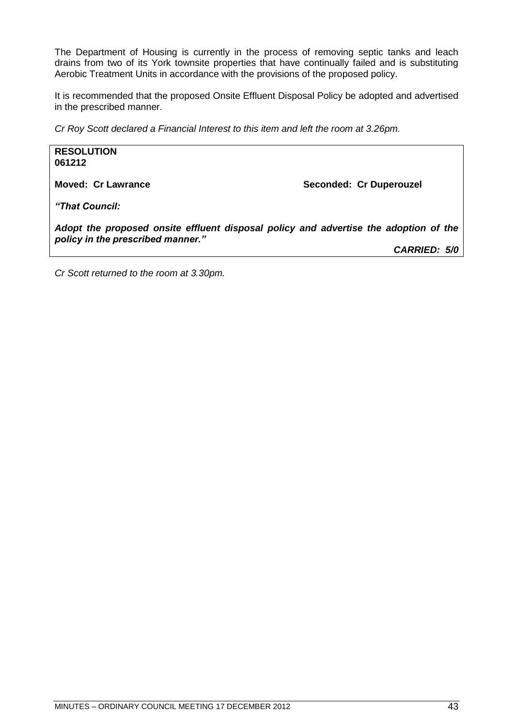The Department of Housing is currently in the process of removing septic tanks and leach drains from two of its York townsite properties that have continually failed and is substituting Aerobic Treatment Units in accordance with the provisions of the proposed policy.

It is recommended that the proposed Onsite Effluent Disposal Policy be adopted and advertised in the prescribed manner.

*Cr Roy Scott declared a Financial Interest to this item and left the room at 3.26pm.*

**RESOLUTION 061212**

**Moved: Cr Lawrance <br>
Seconded: Cr Duperouzel** 

*"That Council:*

*Adopt the proposed onsite effluent disposal policy and advertise the adoption of the policy in the prescribed manner."*

*CARRIED: 5/0*

*Cr Scott returned to the room at 3.30pm.*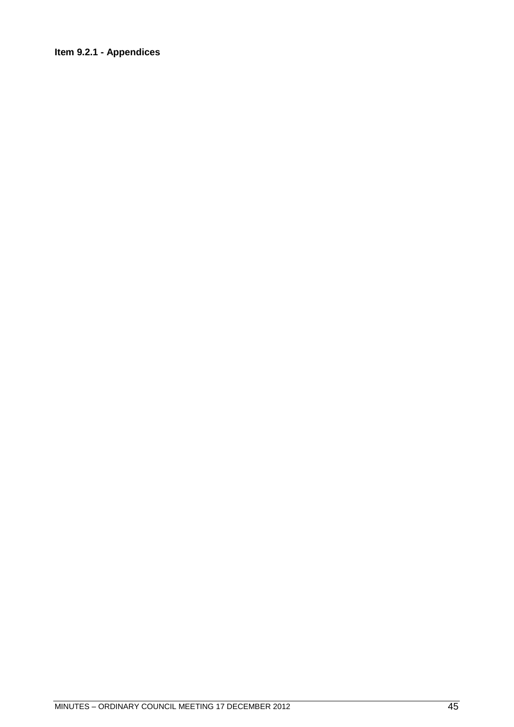# Item 9.2.1 - Appendices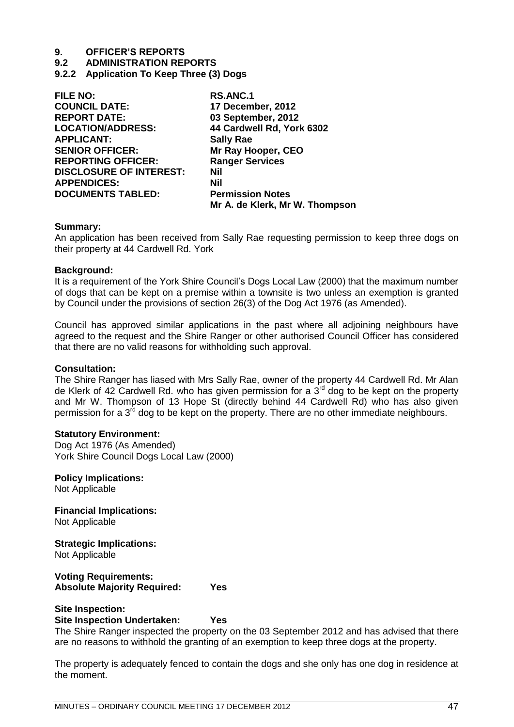- **9.2 ADMINISTRATION REPORTS**
- **9.2.2 Application To Keep Three (3) Dogs**

| <b>FILE NO:</b>                | <b>RS.ANC.1</b>                |
|--------------------------------|--------------------------------|
| <b>COUNCIL DATE:</b>           | 17 December, 2012              |
| <b>REPORT DATE:</b>            | 03 September, 2012             |
| <b>LOCATION/ADDRESS:</b>       | 44 Cardwell Rd, York 6302      |
| <b>APPLICANT:</b>              | <b>Sally Rae</b>               |
| <b>SENIOR OFFICER:</b>         | Mr Ray Hooper, CEO             |
| <b>REPORTING OFFICER:</b>      | <b>Ranger Services</b>         |
| <b>DISCLOSURE OF INTEREST:</b> | Nil                            |
| <b>APPENDICES:</b>             | <b>Nil</b>                     |
| <b>DOCUMENTS TABLED:</b>       | <b>Permission Notes</b>        |
|                                | Mr A. de Klerk, Mr W. Thompson |

#### **Summary:**

An application has been received from Sally Rae requesting permission to keep three dogs on their property at 44 Cardwell Rd. York

#### **Background:**

It is a requirement of the York Shire Council's Dogs Local Law (2000) that the maximum number of dogs that can be kept on a premise within a townsite is two unless an exemption is granted by Council under the provisions of section 26(3) of the Dog Act 1976 (as Amended).

Council has approved similar applications in the past where all adjoining neighbours have agreed to the request and the Shire Ranger or other authorised Council Officer has considered that there are no valid reasons for withholding such approval.

#### **Consultation:**

The Shire Ranger has liased with Mrs Sally Rae, owner of the property 44 Cardwell Rd. Mr Alan de Klerk of 42 Cardwell Rd. who has given permission for a  $3<sup>rd</sup>$  dog to be kept on the property and Mr W. Thompson of 13 Hope St (directly behind 44 Cardwell Rd) who has also given permission for a  $3^{rd}$  dog to be kept on the property. There are no other immediate neighbours.

#### **Statutory Environment:**

Dog Act 1976 (As Amended) York Shire Council Dogs Local Law (2000)

**Policy Implications:** Not Applicable

**Financial Implications:** Not Applicable

# **Strategic Implications:**

Not Applicable

### **Voting Requirements: Absolute Majority Required: Yes**

#### **Site Inspection:**

#### **Site Inspection Undertaken: Yes**

The Shire Ranger inspected the property on the 03 September 2012 and has advised that there are no reasons to withhold the granting of an exemption to keep three dogs at the property.

The property is adequately fenced to contain the dogs and she only has one dog in residence at the moment.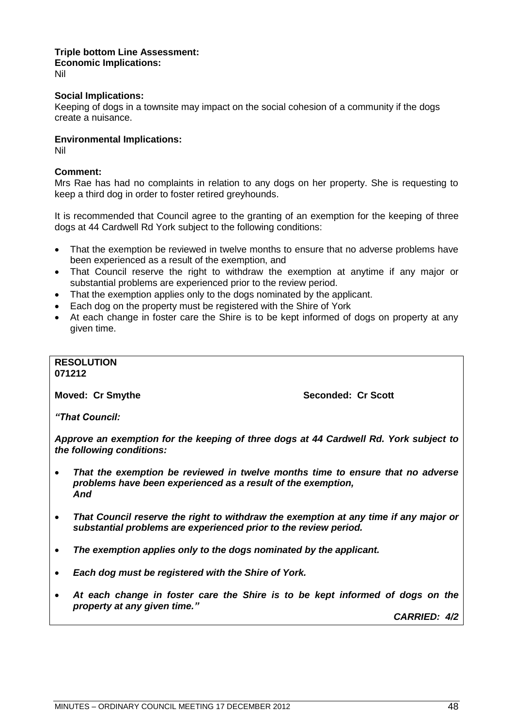#### **Triple bottom Line Assessment: Economic Implications:** Nil

### **Social Implications:**

Keeping of dogs in a townsite may impact on the social cohesion of a community if the dogs create a nuisance.

### **Environmental Implications:**

Nil

### **Comment:**

Mrs Rae has had no complaints in relation to any dogs on her property. She is requesting to keep a third dog in order to foster retired greyhounds.

It is recommended that Council agree to the granting of an exemption for the keeping of three dogs at 44 Cardwell Rd York subject to the following conditions:

- That the exemption be reviewed in twelve months to ensure that no adverse problems have been experienced as a result of the exemption, and
- That Council reserve the right to withdraw the exemption at anytime if any major or substantial problems are experienced prior to the review period.
- That the exemption applies only to the dogs nominated by the applicant.
- Each dog on the property must be registered with the Shire of York
- At each change in foster care the Shire is to be kept informed of dogs on property at any given time.

#### **RESOLUTION 071212**

**Moved: Cr Smythe Seconded: Cr Scott** 

*"That Council:*

*Approve an exemption for the keeping of three dogs at 44 Cardwell Rd. York subject to the following conditions:*

- *That the exemption be reviewed in twelve months time to ensure that no adverse problems have been experienced as a result of the exemption, And*
- *That Council reserve the right to withdraw the exemption at any time if any major or substantial problems are experienced prior to the review period.*
- *The exemption applies only to the dogs nominated by the applicant.*
- *Each dog must be registered with the Shire of York.*
- *At each change in foster care the Shire is to be kept informed of dogs on the property at any given time."*

*CARRIED: 4/2*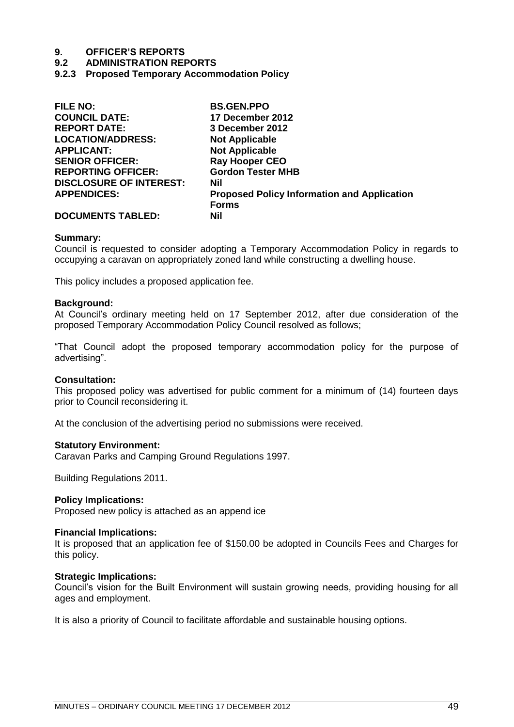### **9.2 ADMINISTRATION REPORTS**

**9.2.3 Proposed Temporary Accommodation Policy**

| <b>FILE NO:</b>                | <b>BS.GEN.PPO</b>                                  |
|--------------------------------|----------------------------------------------------|
| <b>COUNCIL DATE:</b>           | 17 December 2012                                   |
| <b>REPORT DATE:</b>            | 3 December 2012                                    |
| <b>LOCATION/ADDRESS:</b>       | <b>Not Applicable</b>                              |
| <b>APPLICANT:</b>              | <b>Not Applicable</b>                              |
| <b>SENIOR OFFICER:</b>         | <b>Ray Hooper CEO</b>                              |
| <b>REPORTING OFFICER:</b>      | <b>Gordon Tester MHB</b>                           |
| <b>DISCLOSURE OF INTEREST:</b> | Nil                                                |
| <b>APPENDICES:</b>             | <b>Proposed Policy Information and Application</b> |
|                                | <b>Forms</b>                                       |
| <b>DOCUMENTS TABLED:</b>       | Nil                                                |

#### **Summary:**

Council is requested to consider adopting a Temporary Accommodation Policy in regards to occupying a caravan on appropriately zoned land while constructing a dwelling house.

This policy includes a proposed application fee.

#### **Background:**

At Council's ordinary meeting held on 17 September 2012, after due consideration of the proposed Temporary Accommodation Policy Council resolved as follows;

―That Council adopt the proposed temporary accommodation policy for the purpose of advertising".

#### **Consultation:**

This proposed policy was advertised for public comment for a minimum of (14) fourteen days prior to Council reconsidering it.

At the conclusion of the advertising period no submissions were received.

#### **Statutory Environment:**

Caravan Parks and Camping Ground Regulations 1997.

Building Regulations 2011.

#### **Policy Implications:**

Proposed new policy is attached as an append ice

#### **Financial Implications:**

It is proposed that an application fee of \$150.00 be adopted in Councils Fees and Charges for this policy.

#### **Strategic Implications:**

Council's vision for the Built Environment will sustain growing needs, providing housing for all ages and employment.

It is also a priority of Council to facilitate affordable and sustainable housing options.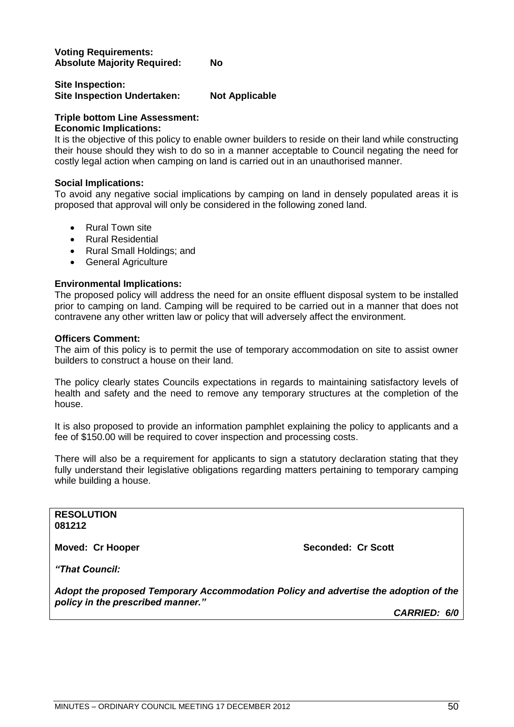### **Voting Requirements: Absolute Majority Required: No**

# **Site Inspection: Site Inspection Undertaken: Not Applicable**

# **Triple bottom Line Assessment:**

# **Economic Implications:**

It is the objective of this policy to enable owner builders to reside on their land while constructing their house should they wish to do so in a manner acceptable to Council negating the need for costly legal action when camping on land is carried out in an unauthorised manner.

# **Social Implications:**

To avoid any negative social implications by camping on land in densely populated areas it is proposed that approval will only be considered in the following zoned land.

- Rural Town site
- Rural Residential
- Rural Small Holdings; and
- General Agriculture

# **Environmental Implications:**

The proposed policy will address the need for an onsite effluent disposal system to be installed prior to camping on land. Camping will be required to be carried out in a manner that does not contravene any other written law or policy that will adversely affect the environment.

## **Officers Comment:**

The aim of this policy is to permit the use of temporary accommodation on site to assist owner builders to construct a house on their land.

The policy clearly states Councils expectations in regards to maintaining satisfactory levels of health and safety and the need to remove any temporary structures at the completion of the house.

It is also proposed to provide an information pamphlet explaining the policy to applicants and a fee of \$150.00 will be required to cover inspection and processing costs.

There will also be a requirement for applicants to sign a statutory declaration stating that they fully understand their legislative obligations regarding matters pertaining to temporary camping while building a house.

**RESOLUTION 081212**

**Moved: Cr Hooper Seconded: Cr Scott** 

*"That Council:*

*Adopt the proposed Temporary Accommodation Policy and advertise the adoption of the policy in the prescribed manner."*

*CARRIED: 6/0*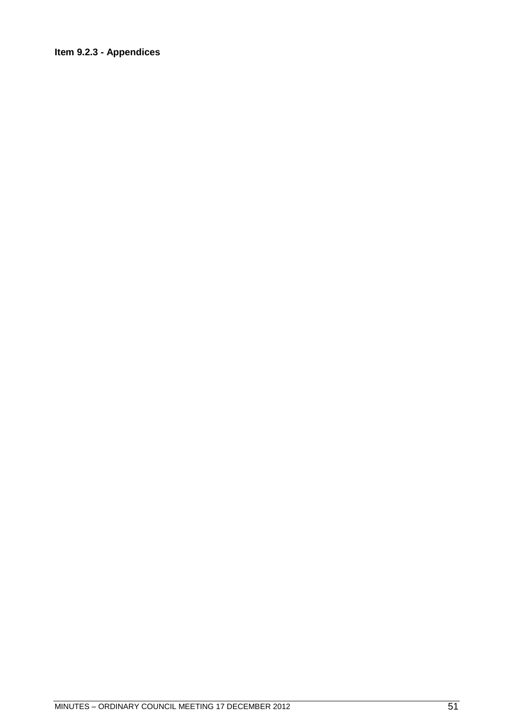# Item 9.2.3 - Appendices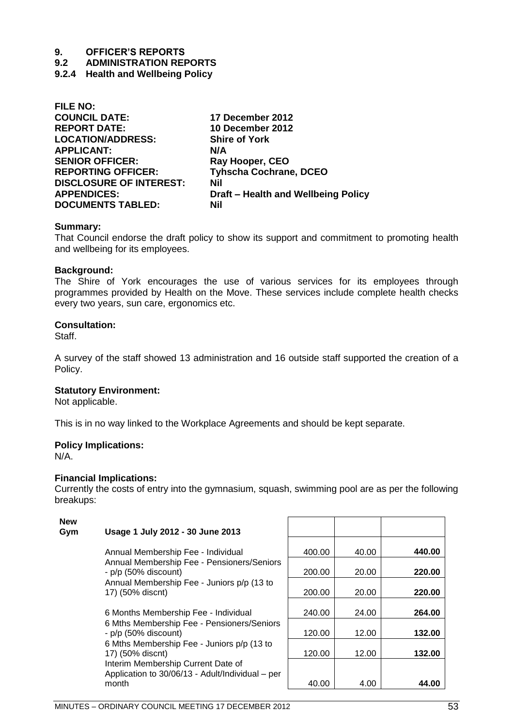**9.2 ADMINISTRATION REPORTS**

**9.2.4 Health and Wellbeing Policy**

| <b>FILE NO:</b>                |                                     |
|--------------------------------|-------------------------------------|
| <b>COUNCIL DATE:</b>           | 17 December 2012                    |
| <b>REPORT DATE:</b>            | 10 December 2012                    |
| <b>LOCATION/ADDRESS:</b>       | <b>Shire of York</b>                |
| <b>APPLICANT:</b>              | N/A                                 |
| <b>SENIOR OFFICER:</b>         | Ray Hooper, CEO                     |
| <b>REPORTING OFFICER:</b>      | <b>Tyhscha Cochrane, DCEO</b>       |
| <b>DISCLOSURE OF INTEREST:</b> | Nil                                 |
| <b>APPENDICES:</b>             | Draft – Health and Wellbeing Policy |
| <b>DOCUMENTS TABLED:</b>       | Nil                                 |

#### **Summary:**

That Council endorse the draft policy to show its support and commitment to promoting health and wellbeing for its employees.

#### **Background:**

The Shire of York encourages the use of various services for its employees through programmes provided by Health on the Move. These services include complete health checks every two years, sun care, ergonomics etc.

### **Consultation:**

Staff.

A survey of the staff showed 13 administration and 16 outside staff supported the creation of a Policy.

#### **Statutory Environment:**

Not applicable.

This is in no way linked to the Workplace Agreements and should be kept separate.

## **Policy Implications:**

N/A.

## **Financial Implications:**

Currently the costs of entry into the gymnasium, squash, swimming pool are as per the following breakups:

| <b>New</b><br>Gym | Usage 1 July 2012 - 30 June 2013                                                       |        |       |        |
|-------------------|----------------------------------------------------------------------------------------|--------|-------|--------|
|                   | Annual Membership Fee - Individual                                                     | 400.00 | 40.00 | 440.00 |
|                   | Annual Membership Fee - Pensioners/Seniors<br>- p/p (50% discount)                     | 200.00 | 20.00 | 220.00 |
|                   | Annual Membership Fee - Juniors p/p (13 to<br>17) (50% discnt)                         | 200.00 | 20.00 | 220.00 |
|                   | 6 Months Membership Fee - Individual                                                   | 240.00 | 24.00 | 264.00 |
|                   | 6 Mths Membership Fee - Pensioners/Seniors<br>- p/p (50% discount)                     | 120.00 | 12.00 | 132.00 |
|                   | 6 Mths Membership Fee - Juniors p/p (13 to<br>17) (50% discnt)                         | 120.00 | 12.00 | 132.00 |
|                   | Interim Membership Current Date of<br>Application to 30/06/13 - Adult/Individual – per |        |       |        |
|                   | month                                                                                  | 40.00  | 4.00  | 44.00  |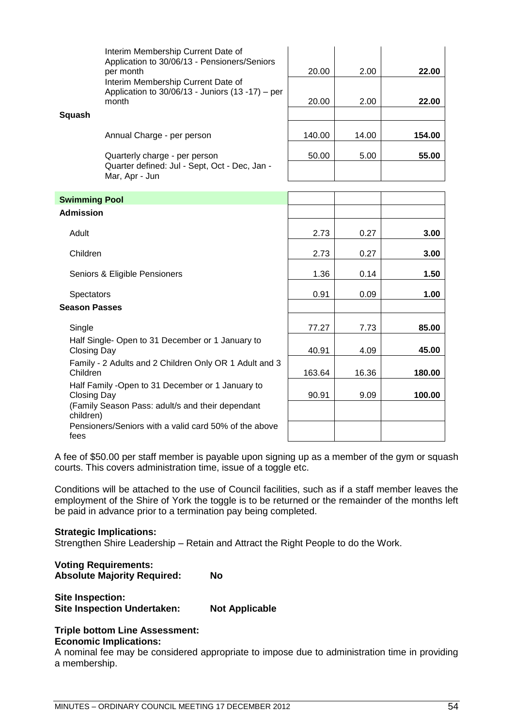|                      | Interim Membership Current Date of<br>Application to 30/06/13 - Pensioners/Seniors<br>per month      | 20.00  | 2.00  | 22.00  |
|----------------------|------------------------------------------------------------------------------------------------------|--------|-------|--------|
|                      | Interim Membership Current Date of<br>Application to 30/06/13 - Juniors (13 -17) - per<br>month      | 20.00  | 2.00  | 22.00  |
| Squash               | Annual Charge - per person                                                                           | 140.00 | 14.00 | 154.00 |
|                      | Quarterly charge - per person<br>Quarter defined: Jul - Sept, Oct - Dec, Jan -<br>Mar, Apr - Jun     | 50.00  | 5.00  | 55.00  |
| <b>Swimming Pool</b> |                                                                                                      |        |       |        |
| <b>Admission</b>     |                                                                                                      |        |       |        |
| Adult                |                                                                                                      | 2.73   | 0.27  | 3.00   |
| Children             |                                                                                                      | 2.73   | 0.27  | 3.00   |
|                      | Seniors & Eligible Pensioners                                                                        | 1.36   | 0.14  | 1.50   |
| <b>Spectators</b>    |                                                                                                      | 0.91   | 0.09  | 1.00   |
| <b>Season Passes</b> |                                                                                                      |        |       |        |
| Single               |                                                                                                      | 77.27  | 7.73  | 85.00  |
| <b>Closing Day</b>   | Half Single- Open to 31 December or 1 January to                                                     | 40.91  | 4.09  | 45.00  |
| Children             | Family - 2 Adults and 2 Children Only OR 1 Adult and 3                                               | 163.64 | 16.36 | 180.00 |
| <b>Closing Day</b>   | Half Family -Open to 31 December or 1 January to<br>(Family Season Pass: adult/s and their dependant | 90.91  | 9.09  | 100.00 |
| children)<br>fees    | Pensioners/Seniors with a valid card 50% of the above                                                |        |       |        |

A fee of \$50.00 per staff member is payable upon signing up as a member of the gym or squash courts. This covers administration time, issue of a toggle etc.

Conditions will be attached to the use of Council facilities, such as if a staff member leaves the employment of the Shire of York the toggle is to be returned or the remainder of the months left be paid in advance prior to a termination pay being completed.

#### **Strategic Implications:**

Strengthen Shire Leadership – Retain and Attract the Right People to do the Work.

# **Voting Requirements: Absolute Majority Required: No**

**Site Inspection: Site Inspection Undertaken: Not Applicable**

# **Triple bottom Line Assessment:**

# **Economic Implications:**

A nominal fee may be considered appropriate to impose due to administration time in providing a membership.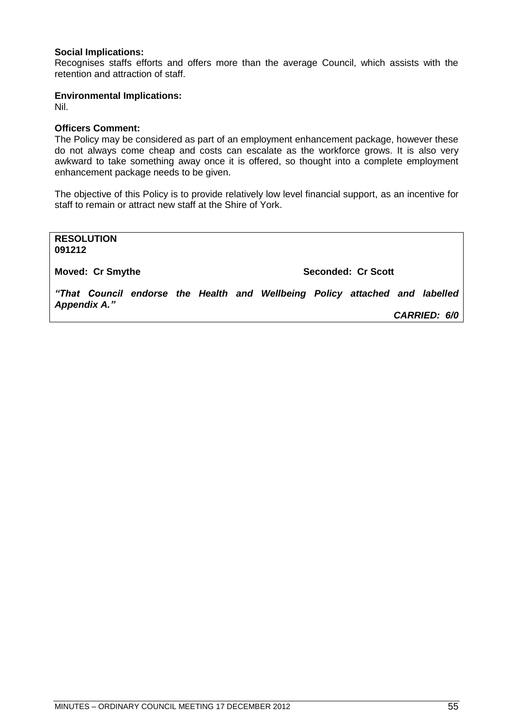### **Social Implications:**

Recognises staffs efforts and offers more than the average Council, which assists with the retention and attraction of staff.

#### **Environmental Implications:**

Nil.

### **Officers Comment:**

The Policy may be considered as part of an employment enhancement package, however these do not always come cheap and costs can escalate as the workforce grows. It is also very awkward to take something away once it is offered, so thought into a complete employment enhancement package needs to be given.

The objective of this Policy is to provide relatively low level financial support, as an incentive for staff to remain or attract new staff at the Shire of York.

**RESOLUTION 091212**

**Moved: Cr Smythe Seconded: Cr Scott** 

*"That Council endorse the Health and Wellbeing Policy attached and labelled Appendix A."*

*CARRIED: 6/0*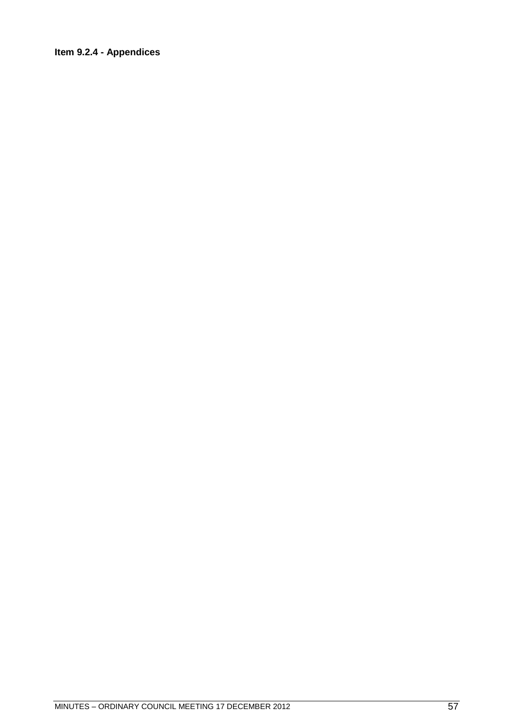# Item 9.2.4 - Appendices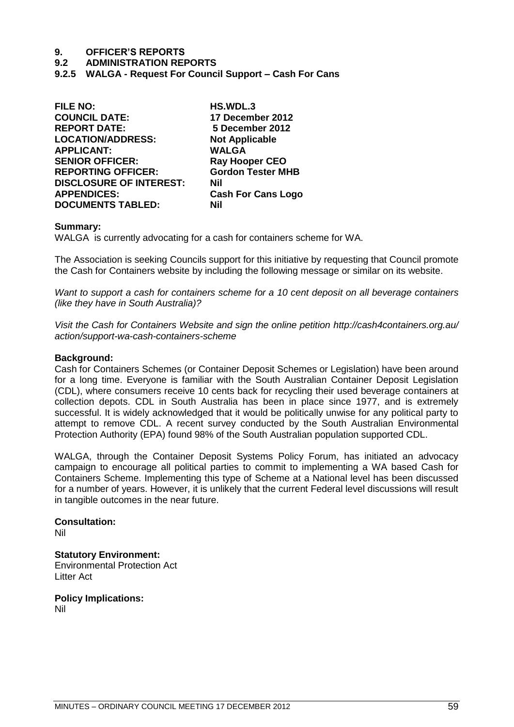**9.2 ADMINISTRATION REPORTS**

**9.2.5 WALGA - Request For Council Support – Cash For Cans**

| <b>FILE NO:</b>                | HS.WDL.3                  |
|--------------------------------|---------------------------|
| <b>COUNCIL DATE:</b>           | 17 December 2012          |
| <b>REPORT DATE:</b>            | 5 December 2012           |
| <b>LOCATION/ADDRESS:</b>       | <b>Not Applicable</b>     |
| <b>APPLICANT:</b>              | <b>WALGA</b>              |
| <b>SENIOR OFFICER:</b>         | <b>Ray Hooper CEO</b>     |
| <b>REPORTING OFFICER:</b>      | <b>Gordon Tester MHB</b>  |
| <b>DISCLOSURE OF INTEREST:</b> | Nil                       |
| <b>APPENDICES:</b>             | <b>Cash For Cans Logo</b> |
| <b>DOCUMENTS TABLED:</b>       | Nil                       |

#### **Summary:**

WALGA is currently advocating for a cash for containers scheme for WA.

The Association is seeking Councils support for this initiative by requesting that Council promote the Cash for Containers website by including the following message or similar on its website.

*Want to support a cash for containers scheme for a 10 cent deposit on all beverage containers (like they have in South Australia)?*

*Visit the Cash for Containers Website and sign the online petition<http://cash4containers.org.au/> action/support-wa-cash-containers-scheme*

### **Background:**

Cash for Containers Schemes (or Container Deposit Schemes or Legislation) have been around for a long time. Everyone is familiar with the South Australian Container Deposit Legislation (CDL), where consumers receive 10 cents back for recycling their used beverage containers at collection depots. CDL in South Australia has been in place since 1977, and is extremely successful. It is widely acknowledged that it would be politically unwise for any political party to attempt to remove CDL. A recent survey conducted by the South Australian Environmental Protection Authority (EPA) found 98% of the South Australian population supported CDL.

WALGA, through the Container Deposit Systems Policy Forum, has initiated an advocacy campaign to encourage all political parties to commit to implementing a WA based Cash for Containers Scheme. Implementing this type of Scheme at a National level has been discussed for a number of years. However, it is unlikely that the current Federal level discussions will result in tangible outcomes in the near future.

**Consultation:** Nil

**Statutory Environment:** Environmental Protection Act Litter Act

**Policy Implications:** Nil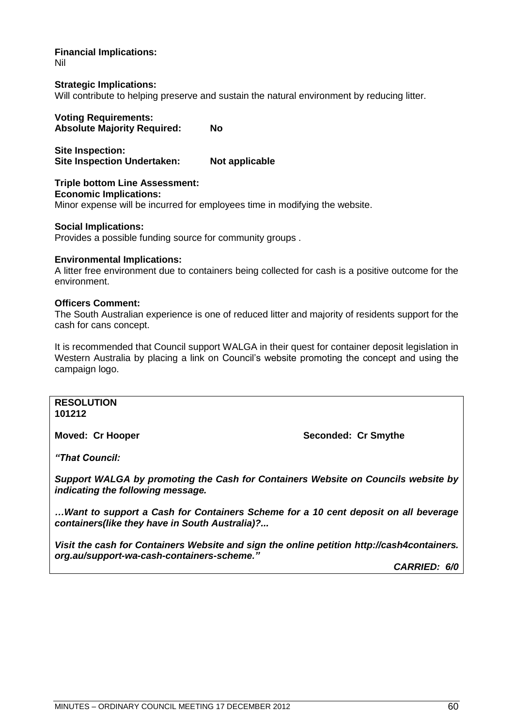**Financial Implications:** Nil

**Strategic Implications:** Will contribute to helping preserve and sustain the natural environment by reducing litter.

**Voting Requirements: Absolute Majority Required: No**

**Site Inspection: Site Inspection Undertaken: Not applicable**

**Triple bottom Line Assessment: Economic Implications:** Minor expense will be incurred for employees time in modifying the website.

**Social Implications:** Provides a possible funding source for community groups .

## **Environmental Implications:**

A litter free environment due to containers being collected for cash is a positive outcome for the environment.

### **Officers Comment:**

The South Australian experience is one of reduced litter and majority of residents support for the cash for cans concept.

It is recommended that Council support WALGA in their quest for container deposit legislation in Western Australia by placing a link on Council's website promoting the concept and using the campaign logo.

**RESOLUTION 101212**

**Moved: Cr Hooper Seconded: Cr Smythe**

*"That Council:*

*Support WALGA by promoting the Cash for Containers Website on Councils website by indicating the following message.*

*…Want to support a Cash for Containers Scheme for a 10 cent deposit on all beverage containers(like they have in South Australia)?...*

*Visit the cash for Containers Website and sign the online petition http://cash4containers. org.au/support-wa-cash-containers-scheme."*

*CARRIED: 6/0*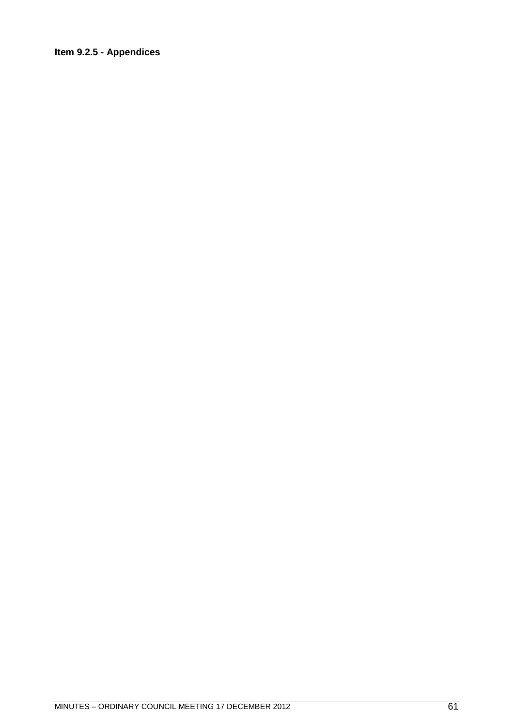# Item 9.2.5 - Appendices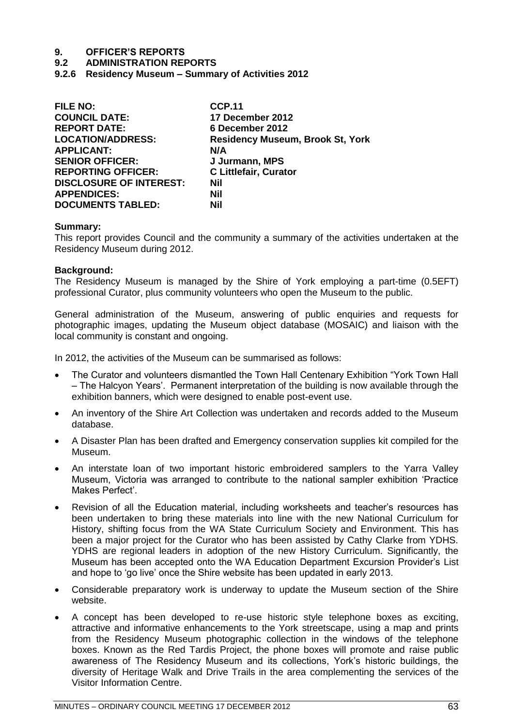# **9.2 ADMINISTRATION REPORTS**

**9.2.6 Residency Museum – Summary of Activities 2012**

| <b>FILE NO:</b>                | <b>CCP.11</b>                           |
|--------------------------------|-----------------------------------------|
| <b>COUNCIL DATE:</b>           | 17 December 2012                        |
| <b>REPORT DATE:</b>            | 6 December 2012                         |
| <b>LOCATION/ADDRESS:</b>       | <b>Residency Museum, Brook St, York</b> |
| <b>APPLICANT:</b>              | N/A                                     |
| <b>SENIOR OFFICER:</b>         | J Jurmann, MPS                          |
| <b>REPORTING OFFICER:</b>      | <b>C Littlefair, Curator</b>            |
| <b>DISCLOSURE OF INTEREST:</b> | Nil                                     |
| <b>APPENDICES:</b>             | Nil                                     |
| <b>DOCUMENTS TABLED:</b>       | Nil                                     |

#### **Summary:**

This report provides Council and the community a summary of the activities undertaken at the Residency Museum during 2012.

#### **Background:**

The Residency Museum is managed by the Shire of York employing a part-time (0.5EFT) professional Curator, plus community volunteers who open the Museum to the public.

General administration of the Museum, answering of public enquiries and requests for photographic images, updating the Museum object database (MOSAIC) and liaison with the local community is constant and ongoing.

In 2012, the activities of the Museum can be summarised as follows:

- The Curator and volunteers dismantled the Town Hall Centenary Exhibition "York Town Hall – The Halcyon Years'. Permanent interpretation of the building is now available through the exhibition banners, which were designed to enable post-event use.
- An inventory of the Shire Art Collection was undertaken and records added to the Museum database.
- A Disaster Plan has been drafted and Emergency conservation supplies kit compiled for the Museum.
- An interstate loan of two important historic embroidered samplers to the Yarra Valley Museum, Victoria was arranged to contribute to the national sampler exhibition 'Practice Makes Perfect'.
- Revision of all the Education material, including worksheets and teacher's resources has been undertaken to bring these materials into line with the new National Curriculum for History, shifting focus from the WA State Curriculum Society and Environment. This has been a major project for the Curator who has been assisted by Cathy Clarke from YDHS. YDHS are regional leaders in adoption of the new History Curriculum. Significantly, the Museum has been accepted onto the WA Education Department Excursion Provider's List and hope to 'go live' once the Shire website has been updated in early 2013.
- Considerable preparatory work is underway to update the Museum section of the Shire website.
- A concept has been developed to re-use historic style telephone boxes as exciting, attractive and informative enhancements to the York streetscape, using a map and prints from the Residency Museum photographic collection in the windows of the telephone boxes. Known as the Red Tardis Project, the phone boxes will promote and raise public awareness of The Residency Museum and its collections, York's historic buildings, the diversity of Heritage Walk and Drive Trails in the area complementing the services of the Visitor Information Centre.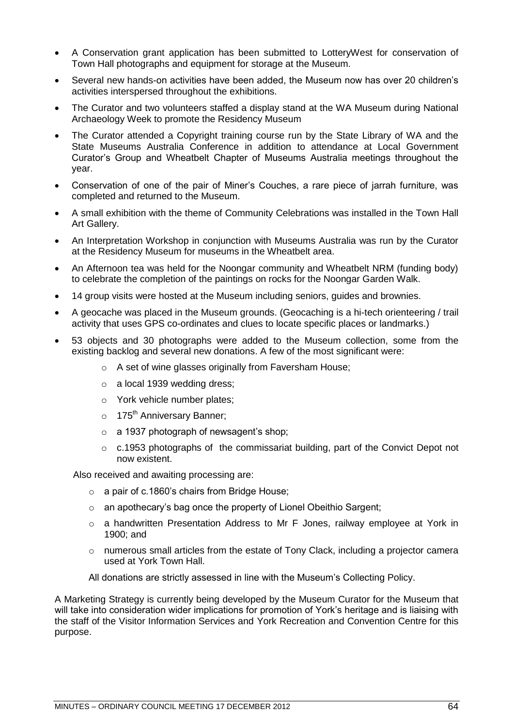- A Conservation grant application has been submitted to LotteryWest for conservation of Town Hall photographs and equipment for storage at the Museum.
- Several new hands-on activities have been added, the Museum now has over 20 children's activities interspersed throughout the exhibitions.
- The Curator and two volunteers staffed a display stand at the WA Museum during National Archaeology Week to promote the Residency Museum
- The Curator attended a Copyright training course run by the State Library of WA and the State Museums Australia Conference in addition to attendance at Local Government Curator's Group and Wheatbelt Chapter of Museums Australia meetings throughout the year.
- Conservation of one of the pair of Miner's Couches, a rare piece of jarrah furniture, was completed and returned to the Museum.
- A small exhibition with the theme of Community Celebrations was installed in the Town Hall Art Gallery.
- An Interpretation Workshop in conjunction with Museums Australia was run by the Curator at the Residency Museum for museums in the Wheatbelt area.
- An Afternoon tea was held for the Noongar community and Wheatbelt NRM (funding body) to celebrate the completion of the paintings on rocks for the Noongar Garden Walk.
- 14 group visits were hosted at the Museum including seniors, guides and brownies.
- A geocache was placed in the Museum grounds. (Geocaching is a hi-tech orienteering / trail activity that uses GPS co-ordinates and clues to locate specific places or landmarks.)
- 53 objects and 30 photographs were added to the Museum collection, some from the existing backlog and several new donations. A few of the most significant were:
	- o A set of wine glasses originally from Faversham House;
	- o a local 1939 wedding dress;
	- o York vehicle number plates;
	- $\circ$  175<sup>th</sup> Anniversary Banner:
	- o a 1937 photograph of newsagent's shop;
	- $\circ$  c.1953 photographs of the commissariat building, part of the Convict Depot not now existent.

Also received and awaiting processing are:

- o a pair of c.1860's chairs from Bridge House;
- o an apothecary's bag once the property of Lionel Obeithio Sargent;
- o a handwritten Presentation Address to Mr F Jones, railway employee at York in 1900; and
- $\circ$  numerous small articles from the estate of Tony Clack, including a projector camera used at York Town Hall.

All donations are strictly assessed in line with the Museum's Collecting Policy.

A Marketing Strategy is currently being developed by the Museum Curator for the Museum that will take into consideration wider implications for promotion of York's heritage and is liaising with the staff of the Visitor Information Services and York Recreation and Convention Centre for this purpose.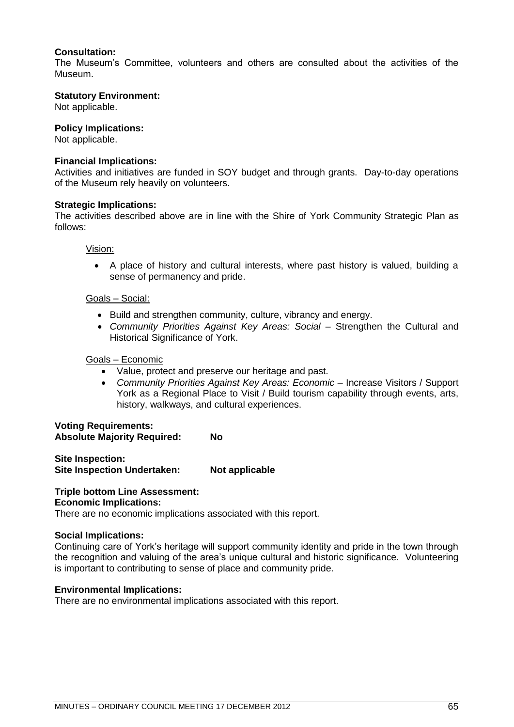# **Consultation:**

The Museum's Committee, volunteers and others are consulted about the activities of the Museum.

### **Statutory Environment:**

Not applicable.

#### **Policy Implications:**

Not applicable.

### **Financial Implications:**

Activities and initiatives are funded in SOY budget and through grants. Day-to-day operations of the Museum rely heavily on volunteers.

### **Strategic Implications:**

The activities described above are in line with the Shire of York Community Strategic Plan as follows:

Vision:

 A place of history and cultural interests, where past history is valued, building a sense of permanency and pride.

# Goals – Social:

- Build and strengthen community, culture, vibrancy and energy.
- *Community Priorities Against Key Areas: Social –* Strengthen the Cultural and Historical Significance of York.

#### Goals – Economic

- Value, protect and preserve our heritage and past.
- *Community Priorities Against Key Areas: Economic –* Increase Visitors / Support York as a Regional Place to Visit / Build tourism capability through events, arts, history, walkways, and cultural experiences.

### **Voting Requirements: Absolute Majority Required: No**

**Site Inspection: Site Inspection Undertaken: Not applicable**

# **Triple bottom Line Assessment:**

# **Economic Implications:**

There are no economic implications associated with this report.

#### **Social Implications:**

Continuing care of York's heritage will support community identity and pride in the town through the recognition and valuing of the area's unique cultural and historic significance. Volunteering is important to contributing to sense of place and community pride.

#### **Environmental Implications:**

There are no environmental implications associated with this report.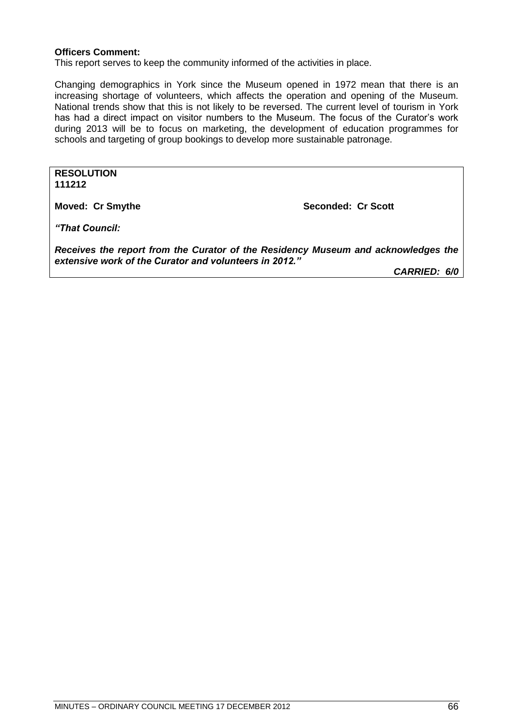## **Officers Comment:**

This report serves to keep the community informed of the activities in place.

Changing demographics in York since the Museum opened in 1972 mean that there is an increasing shortage of volunteers, which affects the operation and opening of the Museum. National trends show that this is not likely to be reversed. The current level of tourism in York has had a direct impact on visitor numbers to the Museum. The focus of the Curator's work during 2013 will be to focus on marketing, the development of education programmes for schools and targeting of group bookings to develop more sustainable patronage.

**RESOLUTION 111212**

**Moved: Cr Smythe Seconded: Cr Scott** 

*"That Council:*

*Receives the report from the Curator of the Residency Museum and acknowledges the extensive work of the Curator and volunteers in 2012."*

*CARRIED: 6/0*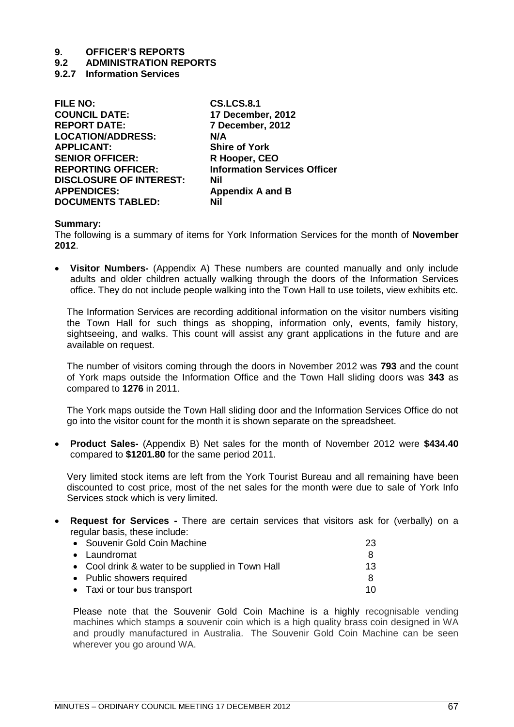# **9.2 ADMINISTRATION REPORTS**

**9.2.7 Information Services**

| <b>FILE NO:</b>                | <b>CS.LCS.8.1</b>                   |
|--------------------------------|-------------------------------------|
| <b>COUNCIL DATE:</b>           | 17 December, 2012                   |
| <b>REPORT DATE:</b>            | 7 December, 2012                    |
| <b>LOCATION/ADDRESS:</b>       | N/A                                 |
| <b>APPLICANT:</b>              | <b>Shire of York</b>                |
| <b>SENIOR OFFICER:</b>         | R Hooper, CEO                       |
| <b>REPORTING OFFICER:</b>      | <b>Information Services Officer</b> |
| <b>DISCLOSURE OF INTEREST:</b> | Nil                                 |
| <b>APPENDICES:</b>             | <b>Appendix A and B</b>             |
| <b>DOCUMENTS TABLED:</b>       | Nil                                 |
|                                |                                     |

### **Summary:**

The following is a summary of items for York Information Services for the month of **November 2012**.

 **Visitor Numbers-** (Appendix A) These numbers are counted manually and only include adults and older children actually walking through the doors of the Information Services office. They do not include people walking into the Town Hall to use toilets, view exhibits etc.

The Information Services are recording additional information on the visitor numbers visiting the Town Hall for such things as shopping, information only, events, family history, sightseeing, and walks. This count will assist any grant applications in the future and are available on request.

The number of visitors coming through the doors in November 2012 was **793** and the count of York maps outside the Information Office and the Town Hall sliding doors was **343** as compared to **1276** in 2011.

The York maps outside the Town Hall sliding door and the Information Services Office do not go into the visitor count for the month it is shown separate on the spreadsheet.

 **Product Sales-** (Appendix B) Net sales for the month of November 2012 were **\$434.40** compared to **\$1201.80** for the same period 2011.

Very limited stock items are left from the York Tourist Bureau and all remaining have been discounted to cost price, most of the net sales for the month were due to sale of York Info Services stock which is very limited.

 **Request for Services -** There are certain services that visitors ask for (verbally) on a regular basis, these include:

| • Souvenir Gold Coin Machine                     | 23 |
|--------------------------------------------------|----|
| • Laundromat                                     | 8  |
| • Cool drink & water to be supplied in Town Hall | 13 |
| • Public showers required                        | 8  |
| • Taxi or tour bus transport                     | 10 |

Please note that the Souvenir Gold Coin Machine is a highly recognisable vending machines which stamps a souvenir coin which is a high quality brass coin designed in WA and proudly manufactured in Australia. The Souvenir Gold Coin Machine can be seen wherever you go around WA.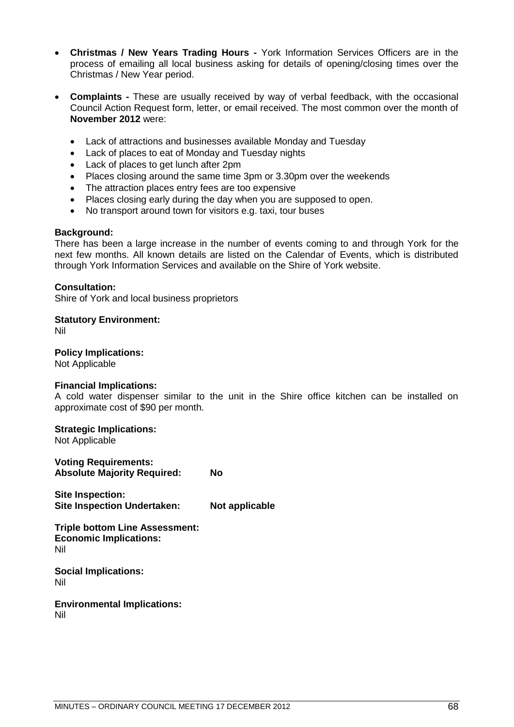- **Christmas / New Years Trading Hours -** York Information Services Officers are in the process of emailing all local business asking for details of opening/closing times over the Christmas / New Year period.
- **Complaints -** These are usually received by way of verbal feedback, with the occasional Council Action Request form, letter, or email received. The most common over the month of **November 2012** were:
	- Lack of attractions and businesses available Monday and Tuesday
	- Lack of places to eat of Monday and Tuesday nights
	- Lack of places to get lunch after 2pm
	- Places closing around the same time 3pm or 3.30pm over the weekends
	- The attraction places entry fees are too expensive
	- Places closing early during the day when you are supposed to open.
	- No transport around town for visitors e.g. taxi, tour buses

## **Background:**

There has been a large increase in the number of events coming to and through York for the next few months. All known details are listed on the Calendar of Events, which is distributed through York Information Services and available on the Shire of York website.

### **Consultation:**

Shire of York and local business proprietors

**Statutory Environment:**

Nil

**Policy Implications:** Not Applicable

**Financial Implications:**

A cold water dispenser similar to the unit in the Shire office kitchen can be installed on approximate cost of \$90 per month.

## **Strategic Implications:**

Not Applicable

**Voting Requirements: Absolute Majority Required: No Site Inspection:**

**Site Inspection Undertaken: Not applicable**

**Triple bottom Line Assessment: Economic Implications:** Nil

**Social Implications:** Nil

**Environmental Implications:** Nil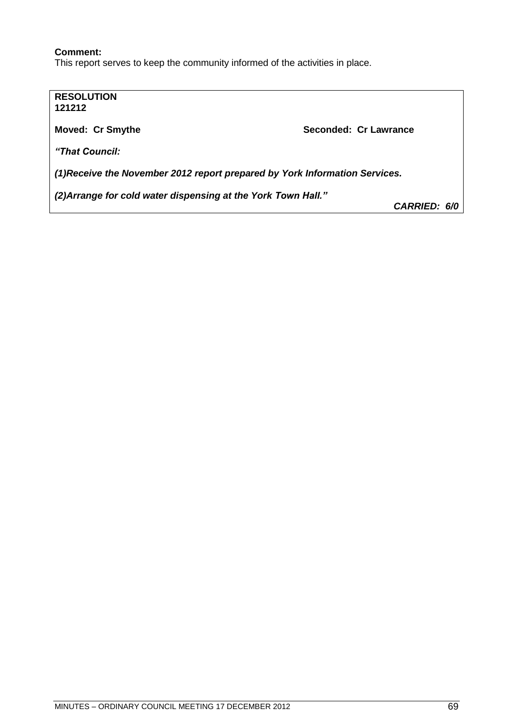# **Comment:**

This report serves to keep the community informed of the activities in place.

**RESOLUTION 121212 Moved: Cr Smythe Seconded: Cr Lawrance Seconded: Cr Lawrance** *"That Council: (1)Receive the November 2012 report prepared by York Information Services. (2)Arrange for cold water dispensing at the York Town Hall." CARRIED: 6/0*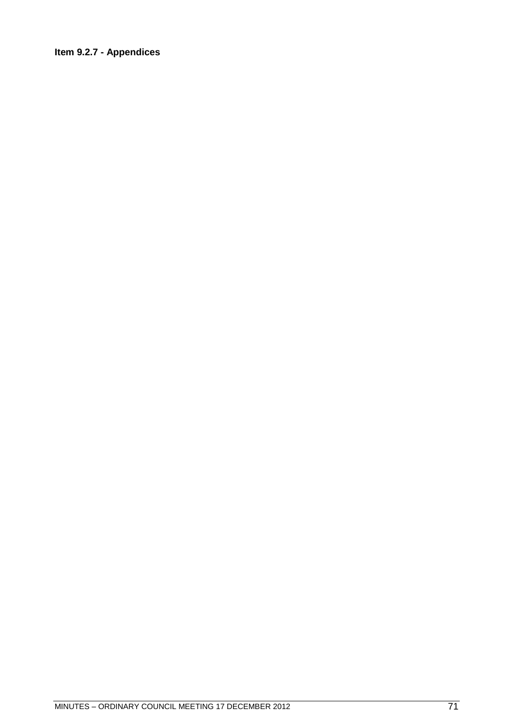# Item 9.2.7 - Appendices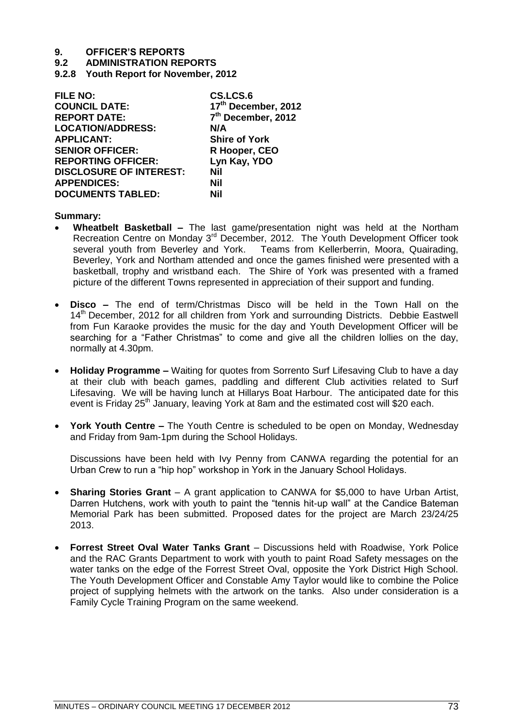**9.2 ADMINISTRATION REPORTS**

**9.2.8 Youth Report for November, 2012**

| <b>FILE NO:</b>                | CS.LCS.6                       |
|--------------------------------|--------------------------------|
| <b>COUNCIL DATE:</b>           | 17th December, 2012            |
| <b>REPORT DATE:</b>            | 7 <sup>th</sup> December, 2012 |
| <b>LOCATION/ADDRESS:</b>       | N/A                            |
| <b>APPLICANT:</b>              | <b>Shire of York</b>           |
| <b>SENIOR OFFICER:</b>         | R Hooper, CEO                  |
| <b>REPORTING OFFICER:</b>      | Lyn Kay, YDO                   |
| <b>DISCLOSURE OF INTEREST:</b> | Nil                            |
| <b>APPENDICES:</b>             | Nil                            |
| <b>DOCUMENTS TABLED:</b>       | Nil                            |

## **Summary:**

- **Wheatbelt Basketball –** The last game/presentation night was held at the Northam Recreation Centre on Monday 3<sup>rd</sup> December, 2012. The Youth Development Officer took several youth from Beverley and York. Teams from Kellerberrin, Moora, Quairading, Beverley, York and Northam attended and once the games finished were presented with a basketball, trophy and wristband each. The Shire of York was presented with a framed picture of the different Towns represented in appreciation of their support and funding.
- **Disco –** The end of term/Christmas Disco will be held in the Town Hall on the 14<sup>th</sup> December, 2012 for all children from York and surrounding Districts. Debbie Eastwell from Fun Karaoke provides the music for the day and Youth Development Officer will be searching for a "Father Christmas" to come and give all the children lollies on the day, normally at 4.30pm.
- **Holiday Programme –** Waiting for quotes from Sorrento Surf Lifesaving Club to have a day at their club with beach games, paddling and different Club activities related to Surf Lifesaving. We will be having lunch at Hillarys Boat Harbour. The anticipated date for this event is Friday 25<sup>th</sup> January, leaving York at 8am and the estimated cost will \$20 each.
- **York Youth Centre –** The Youth Centre is scheduled to be open on Monday, Wednesday and Friday from 9am-1pm during the School Holidays.

Discussions have been held with Ivy Penny from CANWA regarding the potential for an Urban Crew to run a "hip hop" workshop in York in the January School Holidays.

- **Sharing Stories Grant** A grant application to CANWA for \$5,000 to have Urban Artist. Darren Hutchens, work with youth to paint the "tennis hit-up wall" at the Candice Bateman Memorial Park has been submitted. Proposed dates for the project are March 23/24/25 2013.
- **Forrest Street Oval Water Tanks Grant**  Discussions held with Roadwise, York Police and the RAC Grants Department to work with youth to paint Road Safety messages on the water tanks on the edge of the Forrest Street Oval, opposite the York District High School. The Youth Development Officer and Constable Amy Taylor would like to combine the Police project of supplying helmets with the artwork on the tanks. Also under consideration is a Family Cycle Training Program on the same weekend.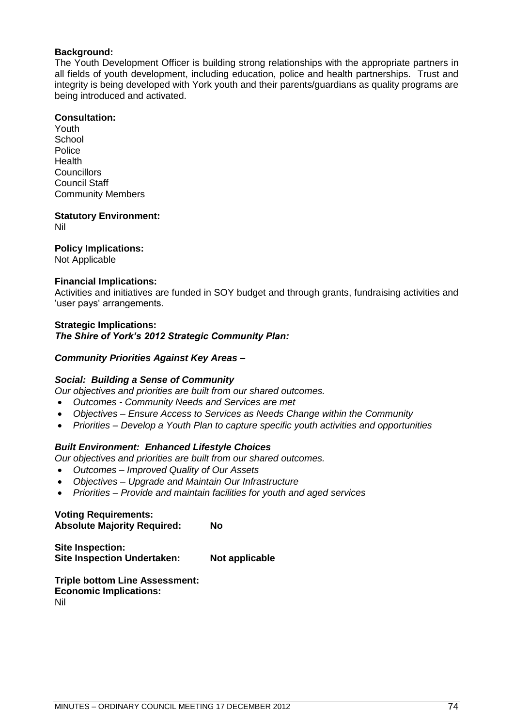## **Background:**

The Youth Development Officer is building strong relationships with the appropriate partners in all fields of youth development, including education, police and health partnerships. Trust and integrity is being developed with York youth and their parents/guardians as quality programs are being introduced and activated.

## **Consultation:**

Youth **School** Police Health **Councillors** Council Staff Community Members

**Statutory Environment:** Nil

## **Policy Implications:**

Not Applicable

## **Financial Implications:**

Activities and initiatives are funded in SOY budget and through grants, fundraising activities and 'user pays' arrangements.

## **Strategic Implications:**

*The Shire of York"s 2012 Strategic Community Plan:* 

## *Community Priorities Against Key Areas –*

## *Social: Building a Sense of Community*

*Our objectives and priorities are built from our shared outcomes.*

- *Outcomes - Community Needs and Services are met*
- *Objectives – Ensure Access to Services as Needs Change within the Community*
- *Priorities – Develop a Youth Plan to capture specific youth activities and opportunities*

## *Built Environment: Enhanced Lifestyle Choices*

*Our objectives and priorities are built from our shared outcomes.*

- *Outcomes – Improved Quality of Our Assets*
- *Objectives – Upgrade and Maintain Our Infrastructure*
- *Priorities – Provide and maintain facilities for youth and aged services*

## **Voting Requirements: Absolute Majority Required: No**

**Site Inspection: Site Inspection Undertaken: Not applicable**

**Triple bottom Line Assessment: Economic Implications:** Nil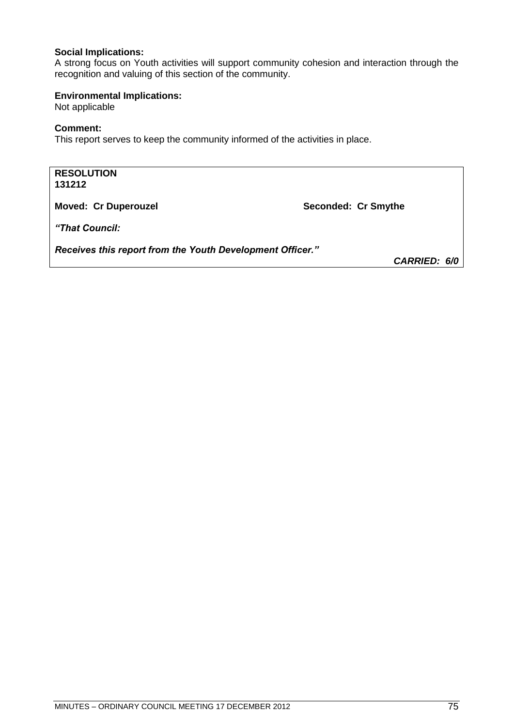## **Social Implications:**

A strong focus on Youth activities will support community cohesion and interaction through the recognition and valuing of this section of the community.

## **Environmental Implications:**

Not applicable

## **Comment:**

This report serves to keep the community informed of the activities in place.

| <b>RESOLUTION</b><br>131212                               |                     |
|-----------------------------------------------------------|---------------------|
| <b>Moved: Cr Duperouzel</b>                               | Seconded: Cr Smythe |
| "That Council:                                            |                     |
| Receives this report from the Youth Development Officer." | <b>CARRIED: 6/0</b> |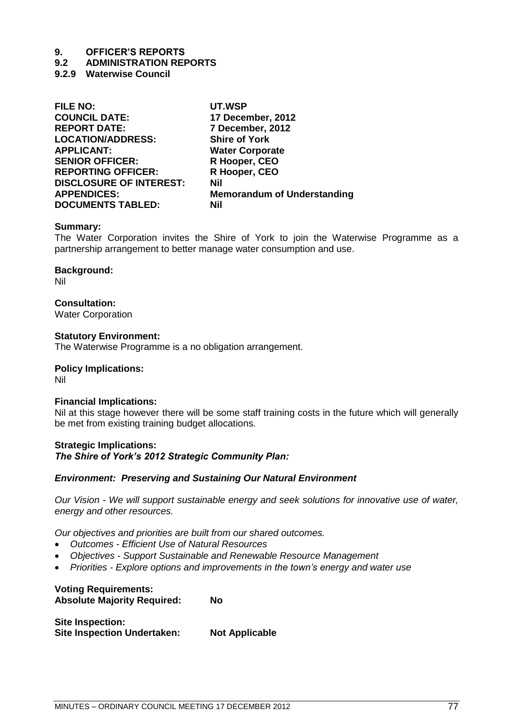## **9.2 ADMINISTRATION REPORTS**

**9.2.9 Waterwise Council**

| <b>FILE NO:</b>                | UT.WSP                             |
|--------------------------------|------------------------------------|
| <b>COUNCIL DATE:</b>           | 17 December, 2012                  |
| <b>REPORT DATE:</b>            | 7 December, 2012                   |
| <b>LOCATION/ADDRESS:</b>       | <b>Shire of York</b>               |
| <b>APPLICANT:</b>              | <b>Water Corporate</b>             |
| <b>SENIOR OFFICER:</b>         | R Hooper, CEO                      |
| <b>REPORTING OFFICER:</b>      | R Hooper, CEO                      |
| <b>DISCLOSURE OF INTEREST:</b> | Nil                                |
| <b>APPENDICES:</b>             | <b>Memorandum of Understanding</b> |
| <b>DOCUMENTS TABLED:</b>       | Nil                                |
|                                |                                    |

#### **Summary:**

The Water Corporation invites the Shire of York to join the Waterwise Programme as a partnership arrangement to better manage water consumption and use.

#### **Background:** Nil

## **Consultation:**

Water Corporation

#### **Statutory Environment:**

The Waterwise Programme is a no obligation arrangement.

## **Policy Implications:**

Nil

## **Financial Implications:**

Nil at this stage however there will be some staff training costs in the future which will generally be met from existing training budget allocations.

## **Strategic Implications:** *The Shire of York"s 2012 Strategic Community Plan:*

## *Environment: Preserving and Sustaining Our Natural Environment*

*Our Vision - We will support sustainable energy and seek solutions for innovative use of water, energy and other resources.*

*Our objectives and priorities are built from our shared outcomes.*

- *Outcomes - Efficient Use of Natural Resources*
- *Objectives - Support Sustainable and Renewable Resource Management*
- *Priorities - Explore options and improvements in the town's energy and water use*

## **Voting Requirements:**

**Absolute Majority Required: No**

**Site Inspection: Site Inspection Undertaken: Not Applicable**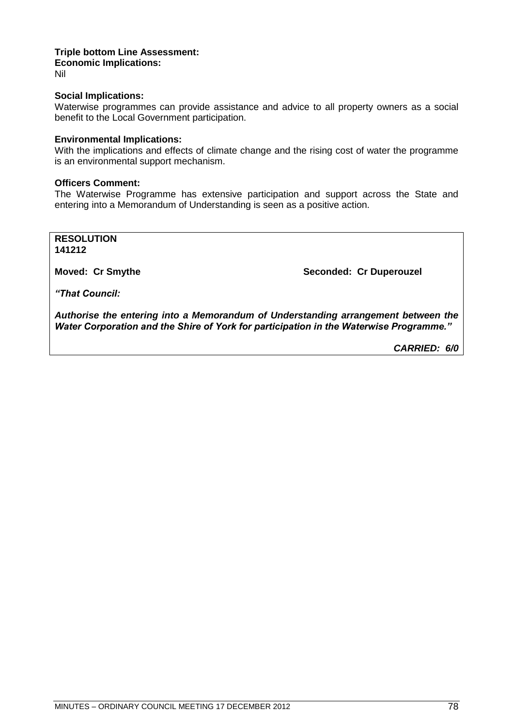#### **Triple bottom Line Assessment: Economic Implications:** Nil

## **Social Implications:**

Waterwise programmes can provide assistance and advice to all property owners as a social benefit to the Local Government participation.

## **Environmental Implications:**

With the implications and effects of climate change and the rising cost of water the programme is an environmental support mechanism.

## **Officers Comment:**

The Waterwise Programme has extensive participation and support across the State and entering into a Memorandum of Understanding is seen as a positive action.

**RESOLUTION 141212**

**Moved: Cr Smythe Seconded: Cr Duperouzel** 

*"That Council:*

*Authorise the entering into a Memorandum of Understanding arrangement between the Water Corporation and the Shire of York for participation in the Waterwise Programme."*

*CARRIED: 6/0*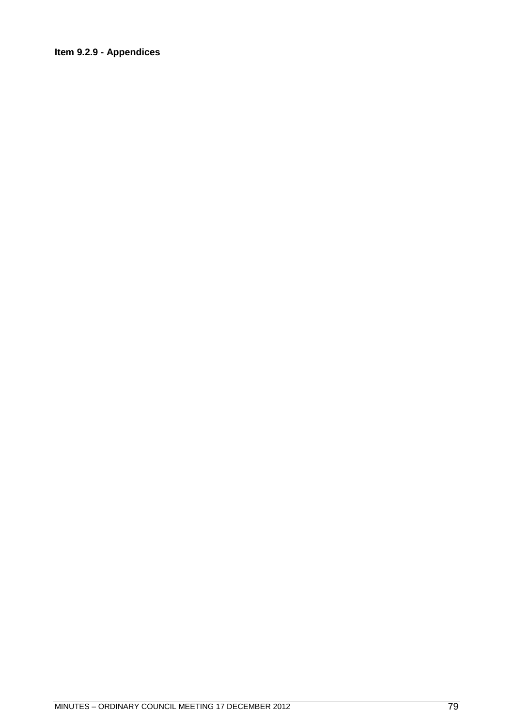## **Item 9.2.9 - Appendices**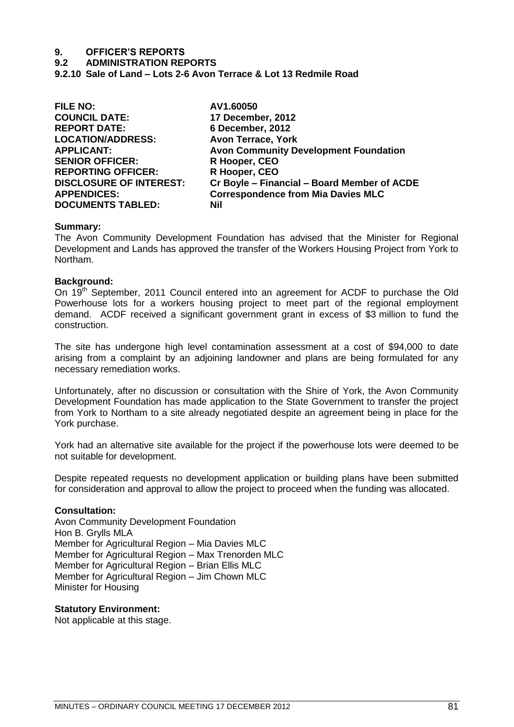**9.2 ADMINISTRATION REPORTS**

**9.2.10 Sale of Land – Lots 2-6 Avon Terrace & Lot 13 Redmile Road**

| <b>FILE NO:</b>                | AV1.60050                                    |
|--------------------------------|----------------------------------------------|
| <b>COUNCIL DATE:</b>           | 17 December, 2012                            |
| <b>REPORT DATE:</b>            | 6 December, 2012                             |
| <b>LOCATION/ADDRESS:</b>       | <b>Avon Terrace, York</b>                    |
| <b>APPLICANT:</b>              | <b>Avon Community Development Foundation</b> |
| <b>SENIOR OFFICER:</b>         | R Hooper, CEO                                |
| <b>REPORTING OFFICER:</b>      | R Hooper, CEO                                |
| <b>DISCLOSURE OF INTEREST:</b> | Cr Boyle - Financial - Board Member of ACDE  |
| <b>APPENDICES:</b>             | <b>Correspondence from Mia Davies MLC</b>    |
| <b>DOCUMENTS TABLED:</b>       | <b>Nil</b>                                   |
|                                |                                              |

#### **Summary:**

The Avon Community Development Foundation has advised that the Minister for Regional Development and Lands has approved the transfer of the Workers Housing Project from York to Northam.

#### **Background:**

On 19<sup>th</sup> September, 2011 Council entered into an agreement for ACDF to purchase the Old Powerhouse lots for a workers housing project to meet part of the regional employment demand. ACDF received a significant government grant in excess of \$3 million to fund the construction.

The site has undergone high level contamination assessment at a cost of \$94,000 to date arising from a complaint by an adjoining landowner and plans are being formulated for any necessary remediation works.

Unfortunately, after no discussion or consultation with the Shire of York, the Avon Community Development Foundation has made application to the State Government to transfer the project from York to Northam to a site already negotiated despite an agreement being in place for the York purchase.

York had an alternative site available for the project if the powerhouse lots were deemed to be not suitable for development.

Despite repeated requests no development application or building plans have been submitted for consideration and approval to allow the project to proceed when the funding was allocated.

#### **Consultation:**

Avon Community Development Foundation Hon B. Grylls MLA Member for Agricultural Region – Mia Davies MLC Member for Agricultural Region – Max Trenorden MLC Member for Agricultural Region – Brian Ellis MLC Member for Agricultural Region – Jim Chown MLC Minister for Housing

#### **Statutory Environment:**

Not applicable at this stage.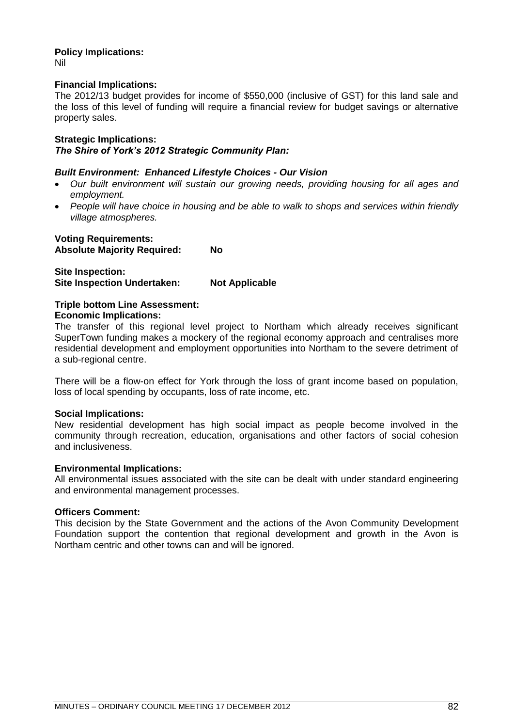#### **Policy Implications:** Nil

## **Financial Implications:**

The 2012/13 budget provides for income of \$550,000 (inclusive of GST) for this land sale and the loss of this level of funding will require a financial review for budget savings or alternative property sales.

## **Strategic Implications:** *The Shire of York"s 2012 Strategic Community Plan:*

## *Built Environment: Enhanced Lifestyle Choices - Our Vision*

- *Our built environment will sustain our growing needs, providing housing for all ages and employment.*
- *People will have choice in housing and be able to walk to shops and services within friendly village atmospheres.*

**Voting Requirements: Absolute Majority Required: No**

**Site Inspection: Site Inspection Undertaken: Not Applicable**

#### **Triple bottom Line Assessment: Economic Implications:**

The transfer of this regional level project to Northam which already receives significant SuperTown funding makes a mockery of the regional economy approach and centralises more residential development and employment opportunities into Northam to the severe detriment of a sub-regional centre.

There will be a flow-on effect for York through the loss of grant income based on population, loss of local spending by occupants, loss of rate income, etc.

## **Social Implications:**

New residential development has high social impact as people become involved in the community through recreation, education, organisations and other factors of social cohesion and inclusiveness.

## **Environmental Implications:**

All environmental issues associated with the site can be dealt with under standard engineering and environmental management processes.

## **Officers Comment:**

This decision by the State Government and the actions of the Avon Community Development Foundation support the contention that regional development and growth in the Avon is Northam centric and other towns can and will be ignored.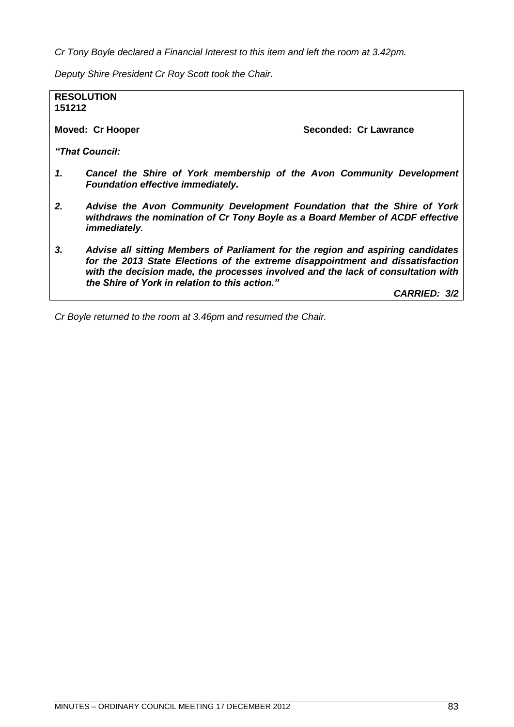*Cr Tony Boyle declared a Financial Interest to this item and left the room at 3.42pm.*

*Deputy Shire President Cr Roy Scott took the Chair.*

**RESOLUTION 151212**

**Moved: Cr Hooper Seconded: Cr Lawrance** 

*"That Council:*

- *1. Cancel the Shire of York membership of the Avon Community Development Foundation effective immediately.*
- *2. Advise the Avon Community Development Foundation that the Shire of York withdraws the nomination of Cr Tony Boyle as a Board Member of ACDF effective immediately.*
- *3. Advise all sitting Members of Parliament for the region and aspiring candidates for the 2013 State Elections of the extreme disappointment and dissatisfaction with the decision made, the processes involved and the lack of consultation with the Shire of York in relation to this action."*

*CARRIED: 3/2*

*Cr Boyle returned to the room at 3.46pm and resumed the Chair.*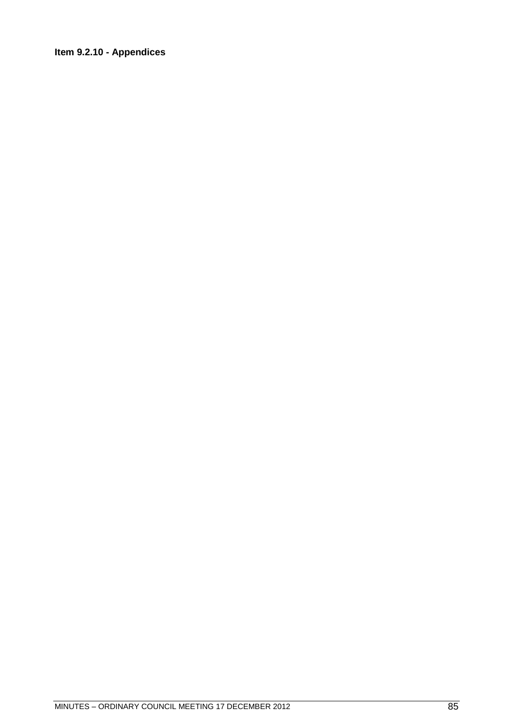## **Item 9.2.10 - Appendices**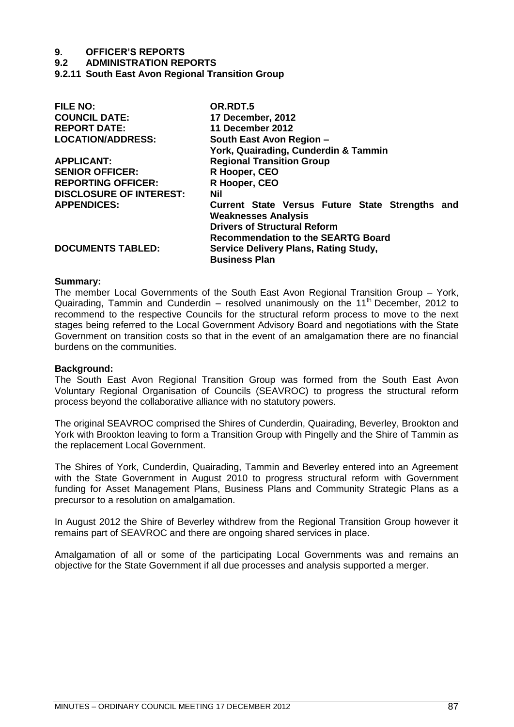**9.2 ADMINISTRATION REPORTS**

**9.2.11 South East Avon Regional Transition Group**

| <b>FILE NO:</b>                | OR.RDT.5                                        |
|--------------------------------|-------------------------------------------------|
| <b>COUNCIL DATE:</b>           | <b>17 December, 2012</b>                        |
| <b>REPORT DATE:</b>            | 11 December 2012                                |
| <b>LOCATION/ADDRESS:</b>       | South East Avon Region -                        |
|                                | York, Quairading, Cunderdin & Tammin            |
| <b>APPLICANT:</b>              | <b>Regional Transition Group</b>                |
| <b>SENIOR OFFICER:</b>         | R Hooper, CEO                                   |
| <b>REPORTING OFFICER:</b>      | R Hooper, CEO                                   |
| <b>DISCLOSURE OF INTEREST:</b> | Nil                                             |
| <b>APPENDICES:</b>             | Current State Versus Future State Strengths and |
|                                | <b>Weaknesses Analysis</b>                      |
|                                | <b>Drivers of Structural Reform</b>             |
|                                | <b>Recommendation to the SEARTG Board</b>       |
| <b>DOCUMENTS TABLED:</b>       | <b>Service Delivery Plans, Rating Study,</b>    |
|                                | <b>Business Plan</b>                            |

#### **Summary:**

The member Local Governments of the South East Avon Regional Transition Group – York, Quairading, Tammin and Cunderdin – resolved unanimously on the  $11<sup>th</sup>$  December, 2012 to recommend to the respective Councils for the structural reform process to move to the next stages being referred to the Local Government Advisory Board and negotiations with the State Government on transition costs so that in the event of an amalgamation there are no financial burdens on the communities.

### **Background:**

The South East Avon Regional Transition Group was formed from the South East Avon Voluntary Regional Organisation of Councils (SEAVROC) to progress the structural reform process beyond the collaborative alliance with no statutory powers.

The original SEAVROC comprised the Shires of Cunderdin, Quairading, Beverley, Brookton and York with Brookton leaving to form a Transition Group with Pingelly and the Shire of Tammin as the replacement Local Government.

The Shires of York, Cunderdin, Quairading, Tammin and Beverley entered into an Agreement with the State Government in August 2010 to progress structural reform with Government funding for Asset Management Plans, Business Plans and Community Strategic Plans as a precursor to a resolution on amalgamation.

In August 2012 the Shire of Beverley withdrew from the Regional Transition Group however it remains part of SEAVROC and there are ongoing shared services in place.

Amalgamation of all or some of the participating Local Governments was and remains an objective for the State Government if all due processes and analysis supported a merger.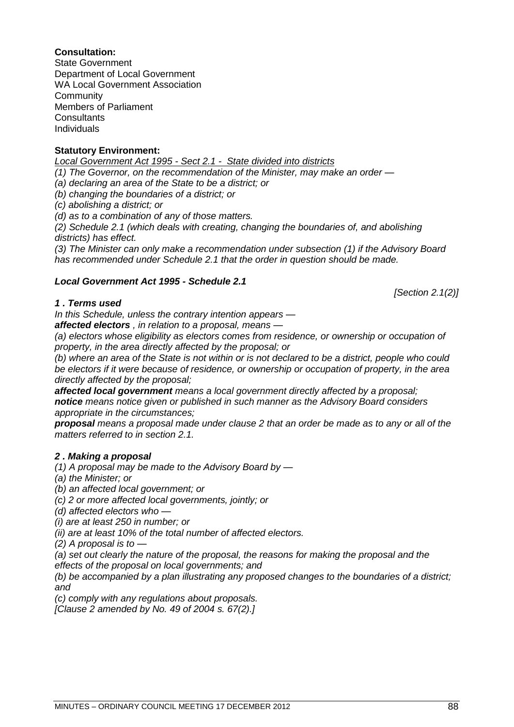#### **Statutory Environment:**

**Community** 

**Consultants** Individuals

**Consultation:** State Government

*Local Government Act 1995 - Sect 2.1 - State divided into districts* 

*(1) The Governor, on the recommendation of the Minister, may make an order —*

*(a) declaring an area of the State to be a district; or* 

*(b) changing the boundaries of a district; or* 

*(c) abolishing a district; or* 

Members of Parliament

Department of Local Government WA Local Government Association

*(d) as to a combination of any of those matters.* 

*(2) Schedule 2.1 (which deals with creating, changing the boundaries of, and abolishing districts) has effect.* 

*(3) The Minister can only make a recommendation under subsection (1) if the Advisory Board has recommended under Schedule 2.1 that the order in question should be made.* 

#### *Local Government Act 1995 - Schedule 2.1*

*[Section 2.1(2)]* 

## *1 . Terms used*

*In this Schedule, unless the contrary intention appears —*

*affected electors , in relation to a proposal, means —*

*(a) electors whose eligibility as electors comes from residence, or ownership or occupation of property, in the area directly affected by the proposal; or* 

*(b) where an area of the State is not within or is not declared to be a district, people who could be electors if it were because of residence, or ownership or occupation of property, in the area directly affected by the proposal;* 

*affected local government means a local government directly affected by a proposal; notice means notice given or published in such manner as the Advisory Board considers appropriate in the circumstances;* 

*proposal means a proposal made under clause 2 that an order be made as to any or all of the matters referred to in [section 2.1.](http://www.austlii.edu.au/au/legis/wa/consol_act/lga1995182/s2.1.html)*

#### *2 . Making a proposal*

*(1) A proposal may be made to the Advisory Board by —*

*(a) the Minister; or* 

*(b) an affected local government; or* 

*(c) 2 or more affected local governments, jointly; or* 

*(d) affected electors who —*

*(i) are at least 250 in number; or* 

*(ii) are at least 10% of the total number of affected electors.* 

*(2) A proposal is to —*

*(a) set out clearly the nature of the proposal, the reasons for making the proposal and the effects of the proposal on local governments; and* 

*(b) be accompanied by a plan illustrating any proposed changes to the boundaries of a district; and* 

*(c) comply with any regulations about proposals.* 

*[Clause 2 amended by No. 49 of 2004 [s. 67\(2\).\]](http://www.austlii.edu.au/au/legis/wa/consol_act/lga1995182/s67.html)*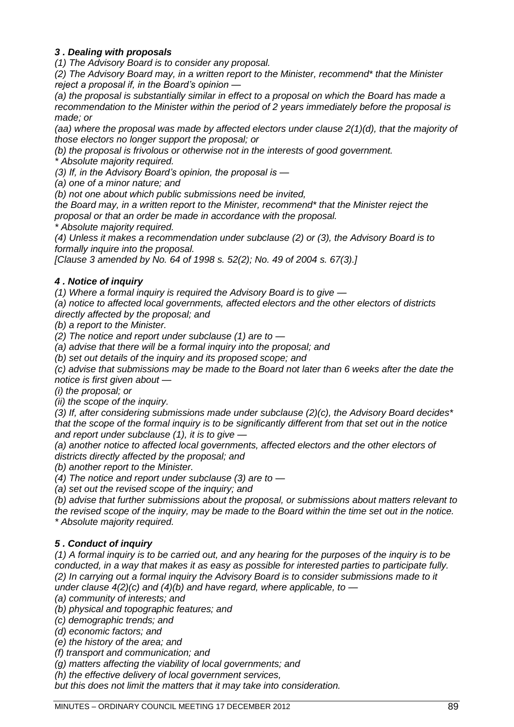## *3 . Dealing with proposals*

*(1) The Advisory Board is to consider any proposal.* 

*(2) The Advisory Board may, in a written report to the Minister, recommend\* that the Minister reject a proposal if, in the Board's opinion —*

*(a) the proposal is substantially similar in effect to a proposal on which the Board has made a recommendation to the Minister within the period of 2 years immediately before the proposal is made; or* 

*(aa) where the proposal was made by affected electors under clause 2(1)(d), that the majority of those electors no longer support the proposal; or* 

*(b) the proposal is frivolous or otherwise not in the interests of good government.* 

*\* Absolute majority required.* 

*(3) If, in the Advisory Board's opinion, the proposal is —*

*(a) one of a minor nature; and* 

*(b) not one about which public submissions need be invited,* 

*the Board may, in a written report to the Minister, recommend\* that the Minister reject the proposal or that an order be made in accordance with the proposal.* 

*\* Absolute majority required.* 

*(4) Unless it makes a recommendation under subclause (2) or (3), the Advisory Board is to formally inquire into the proposal.* 

*[Clause 3 amended by No. 64 of 1998 [s. 52\(2\);](http://www.austlii.edu.au/au/legis/wa/consol_act/lga1995182/s52.html) No. 49 of 2004 [s. 67\(3\).\]](http://www.austlii.edu.au/au/legis/wa/consol_act/lga1995182/s67.html)*

## *4 . Notice of inquiry*

*(1) Where a formal inquiry is required the Advisory Board is to give —*

*(a) notice to affected local governments, affected electors and the other electors of districts directly affected by the proposal; and* 

*(b) a report to the Minister.* 

*(2) The notice and report under subclause (1) are to —*

*(a) advise that there will be a formal inquiry into the proposal; and* 

*(b) set out details of the inquiry and its proposed scope; and* 

*(c) advise that submissions may be made to the Board not later than 6 weeks after the date the notice is first given about —*

*(i) the proposal; or* 

*(ii) the scope of the inquiry.* 

*(3) If, after considering submissions made under subclause (2)(c), the Advisory Board decides\* that the scope of the formal inquiry is to be significantly different from that set out in the notice and report under subclause (1), it is to give —*

*(a) another notice to affected local governments, affected electors and the other electors of districts directly affected by the proposal; and* 

*(b) another report to the Minister.* 

*(4) The notice and report under subclause (3) are to —*

*(a) set out the revised scope of the inquiry; and* 

*(b) advise that further submissions about the proposal, or submissions about matters relevant to the revised scope of the inquiry, may be made to the Board within the time set out in the notice. \* Absolute majority required.* 

## *5 . Conduct of inquiry*

*(1) A formal inquiry is to be carried out, and any hearing for the purposes of the inquiry is to be conducted, in a way that makes it as easy as possible for interested parties to participate fully. (2) In carrying out a formal inquiry the Advisory Board is to consider submissions made to it under clause 4(2)(c) and (4)(b) and have regard, where applicable, to —*

*(a) community of interests; and* 

*(b) physical and topographic features; and* 

*(c) demographic trends; and* 

*(d) economic factors; and* 

*(e) the history of the area; and* 

*(f) transport and communication; and* 

*(g) matters affecting the viability of local governments; and* 

*(h) the effective delivery of local government services,* 

*but this does not limit the matters that it may take into consideration.*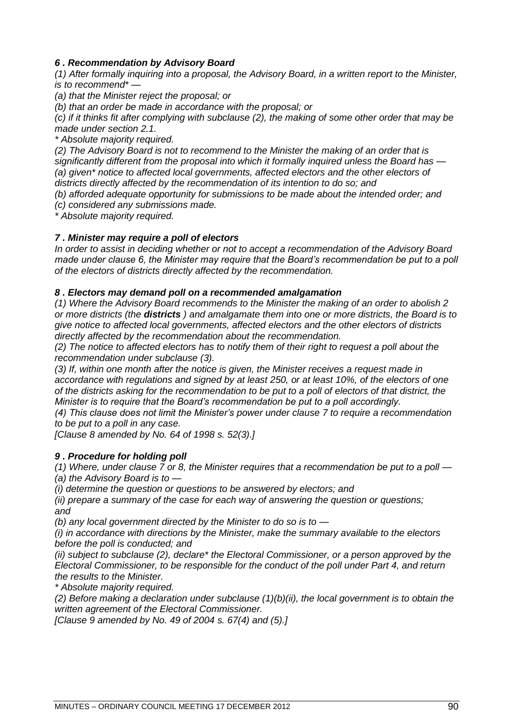## *6 . Recommendation by Advisory Board*

*(1) After formally inquiring into a proposal, the Advisory Board, in a written report to the Minister, is to recommend\* —*

*(a) that the Minister reject the proposal; or* 

*(b) that an order be made in accordance with the proposal; or* 

*(c) if it thinks fit after complying with subclause (2), the making of some other order that may be made under [section 2.1.](http://www.austlii.edu.au/au/legis/wa/consol_act/lga1995182/s2.1.html)*

*\* Absolute majority required.* 

*(2) The Advisory Board is not to recommend to the Minister the making of an order that is significantly different from the proposal into which it formally inquired unless the Board has — (a) given\* notice to affected local governments, affected electors and the other electors of districts directly affected by the recommendation of its intention to do so; and* 

*(b) afforded adequate opportunity for submissions to be made about the intended order; and* 

*(c) considered any submissions made.* 

*\* Absolute majority required.*

## *7 . Minister may require a poll of electors*

*In order to assist in deciding whether or not to accept a recommendation of the Advisory Board made under clause 6, the Minister may require that the Board's recommendation be put to a poll of the electors of districts directly affected by the recommendation.* 

## *8 . Electors may demand poll on a recommended amalgamation*

*(1) Where the Advisory Board recommends to the Minister the making of an order to abolish 2 or more districts (the districts ) and amalgamate them into one or more districts, the Board is to give notice to affected local governments, affected electors and the other electors of districts directly affected by the recommendation about the recommendation.* 

*(2) The notice to affected electors has to notify them of their right to request a poll about the recommendation under subclause (3).* 

*(3) If, within one month after the notice is given, the Minister receives a request made in accordance with regulations and signed by at least 250, or at least 10%, of the electors of one of the districts asking for the recommendation to be put to a poll of electors of that district, the Minister is to require that the Board's recommendation be put to a poll accordingly.* 

*(4) This clause does not limit the Minister's power under clause 7 to require a recommendation to be put to a poll in any case.* 

*[Clause 8 amended by No. 64 of 1998 [s. 52\(3\).\]](http://www.austlii.edu.au/au/legis/wa/consol_act/lga1995182/s52.html)*

## *9 . Procedure for holding poll*

*(1) Where, under clause 7 or 8, the Minister requires that a recommendation be put to a poll — (a) the Advisory Board is to —*

*(i) determine the question or questions to be answered by electors; and* 

*(ii) prepare a summary of the case for each way of answering the question or questions; and* 

*(b) any local government directed by the Minister to do so is to —*

*(i) in accordance with directions by the Minister, make the summary available to the electors before the poll is conducted; and* 

*(ii) subject to subclause (2), declare\* the Electoral Commissioner, or a person approved by the Electoral Commissioner, to be responsible for the conduct of the poll under Part 4, and return the results to the Minister.* 

*\* Absolute majority required.* 

*(2) Before making a declaration under subclause (1)(b)(ii), the local government is to obtain the written agreement of the Electoral Commissioner.* 

*[Clause 9 amended by No. 49 of 2004 [s. 67\(4\)](http://www.austlii.edu.au/au/legis/wa/consol_act/lga1995182/s67.html) and (5).]*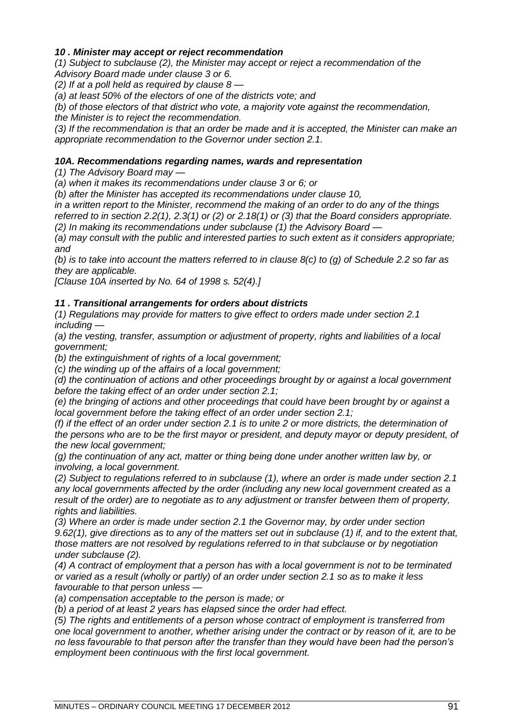## *10 . Minister may accept or reject recommendation*

*(1) Subject to subclause (2), the Minister may accept or reject a recommendation of the Advisory Board made under clause 3 or 6.* 

*(2) If at a poll held as required by clause 8 —*

*(a) at least 50% of the electors of one of the districts vote; and* 

*(b) of those electors of that district who vote, a majority vote against the recommendation, the Minister is to reject the recommendation.* 

*(3) If the recommendation is that an order be made and it is accepted, the Minister can make an appropriate recommendation to the Governor under [section 2.1.](http://www.austlii.edu.au/au/legis/wa/consol_act/lga1995182/s2.1.html)*

## *10A. Recommendations regarding names, wards and representation*

*(1) The Advisory Board may —*

*(a) when it makes its recommendations under clause 3 or 6; or* 

*(b) after the Minister has accepted its recommendations under clause 10,* 

*in a written report to the Minister, recommend the making of an order to do any of the things* 

*referred to in [section 2.2\(1\),](http://www.austlii.edu.au/au/legis/wa/consol_act/lga1995182/s2.2.html) [2.3\(](http://www.austlii.edu.au/au/legis/wa/consol_act/lga1995182/s2.3.html)1) or (2) or [2.18\(](http://www.austlii.edu.au/au/legis/wa/consol_act/lga1995182/s2.18.html)1) or (3) that the Board considers appropriate. (2) In making its recommendations under subclause (1) the Advisory Board —*

*(a) may consult with the public and interested parties to such extent as it considers appropriate; and* 

*(b) is to take into account the matters referred to in clause 8(c) to (g) of Schedule 2.2 so far as they are applicable.* 

*[Clause 10A inserted by No. 64 of 1998 [s. 52\(4\).\]](http://www.austlii.edu.au/au/legis/wa/consol_act/lga1995182/s52.html)*

## *11 . Transitional arrangements for orders about districts*

*(1) Regulations may provide for matters to give effect to orders made under [section 2.1](http://www.austlii.edu.au/au/legis/wa/consol_act/lga1995182/s2.1.html) including —*

*(a) the vesting, transfer, assumption or adjustment of property, rights and liabilities of a local government;* 

*(b) the extinguishment of rights of a local government;* 

*(c) the winding up of the affairs of a local government;* 

*(d) the continuation of actions and other proceedings brought by or against a local government before the taking effect of an order under [section 2.1;](http://www.austlii.edu.au/au/legis/wa/consol_act/lga1995182/s2.1.html)*

*(e) the bringing of actions and other proceedings that could have been brought by or against a local government before the taking effect of an order under [section 2.1;](http://www.austlii.edu.au/au/legis/wa/consol_act/lga1995182/s2.1.html)*

*(f) if the effect of an order under [section 2.1](http://www.austlii.edu.au/au/legis/wa/consol_act/lga1995182/s2.1.html) is to unite 2 or more districts, the determination of the persons who are to be the first mayor or president, and deputy mayor or deputy president, of the new local government;* 

*(g) the continuation of any act, matter or thing being done under another written law by, or involving, a local government.* 

*(2) Subject to regulations referred to in subclause (1), where an order is made under [section 2.1](http://www.austlii.edu.au/au/legis/wa/consol_act/lga1995182/s2.1.html) any local governments affected by the order (including any new local government created as a result of the order) are to negotiate as to any adjustment or transfer between them of property, rights and liabilities.* 

*(3) Where an order is made under [section 2.1](http://www.austlii.edu.au/au/legis/wa/consol_act/lga1995182/s2.1.html) the Governor may, by order under [section](http://www.austlii.edu.au/au/legis/wa/consol_act/lga1995182/s9.62.html)  [9.62\(1\),](http://www.austlii.edu.au/au/legis/wa/consol_act/lga1995182/s9.62.html) give directions as to any of the matters set out in subclause (1) if, and to the extent that, those matters are not resolved by regulations referred to in that subclause or by negotiation under subclause (2).* 

*(4) A contract of employment that a person has with a local government is not to be terminated or varied as a result (wholly or partly) of an order under [section 2.1](http://www.austlii.edu.au/au/legis/wa/consol_act/lga1995182/s2.1.html) so as to make it less favourable to that person unless —*

*(a) compensation acceptable to the person is made; or* 

*(b) a period of at least 2 years has elapsed since the order had effect.* 

*(5) The rights and entitlements of a person whose contract of employment is transferred from one local government to another, whether arising under the contract or by reason of it, are to be no less favourable to that person after the transfer than they would have been had the person's employment been continuous with the first local government.*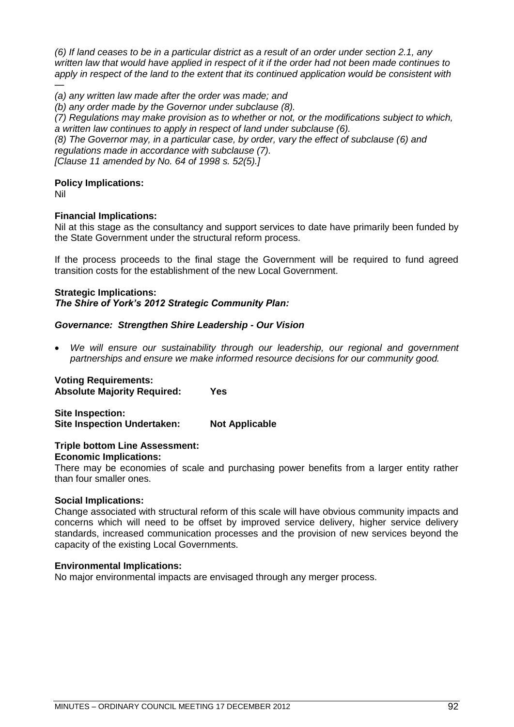*(6) If land ceases to be in a particular district as a result of an order under [section 2.1,](http://www.austlii.edu.au/au/legis/wa/consol_act/lga1995182/s2.1.html) any written law that would have applied in respect of it if the order had not been made continues to*  apply in respect of the land to the extent that its continued application would be consistent with *—*

*(a) any written law made after the order was made; and* 

*(b) any order made by the Governor under subclause (8).*

*(7) Regulations may make provision as to whether or not, or the modifications subject to which, a written law continues to apply in respect of land under subclause (6).* 

*(8) The Governor may, in a particular case, by order, vary the effect of subclause (6) and regulations made in accordance with subclause (7).* 

*[Clause 11 amended by No. 64 of 1998 [s. 52\(5\).\]](http://www.austlii.edu.au/au/legis/wa/consol_act/lga1995182/s52.html)*

## **Policy Implications:**

Nil

## **Financial Implications:**

Nil at this stage as the consultancy and support services to date have primarily been funded by the State Government under the structural reform process.

If the process proceeds to the final stage the Government will be required to fund agreed transition costs for the establishment of the new Local Government.

## **Strategic Implications:** *The Shire of York"s 2012 Strategic Community Plan:*

## *Governance: Strengthen Shire Leadership - Our Vision*

 *We will ensure our sustainability through our leadership, our regional and government partnerships and ensure we make informed resource decisions for our community good.*

**Voting Requirements: Absolute Majority Required: Yes**

**Site Inspection: Site Inspection Undertaken: Not Applicable**

## **Triple bottom Line Assessment:**

**Economic Implications:**

There may be economies of scale and purchasing power benefits from a larger entity rather than four smaller ones.

## **Social Implications:**

Change associated with structural reform of this scale will have obvious community impacts and concerns which will need to be offset by improved service delivery, higher service delivery standards, increased communication processes and the provision of new services beyond the capacity of the existing Local Governments.

## **Environmental Implications:**

No major environmental impacts are envisaged through any merger process.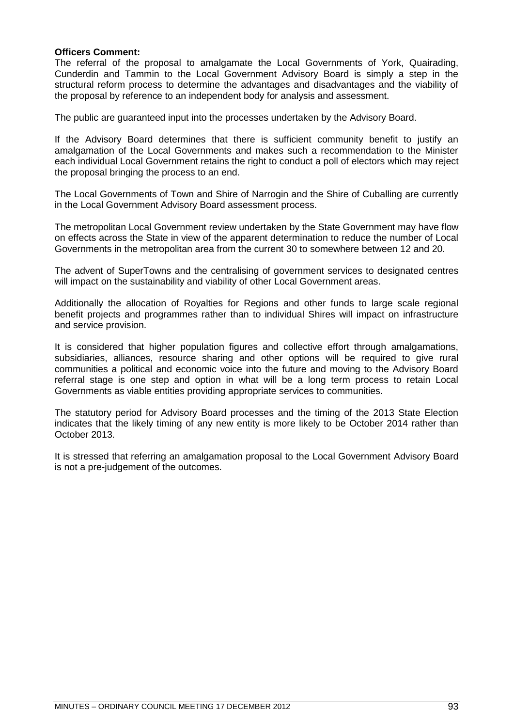## **Officers Comment:**

The referral of the proposal to amalgamate the Local Governments of York, Quairading, Cunderdin and Tammin to the Local Government Advisory Board is simply a step in the structural reform process to determine the advantages and disadvantages and the viability of the proposal by reference to an independent body for analysis and assessment.

The public are guaranteed input into the processes undertaken by the Advisory Board.

If the Advisory Board determines that there is sufficient community benefit to justify an amalgamation of the Local Governments and makes such a recommendation to the Minister each individual Local Government retains the right to conduct a poll of electors which may reject the proposal bringing the process to an end.

The Local Governments of Town and Shire of Narrogin and the Shire of Cuballing are currently in the Local Government Advisory Board assessment process.

The metropolitan Local Government review undertaken by the State Government may have flow on effects across the State in view of the apparent determination to reduce the number of Local Governments in the metropolitan area from the current 30 to somewhere between 12 and 20.

The advent of SuperTowns and the centralising of government services to designated centres will impact on the sustainability and viability of other Local Government areas.

Additionally the allocation of Royalties for Regions and other funds to large scale regional benefit projects and programmes rather than to individual Shires will impact on infrastructure and service provision.

It is considered that higher population figures and collective effort through amalgamations, subsidiaries, alliances, resource sharing and other options will be required to give rural communities a political and economic voice into the future and moving to the Advisory Board referral stage is one step and option in what will be a long term process to retain Local Governments as viable entities providing appropriate services to communities.

The statutory period for Advisory Board processes and the timing of the 2013 State Election indicates that the likely timing of any new entity is more likely to be October 2014 rather than October 2013.

It is stressed that referring an amalgamation proposal to the Local Government Advisory Board is not a pre-judgement of the outcomes.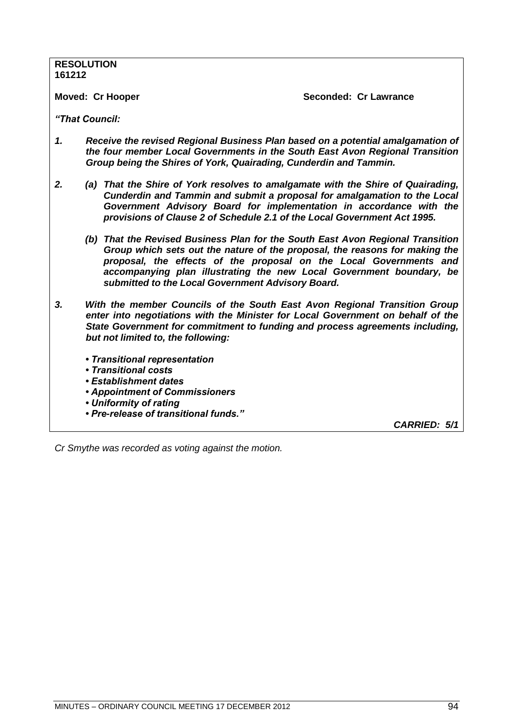| 161212                                                          | <b>RESOLUTION</b>                                                 |                                                                                                                                                                                                                                                                                                                |
|-----------------------------------------------------------------|-------------------------------------------------------------------|----------------------------------------------------------------------------------------------------------------------------------------------------------------------------------------------------------------------------------------------------------------------------------------------------------------|
|                                                                 | <b>Moved: Cr Hooper</b>                                           | Seconded: Cr Lawrance                                                                                                                                                                                                                                                                                          |
|                                                                 | "That Council:                                                    |                                                                                                                                                                                                                                                                                                                |
| $\mathbf{1}$ .                                                  | Group being the Shires of York, Quairading, Cunderdin and Tammin. | Receive the revised Regional Business Plan based on a potential amalgamation of<br>the four member Local Governments in the South East Avon Regional Transition                                                                                                                                                |
| 2.                                                              |                                                                   | (a) That the Shire of York resolves to amalgamate with the Shire of Quairading,<br>Cunderdin and Tammin and submit a proposal for amalgamation to the Local<br>Government Advisory Board for implementation in accordance with the<br>provisions of Clause 2 of Schedule 2.1 of the Local Government Act 1995. |
|                                                                 | submitted to the Local Government Advisory Board.                 | (b) That the Revised Business Plan for the South East Avon Regional Transition<br>Group which sets out the nature of the proposal, the reasons for making the<br>proposal, the effects of the proposal on the Local Governments and<br>accompanying plan illustrating the new Local Government boundary, be    |
| 3.                                                              | but not limited to, the following:                                | With the member Councils of the South East Avon Regional Transition Group<br>enter into negotiations with the Minister for Local Government on behalf of the<br>State Government for commitment to funding and process agreements including,                                                                   |
|                                                                 | • Transitional representation                                     |                                                                                                                                                                                                                                                                                                                |
| • Transitional costs                                            |                                                                   |                                                                                                                                                                                                                                                                                                                |
| • Establishment dates                                           |                                                                   |                                                                                                                                                                                                                                                                                                                |
| <b>• Appointment of Commissioners</b><br>• Uniformity of rating |                                                                   |                                                                                                                                                                                                                                                                                                                |
|                                                                 | • Pre-release of transitional funds."                             |                                                                                                                                                                                                                                                                                                                |
|                                                                 |                                                                   | CARRIED: 5/1                                                                                                                                                                                                                                                                                                   |

*Cr Smythe was recorded as voting against the motion.*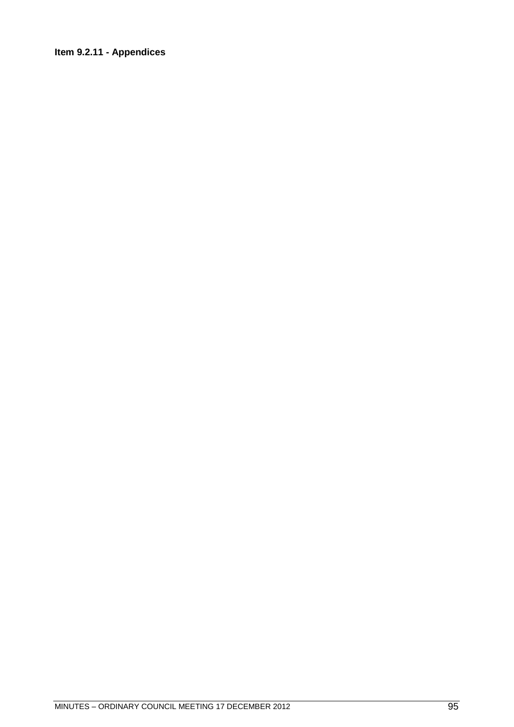## **Item 9.2.11 - Appendices**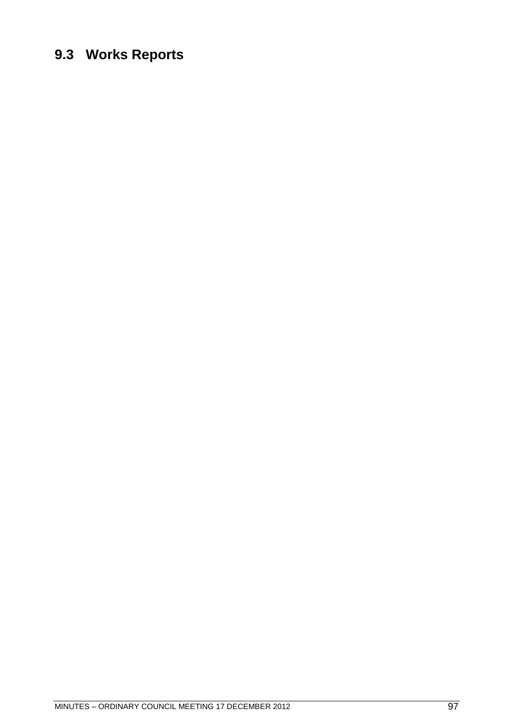## **9.3 Works Reports**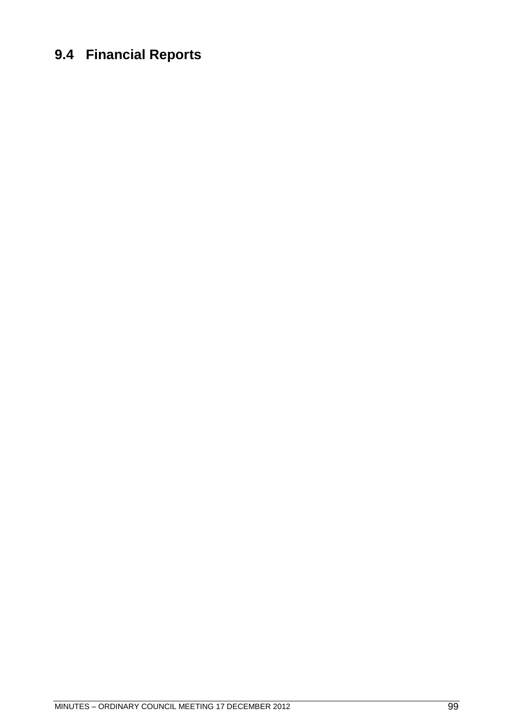## **9.4 Financial Reports**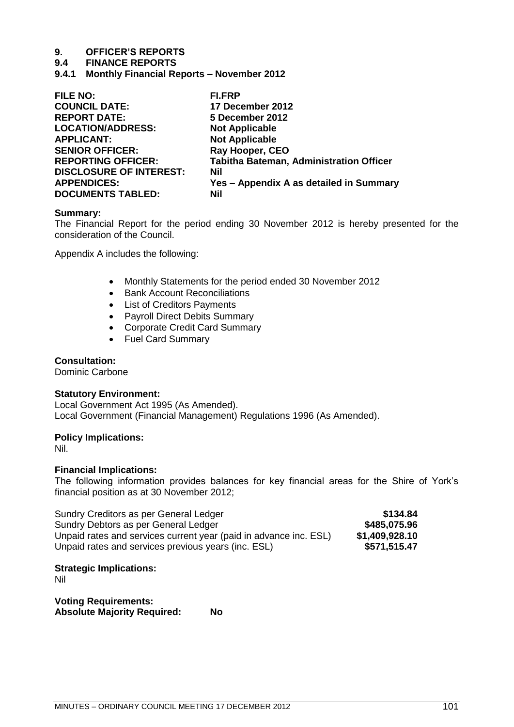## **9.4 FINANCE REPORTS**

**9.4.1 Monthly Financial Reports – November 2012**

| <b>FILE NO:</b>                | <b>FI.FRP</b>                                  |
|--------------------------------|------------------------------------------------|
| <b>COUNCIL DATE:</b>           | 17 December 2012                               |
| <b>REPORT DATE:</b>            | 5 December 2012                                |
| <b>LOCATION/ADDRESS:</b>       | <b>Not Applicable</b>                          |
| <b>APPLICANT:</b>              | <b>Not Applicable</b>                          |
| <b>SENIOR OFFICER:</b>         | Ray Hooper, CEO                                |
| <b>REPORTING OFFICER:</b>      | <b>Tabitha Bateman, Administration Officer</b> |
| <b>DISCLOSURE OF INTEREST:</b> | Nil                                            |
| <b>APPENDICES:</b>             | Yes - Appendix A as detailed in Summary        |
| <b>DOCUMENTS TABLED:</b>       | Nil                                            |
|                                |                                                |

#### **Summary:**

The Financial Report for the period ending 30 November 2012 is hereby presented for the consideration of the Council.

Appendix A includes the following:

- Monthly Statements for the period ended 30 November 2012
- Bank Account Reconciliations
- List of Creditors Payments
- Payroll Direct Debits Summary
- Corporate Credit Card Summary
- Fuel Card Summary

## **Consultation:**

Dominic Carbone

### **Statutory Environment:**

Local Government Act 1995 (As Amended). Local Government (Financial Management) Regulations 1996 (As Amended).

## **Policy Implications:**

Nil.

## **Financial Implications:**

The following information provides balances for key financial areas for the Shire of York's financial position as at 30 November 2012;

| Sundry Creditors as per General Ledger                            | \$134.84       |
|-------------------------------------------------------------------|----------------|
| Sundry Debtors as per General Ledger                              | \$485,075.96   |
| Unpaid rates and services current year (paid in advance inc. ESL) | \$1,409,928.10 |
| Unpaid rates and services previous years (inc. ESL)               | \$571,515.47   |

## **Strategic Implications:**

Nil

**Voting Requirements: Absolute Majority Required: No**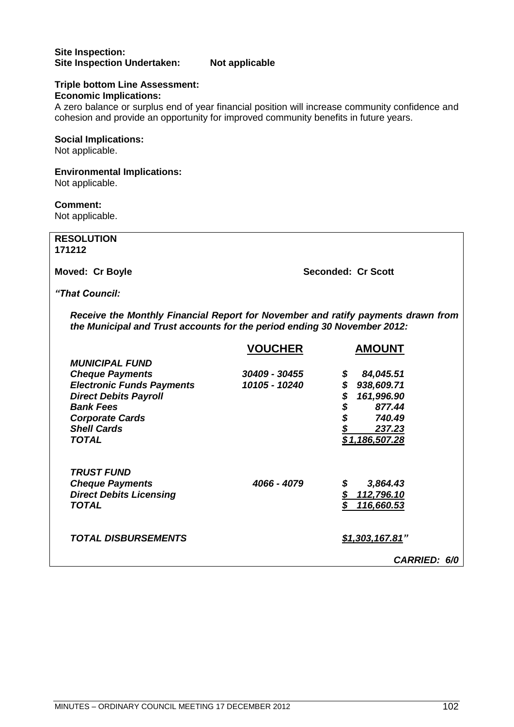## **Site Inspection: Site Inspection Undertaken: Not applicable**

#### **Triple bottom Line Assessment: Economic Implications:**

A zero balance or surplus end of year financial position will increase community confidence and cohesion and provide an opportunity for improved community benefits in future years.

## **Social Implications:**

Not applicable.

## **Environmental Implications:**

Not applicable.

## **Comment:**

Not applicable.

| <b>RESOLUTION</b>                                                                                                                                            |                |                                       |
|--------------------------------------------------------------------------------------------------------------------------------------------------------------|----------------|---------------------------------------|
| 171212                                                                                                                                                       |                |                                       |
|                                                                                                                                                              |                |                                       |
| Moved: Cr Boyle                                                                                                                                              |                | <b>Seconded: Cr Scott</b>             |
| "That Council:                                                                                                                                               |                |                                       |
| Receive the Monthly Financial Report for November and ratify payments drawn from<br>the Municipal and Trust accounts for the period ending 30 November 2012: |                |                                       |
|                                                                                                                                                              | <b>VOUCHER</b> | <b>AMOUNT</b>                         |
| <b>MUNICIPAL FUND</b>                                                                                                                                        |                |                                       |
| <b>Cheque Payments</b>                                                                                                                                       | 30409 - 30455  | 84,045.51<br>\$                       |
| <b>Electronic Funds Payments</b>                                                                                                                             | 10105 - 10240  | \$938,609.71                          |
| <b>Direct Debits Payroll</b>                                                                                                                                 |                | 161,996.90                            |
| <b>Bank Fees</b>                                                                                                                                             |                | \$\$\$\$<br>877.44                    |
| <b>Corporate Cards</b>                                                                                                                                       |                | 740.49                                |
| <b>Shell Cards</b>                                                                                                                                           |                | 237.23                                |
| <b>TOTAL</b>                                                                                                                                                 |                | \$1,186,507.28                        |
| <b>TRUST FUND</b>                                                                                                                                            |                |                                       |
| <b>Cheque Payments</b>                                                                                                                                       | 4066 - 4079    | \$<br>3,864.43                        |
| <b>Direct Debits Licensing</b>                                                                                                                               |                | $5$<br>112,796.10                     |
| <b>TOTAL</b>                                                                                                                                                 |                | $\overline{\mathbf{s}}$<br>116,660.53 |
| <b>TOTAL DISBURSEMENTS</b>                                                                                                                                   |                | \$1,303,167.81"                       |
|                                                                                                                                                              |                | <b>CARRIED: 6/0</b>                   |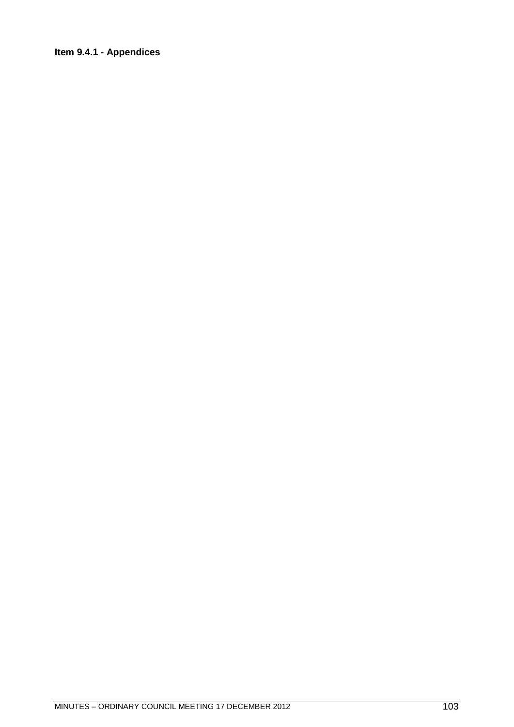## **Item 9.4.1 - Appendices**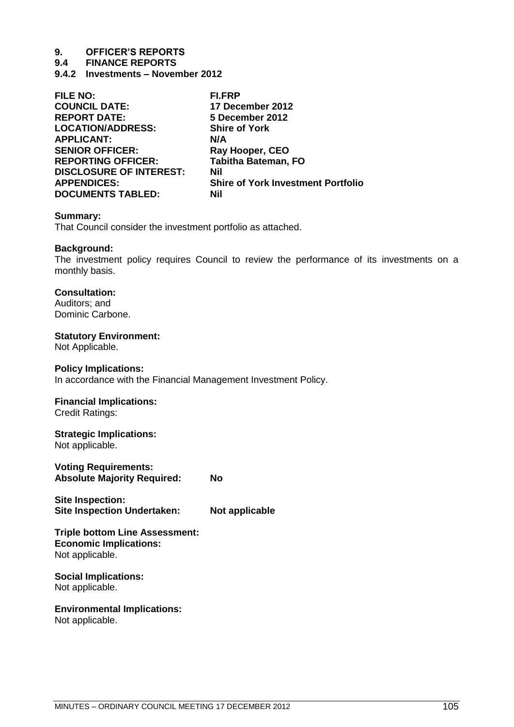**9.4 FINANCE REPORTS**

**9.4.2 Investments – November 2012** 

| <b>FILE NO:</b>                | FI.FRP                                    |
|--------------------------------|-------------------------------------------|
| <b>COUNCIL DATE:</b>           | 17 December 2012                          |
| <b>REPORT DATE:</b>            | 5 December 2012                           |
| <b>LOCATION/ADDRESS:</b>       | <b>Shire of York</b>                      |
| <b>APPLICANT:</b>              | N/A                                       |
| <b>SENIOR OFFICER:</b>         | Ray Hooper, CEO                           |
| <b>REPORTING OFFICER:</b>      | <b>Tabitha Bateman, FO</b>                |
| <b>DISCLOSURE OF INTEREST:</b> | Nil                                       |
| <b>APPENDICES:</b>             | <b>Shire of York Investment Portfolio</b> |
| <b>DOCUMENTS TABLED:</b>       | Nil                                       |

#### **Summary:**

That Council consider the investment portfolio as attached.

#### **Background:**

The investment policy requires Council to review the performance of its investments on a monthly basis.

## **Consultation:**

Auditors; and Dominic Carbone.

## **Statutory Environment:**

Not Applicable.

#### **Policy Implications:**

In accordance with the Financial Management Investment Policy.

## **Financial Implications:**

Credit Ratings:

## **Strategic Implications:**

Not applicable.

**Voting Requirements: Absolute Majority Required: No**

**Site Inspection: Site Inspection Undertaken: Not applicable**

#### **Triple bottom Line Assessment: Economic Implications:** Not applicable.

#### **Social Implications:** Not applicable.

**Environmental Implications:**

Not applicable.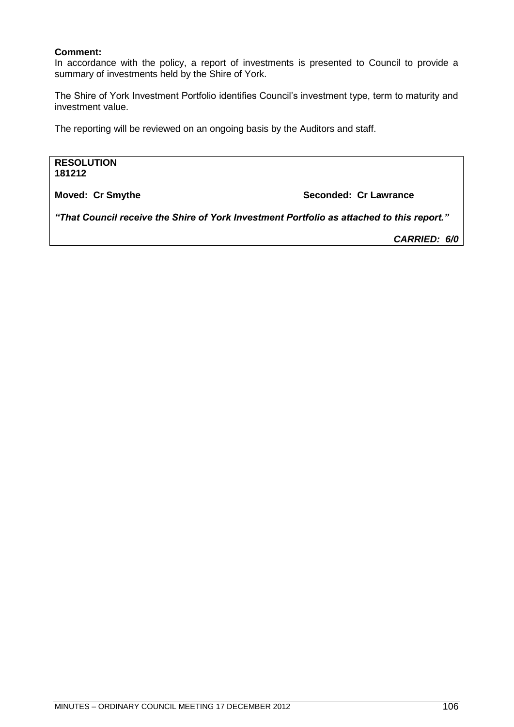## **Comment:**

In accordance with the policy, a report of investments is presented to Council to provide a summary of investments held by the Shire of York.

The Shire of York Investment Portfolio identifies Council's investment type, term to maturity and investment value.

The reporting will be reviewed on an ongoing basis by the Auditors and staff.

**RESOLUTION 181212**

**Moved: Cr Smythe Seconded: Cr Lawrance Seconded: Cr Lawrance** 

*"That Council receive the Shire of York Investment Portfolio as attached to this report."*

*CARRIED: 6/0*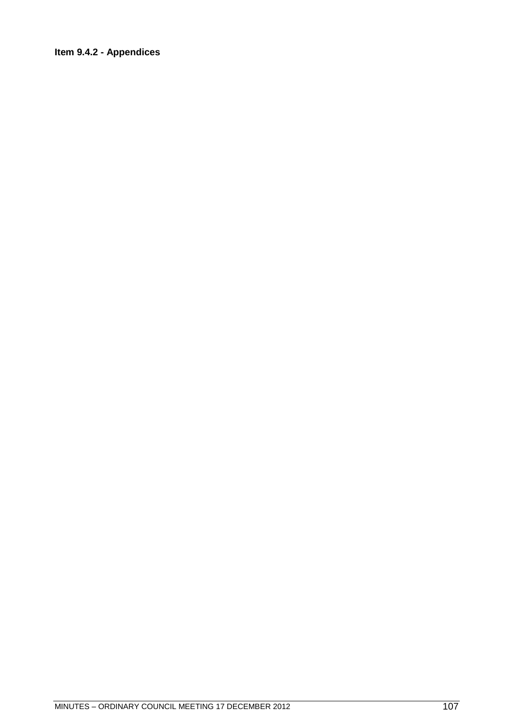## **Item 9.4.2 - Appendices**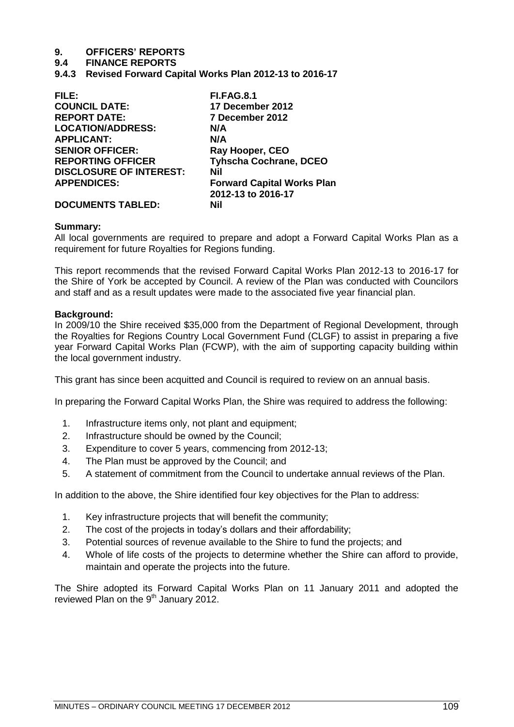# **9. OFFICERS' REPORTS**

### **9.4 FINANCE REPORTS**

**9.4.3 Revised Forward Capital Works Plan 2012-13 to 2016-17**

| FILE:                          | <b>FI.FAG.8.1</b>                 |
|--------------------------------|-----------------------------------|
| <b>COUNCIL DATE:</b>           | 17 December 2012                  |
| <b>REPORT DATE:</b>            | 7 December 2012                   |
| <b>LOCATION/ADDRESS:</b>       | N/A                               |
| <b>APPLICANT:</b>              | N/A                               |
| <b>SENIOR OFFICER:</b>         | Ray Hooper, CEO                   |
| <b>REPORTING OFFICER</b>       | <b>Tyhscha Cochrane, DCEO</b>     |
| <b>DISCLOSURE OF INTEREST:</b> | Nil                               |
| <b>APPENDICES:</b>             | <b>Forward Capital Works Plan</b> |
|                                | 2012-13 to 2016-17                |
| <b>DOCUMENTS TABLED:</b>       | Nil                               |

### **Summary:**

All local governments are required to prepare and adopt a Forward Capital Works Plan as a requirement for future Royalties for Regions funding.

This report recommends that the revised Forward Capital Works Plan 2012-13 to 2016-17 for the Shire of York be accepted by Council. A review of the Plan was conducted with Councilors and staff and as a result updates were made to the associated five year financial plan.

### **Background:**

In 2009/10 the Shire received \$35,000 from the Department of Regional Development, through the Royalties for Regions Country Local Government Fund (CLGF) to assist in preparing a five year Forward Capital Works Plan (FCWP), with the aim of supporting capacity building within the local government industry.

This grant has since been acquitted and Council is required to review on an annual basis.

In preparing the Forward Capital Works Plan, the Shire was required to address the following:

- 1. Infrastructure items only, not plant and equipment;
- 2. Infrastructure should be owned by the Council;
- 3. Expenditure to cover 5 years, commencing from 2012-13;
- 4. The Plan must be approved by the Council; and
- 5. A statement of commitment from the Council to undertake annual reviews of the Plan.

In addition to the above, the Shire identified four key objectives for the Plan to address:

- 1. Key infrastructure projects that will benefit the community;
- 2. The cost of the projects in today's dollars and their affordability;
- 3. Potential sources of revenue available to the Shire to fund the projects; and
- 4. Whole of life costs of the projects to determine whether the Shire can afford to provide, maintain and operate the projects into the future.

The Shire adopted its Forward Capital Works Plan on 11 January 2011 and adopted the reviewed Plan on the  $9<sup>th</sup>$  January 2012.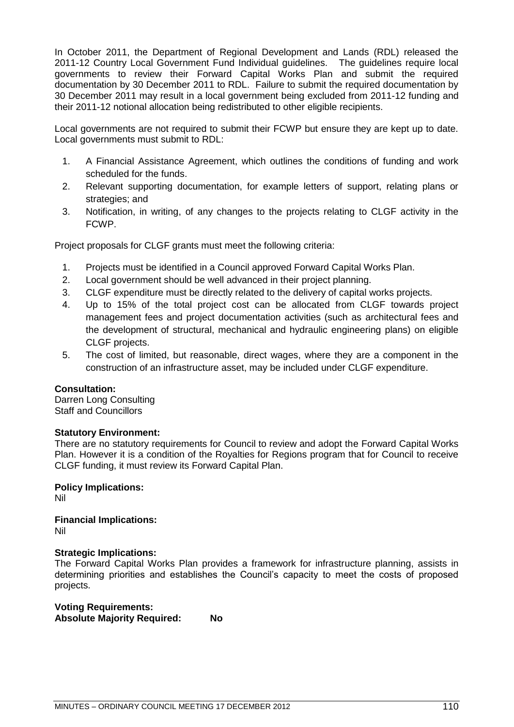In October 2011, the Department of Regional Development and Lands (RDL) released the 2011-12 Country Local Government Fund Individual guidelines. The guidelines require local governments to review their Forward Capital Works Plan and submit the required documentation by 30 December 2011 to RDL. Failure to submit the required documentation by 30 December 2011 may result in a local government being excluded from 2011-12 funding and their 2011-12 notional allocation being redistributed to other eligible recipients.

Local governments are not required to submit their FCWP but ensure they are kept up to date. Local governments must submit to RDL:

- 1. A Financial Assistance Agreement, which outlines the conditions of funding and work scheduled for the funds.
- 2. Relevant supporting documentation, for example letters of support, relating plans or strategies; and
- 3. Notification, in writing, of any changes to the projects relating to CLGF activity in the FCWP.

Project proposals for CLGF grants must meet the following criteria:

- 1. Projects must be identified in a Council approved Forward Capital Works Plan.
- 2. Local government should be well advanced in their project planning.
- 3. CLGF expenditure must be directly related to the delivery of capital works projects.
- 4. Up to 15% of the total project cost can be allocated from CLGF towards project management fees and project documentation activities (such as architectural fees and the development of structural, mechanical and hydraulic engineering plans) on eligible CLGF projects.
- 5. The cost of limited, but reasonable, direct wages, where they are a component in the construction of an infrastructure asset, may be included under CLGF expenditure.

### **Consultation:**

Darren Long Consulting Staff and Councillors

### **Statutory Environment:**

There are no statutory requirements for Council to review and adopt the Forward Capital Works Plan. However it is a condition of the Royalties for Regions program that for Council to receive CLGF funding, it must review its Forward Capital Plan.

**Policy Implications:**  Nil

**Financial Implications:**  Nil

### **Strategic Implications:**

The Forward Capital Works Plan provides a framework for infrastructure planning, assists in determining priorities and establishes the Council's capacity to meet the costs of proposed projects.

**Voting Requirements: Absolute Majority Required: No**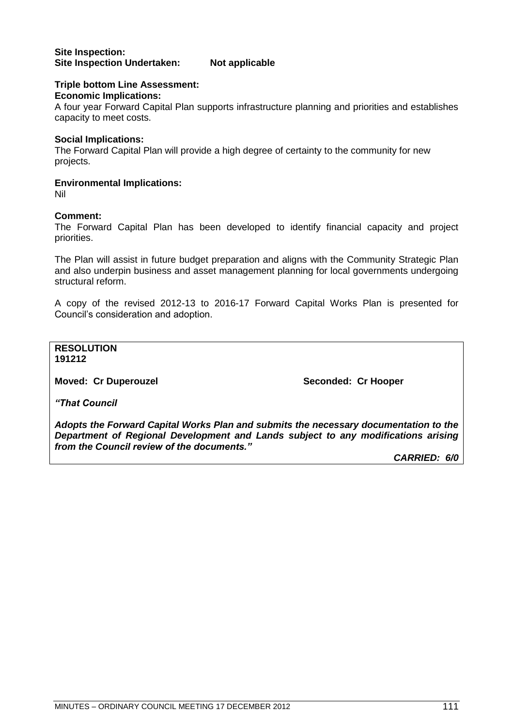### **Triple bottom Line Assessment:**

**Economic Implications:** 

A four year Forward Capital Plan supports infrastructure planning and priorities and establishes capacity to meet costs.

### **Social Implications:**

The Forward Capital Plan will provide a high degree of certainty to the community for new projects.

### **Environmental Implications:**

Nil

### **Comment:**

The Forward Capital Plan has been developed to identify financial capacity and project priorities.

The Plan will assist in future budget preparation and aligns with the Community Strategic Plan and also underpin business and asset management planning for local governments undergoing structural reform.

A copy of the revised 2012-13 to 2016-17 Forward Capital Works Plan is presented for Council's consideration and adoption.

**RESOLUTION 191212**

**Moved: Cr Duperouzel Seconded: Cr Hooper** 

*"That Council*

*Adopts the Forward Capital Works Plan and submits the necessary documentation to the Department of Regional Development and Lands subject to any modifications arising from the Council review of the documents."*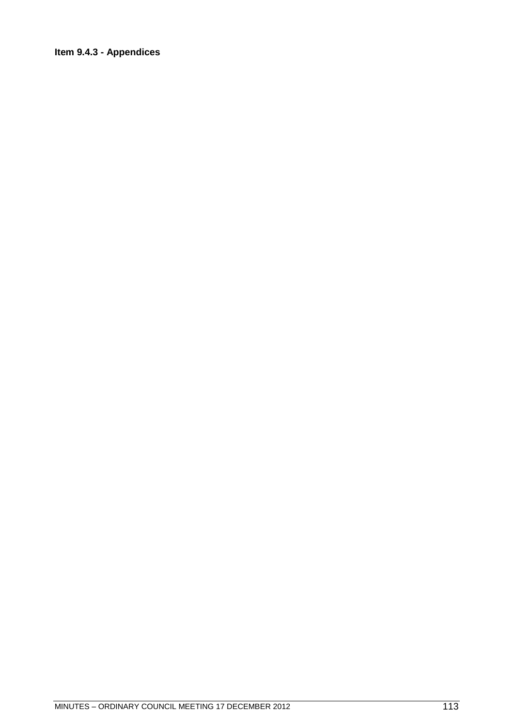### **Item 9.4.3 - Appendices**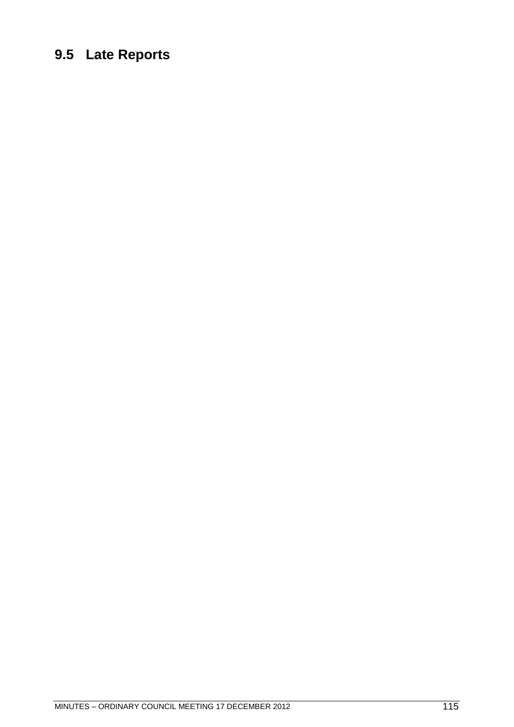## **9.5 Late Reports**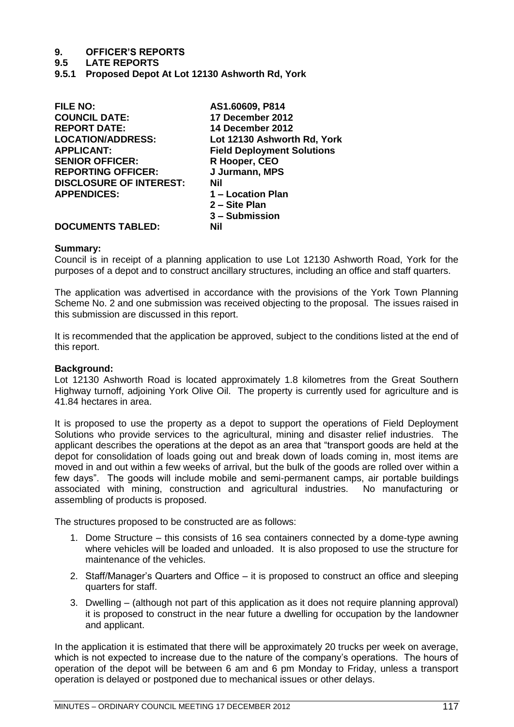# **9. OFFICER'S REPORTS**

**9.5 LATE REPORTS**

**9.5.1 Proposed Depot At Lot 12130 Ashworth Rd, York**

| <b>FILE NO:</b>                | AS1.60609, P814                   |
|--------------------------------|-----------------------------------|
| <b>COUNCIL DATE:</b>           | 17 December 2012                  |
| <b>REPORT DATE:</b>            | 14 December 2012                  |
| <b>LOCATION/ADDRESS:</b>       | Lot 12130 Ashworth Rd, York       |
| <b>APPLICANT:</b>              | <b>Field Deployment Solutions</b> |
| <b>SENIOR OFFICER:</b>         | R Hooper, CEO                     |
| <b>REPORTING OFFICER:</b>      | J Jurmann, MPS                    |
| <b>DISCLOSURE OF INTEREST:</b> | Nil                               |
| <b>APPENDICES:</b>             | 1 - Location Plan                 |
|                                | 2 – Site Plan                     |
|                                | 3 – Submission                    |
| <b>DOCUMENTS TABLED:</b>       | Nil                               |
|                                |                                   |

### **Summary:**

Council is in receipt of a planning application to use Lot 12130 Ashworth Road, York for the purposes of a depot and to construct ancillary structures, including an office and staff quarters.

The application was advertised in accordance with the provisions of the York Town Planning Scheme No. 2 and one submission was received objecting to the proposal. The issues raised in this submission are discussed in this report.

It is recommended that the application be approved, subject to the conditions listed at the end of this report.

### **Background:**

Lot 12130 Ashworth Road is located approximately 1.8 kilometres from the Great Southern Highway turnoff, adjoining York Olive Oil. The property is currently used for agriculture and is 41.84 hectares in area.

It is proposed to use the property as a depot to support the operations of Field Deployment Solutions who provide services to the agricultural, mining and disaster relief industries. The applicant describes the operations at the depot as an area that "transport goods are held at the depot for consolidation of loads going out and break down of loads coming in, most items are moved in and out within a few weeks of arrival, but the bulk of the goods are rolled over within a few days". The goods will include mobile and semi-permanent camps, air portable buildings associated with mining, construction and agricultural industries. No manufacturing or assembling of products is proposed.

The structures proposed to be constructed are as follows:

- 1. Dome Structure this consists of 16 sea containers connected by a dome-type awning where vehicles will be loaded and unloaded. It is also proposed to use the structure for maintenance of the vehicles.
- 2. Staff/Manager's Quarters and Office it is proposed to construct an office and sleeping quarters for staff.
- 3. Dwelling (although not part of this application as it does not require planning approval) it is proposed to construct in the near future a dwelling for occupation by the landowner and applicant.

In the application it is estimated that there will be approximately 20 trucks per week on average, which is not expected to increase due to the nature of the company's operations. The hours of operation of the depot will be between 6 am and 6 pm Monday to Friday, unless a transport operation is delayed or postponed due to mechanical issues or other delays.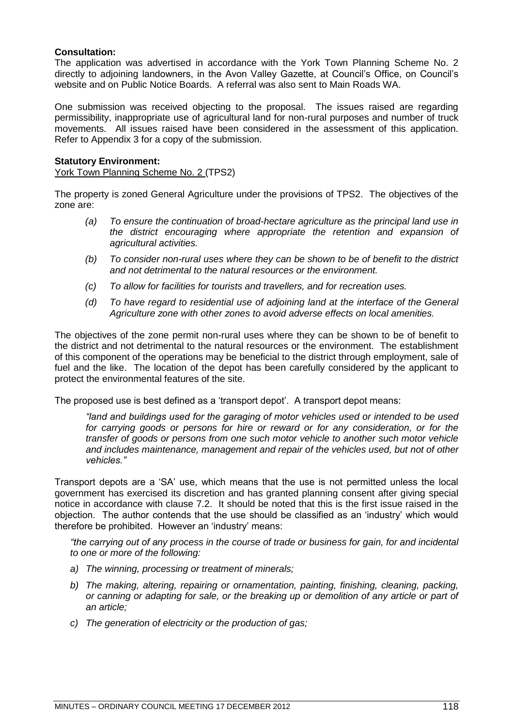### **Consultation:**

The application was advertised in accordance with the York Town Planning Scheme No. 2 directly to adjoining landowners, in the Avon Valley Gazette, at Council's Office, on Council's website and on Public Notice Boards. A referral was also sent to Main Roads WA.

One submission was received objecting to the proposal. The issues raised are regarding permissibility, inappropriate use of agricultural land for non-rural purposes and number of truck movements. All issues raised have been considered in the assessment of this application. Refer to Appendix 3 for a copy of the submission.

### **Statutory Environment:**

York Town Planning Scheme No. 2 (TPS2)

The property is zoned General Agriculture under the provisions of TPS2. The objectives of the zone are:

- *(a) To ensure the continuation of broad-hectare agriculture as the principal land use in the district encouraging where appropriate the retention and expansion of agricultural activities.*
- *(b) To consider non-rural uses where they can be shown to be of benefit to the district and not detrimental to the natural resources or the environment.*
- *(c) To allow for facilities for tourists and travellers, and for recreation uses.*
- *(d) To have regard to residential use of adjoining land at the interface of the General Agriculture zone with other zones to avoid adverse effects on local amenities.*

The objectives of the zone permit non-rural uses where they can be shown to be of benefit to the district and not detrimental to the natural resources or the environment. The establishment of this component of the operations may be beneficial to the district through employment, sale of fuel and the like. The location of the depot has been carefully considered by the applicant to protect the environmental features of the site.

The proposed use is best defined as a 'transport depot'. A transport depot means:

*―land and buildings used for the garaging of motor vehicles used or intended to be used for carrying goods or persons for hire or reward or for any consideration, or for the transfer of goods or persons from one such motor vehicle to another such motor vehicle and includes maintenance, management and repair of the vehicles used, but not of other vehicles.‖*

Transport depots are a 'SA' use, which means that the use is not permitted unless the local government has exercised its discretion and has granted planning consent after giving special notice in accordance with clause 7.2. It should be noted that this is the first issue raised in the objection. The author contends that the use should be classified as an 'industry' which would therefore be prohibited. However an 'industry' means:

*―the carrying out of any process in the course of trade or business for gain, for and incidental to one or more of the following:*

- *a) The winning, processing or treatment of minerals;*
- *b) The making, altering, repairing or ornamentation, painting, finishing, cleaning, packing, or canning or adapting for sale, or the breaking up or demolition of any article or part of an article;*
- *c) The generation of electricity or the production of gas;*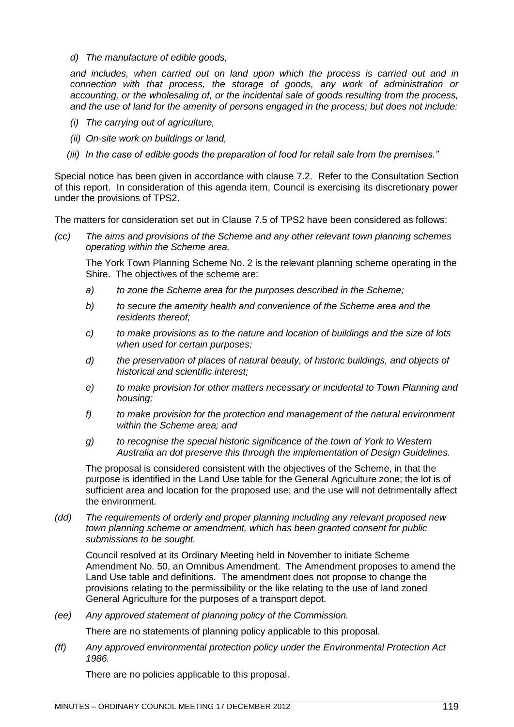*d) The manufacture of edible goods,*

*and includes, when carried out on land upon which the process is carried out and in connection with that process, the storage of goods, any work of administration or accounting, or the wholesaling of, or the incidental sale of goods resulting from the process, and the use of land for the amenity of persons engaged in the process; but does not include:*

- *(i) The carrying out of agriculture,*
- *(ii) On-site work on buildings or land,*
- *(iii) In the case of edible goods the preparation of food for retail sale from the premises.‖*

Special notice has been given in accordance with clause 7.2. Refer to the Consultation Section of this report. In consideration of this agenda item, Council is exercising its discretionary power under the provisions of TPS2.

The matters for consideration set out in Clause 7.5 of TPS2 have been considered as follows:

*(cc) The aims and provisions of the Scheme and any other relevant town planning schemes operating within the Scheme area.*

The York Town Planning Scheme No. 2 is the relevant planning scheme operating in the Shire. The objectives of the scheme are:

- *a) to zone the Scheme area for the purposes described in the Scheme;*
- *b) to secure the amenity health and convenience of the Scheme area and the residents thereof;*
- *c) to make provisions as to the nature and location of buildings and the size of lots when used for certain purposes;*
- *d) the preservation of places of natural beauty, of historic buildings, and objects of historical and scientific interest;*
- *e) to make provision for other matters necessary or incidental to Town Planning and housing;*
- *f) to make provision for the protection and management of the natural environment within the Scheme area; and*
- *g) to recognise the special historic significance of the town of York to Western Australia an dot preserve this through the implementation of Design Guidelines.*

The proposal is considered consistent with the objectives of the Scheme, in that the purpose is identified in the Land Use table for the General Agriculture zone; the lot is of sufficient area and location for the proposed use; and the use will not detrimentally affect the environment.

*(dd) The requirements of orderly and proper planning including any relevant proposed new town planning scheme or amendment, which has been granted consent for public submissions to be sought.*

Council resolved at its Ordinary Meeting held in November to initiate Scheme Amendment No. 50, an Omnibus Amendment. The Amendment proposes to amend the Land Use table and definitions. The amendment does not propose to change the provisions relating to the permissibility or the like relating to the use of land zoned General Agriculture for the purposes of a transport depot.

*(ee) Any approved statement of planning policy of the Commission.*

There are no statements of planning policy applicable to this proposal.

*(ff) Any approved environmental protection policy under the Environmental Protection Act 1986.*

There are no policies applicable to this proposal.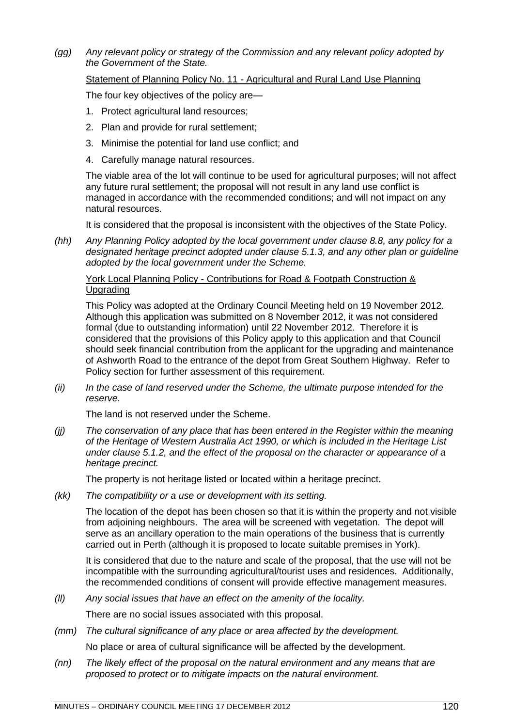*(gg) Any relevant policy or strategy of the Commission and any relevant policy adopted by the Government of the State.*

### Statement of Planning Policy No. 11 - Agricultural and Rural Land Use Planning

The four key objectives of the policy are—

- 1. Protect agricultural land resources;
- 2. Plan and provide for rural settlement;
- 3. Minimise the potential for land use conflict; and
- 4. Carefully manage natural resources.

The viable area of the lot will continue to be used for agricultural purposes; will not affect any future rural settlement; the proposal will not result in any land use conflict is managed in accordance with the recommended conditions; and will not impact on any natural resources.

It is considered that the proposal is inconsistent with the objectives of the State Policy.

*(hh) Any Planning Policy adopted by the local government under clause 8.8, any policy for a designated heritage precinct adopted under clause 5.1.3, and any other plan or guideline adopted by the local government under the Scheme.*

### York Local Planning Policy - Contributions for Road & Footpath Construction & **Upgrading**

This Policy was adopted at the Ordinary Council Meeting held on 19 November 2012. Although this application was submitted on 8 November 2012, it was not considered formal (due to outstanding information) until 22 November 2012. Therefore it is considered that the provisions of this Policy apply to this application and that Council should seek financial contribution from the applicant for the upgrading and maintenance of Ashworth Road to the entrance of the depot from Great Southern Highway. Refer to Policy section for further assessment of this requirement.

*(ii) In the case of land reserved under the Scheme, the ultimate purpose intended for the reserve.*

The land is not reserved under the Scheme.

*(jj) The conservation of any place that has been entered in the Register within the meaning of the Heritage of Western Australia Act 1990, or which is included in the Heritage List under clause 5.1.2, and the effect of the proposal on the character or appearance of a heritage precinct.*

The property is not heritage listed or located within a heritage precinct.

*(kk) The compatibility or a use or development with its setting.*

The location of the depot has been chosen so that it is within the property and not visible from adjoining neighbours. The area will be screened with vegetation. The depot will serve as an ancillary operation to the main operations of the business that is currently carried out in Perth (although it is proposed to locate suitable premises in York).

It is considered that due to the nature and scale of the proposal, that the use will not be incompatible with the surrounding agricultural/tourist uses and residences. Additionally, the recommended conditions of consent will provide effective management measures.

*(ll) Any social issues that have an effect on the amenity of the locality.*

There are no social issues associated with this proposal.

*(mm) The cultural significance of any place or area affected by the development.*

No place or area of cultural significance will be affected by the development.

*(nn) The likely effect of the proposal on the natural environment and any means that are proposed to protect or to mitigate impacts on the natural environment.*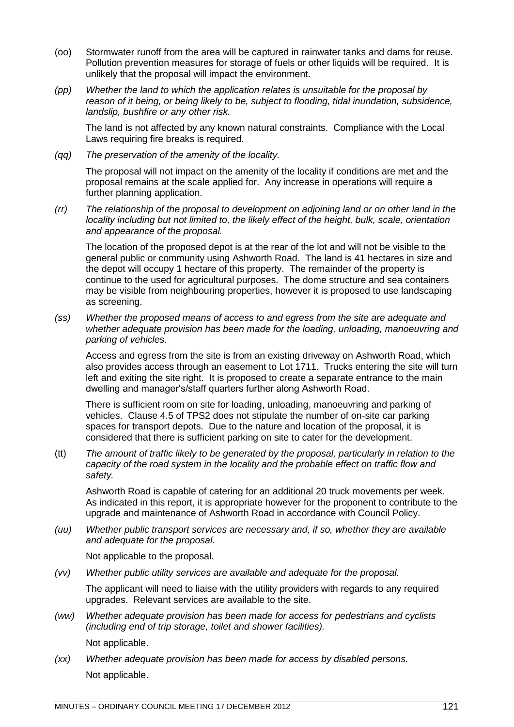- (oo) Stormwater runoff from the area will be captured in rainwater tanks and dams for reuse. Pollution prevention measures for storage of fuels or other liquids will be required. It is unlikely that the proposal will impact the environment.
- *(pp) Whether the land to which the application relates is unsuitable for the proposal by reason of it being, or being likely to be, subject to flooding, tidal inundation, subsidence, landslip, bushfire or any other risk.*

The land is not affected by any known natural constraints. Compliance with the Local Laws requiring fire breaks is required.

*(qq) The preservation of the amenity of the locality.*

The proposal will not impact on the amenity of the locality if conditions are met and the proposal remains at the scale applied for. Any increase in operations will require a further planning application.

*(rr) The relationship of the proposal to development on adjoining land or on other land in the locality including but not limited to, the likely effect of the height, bulk, scale, orientation and appearance of the proposal.*

The location of the proposed depot is at the rear of the lot and will not be visible to the general public or community using Ashworth Road. The land is 41 hectares in size and the depot will occupy 1 hectare of this property. The remainder of the property is continue to the used for agricultural purposes. The dome structure and sea containers may be visible from neighbouring properties, however it is proposed to use landscaping as screening.

*(ss) Whether the proposed means of access to and egress from the site are adequate and whether adequate provision has been made for the loading, unloading, manoeuvring and parking of vehicles.*

Access and egress from the site is from an existing driveway on Ashworth Road, which also provides access through an easement to Lot 1711. Trucks entering the site will turn left and exiting the site right. It is proposed to create a separate entrance to the main dwelling and manager's/staff quarters further along Ashworth Road.

There is sufficient room on site for loading, unloading, manoeuvring and parking of vehicles. Clause 4.5 of TPS2 does not stipulate the number of on-site car parking spaces for transport depots. Due to the nature and location of the proposal, it is considered that there is sufficient parking on site to cater for the development.

(tt) *The amount of traffic likely to be generated by the proposal, particularly in relation to the capacity of the road system in the locality and the probable effect on traffic flow and safety.*

Ashworth Road is capable of catering for an additional 20 truck movements per week. As indicated in this report, it is appropriate however for the proponent to contribute to the upgrade and maintenance of Ashworth Road in accordance with Council Policy.

*(uu) Whether public transport services are necessary and, if so, whether they are available and adequate for the proposal.*

Not applicable to the proposal.

*(vv) Whether public utility services are available and adequate for the proposal.*

The applicant will need to liaise with the utility providers with regards to any required upgrades. Relevant services are available to the site.

*(ww) Whether adequate provision has been made for access for pedestrians and cyclists (including end of trip storage, toilet and shower facilities).*

Not applicable.

*(xx) Whether adequate provision has been made for access by disabled persons.* Not applicable.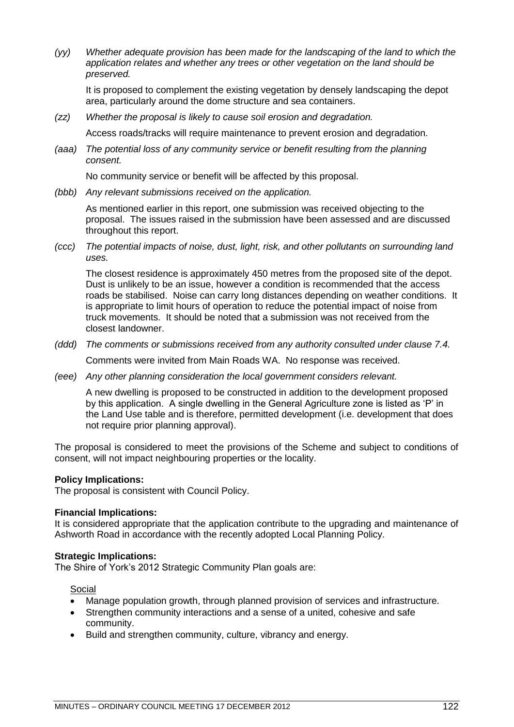*(yy) Whether adequate provision has been made for the landscaping of the land to which the application relates and whether any trees or other vegetation on the land should be preserved.*

It is proposed to complement the existing vegetation by densely landscaping the depot area, particularly around the dome structure and sea containers.

*(zz) Whether the proposal is likely to cause soil erosion and degradation.*

Access roads/tracks will require maintenance to prevent erosion and degradation.

*(aaa) The potential loss of any community service or benefit resulting from the planning consent.*

No community service or benefit will be affected by this proposal.

*(bbb) Any relevant submissions received on the application.*

As mentioned earlier in this report, one submission was received objecting to the proposal. The issues raised in the submission have been assessed and are discussed throughout this report.

*(ccc) The potential impacts of noise, dust, light, risk, and other pollutants on surrounding land uses.*

The closest residence is approximately 450 metres from the proposed site of the depot. Dust is unlikely to be an issue, however a condition is recommended that the access roads be stabilised. Noise can carry long distances depending on weather conditions. It is appropriate to limit hours of operation to reduce the potential impact of noise from truck movements. It should be noted that a submission was not received from the closest landowner.

*(ddd) The comments or submissions received from any authority consulted under clause 7.4.*

Comments were invited from Main Roads WA. No response was received.

*(eee) Any other planning consideration the local government considers relevant.*

A new dwelling is proposed to be constructed in addition to the development proposed by this application. A single dwelling in the General Agriculture zone is listed as 'P' in the Land Use table and is therefore, permitted development (i.e. development that does not require prior planning approval).

The proposal is considered to meet the provisions of the Scheme and subject to conditions of consent, will not impact neighbouring properties or the locality.

### **Policy Implications:**

The proposal is consistent with Council Policy.

### **Financial Implications:**

It is considered appropriate that the application contribute to the upgrading and maintenance of Ashworth Road in accordance with the recently adopted Local Planning Policy.

### **Strategic Implications:**

The Shire of York's 2012 Strategic Community Plan goals are:

Social

- Manage population growth, through planned provision of services and infrastructure.
- Strengthen community interactions and a sense of a united, cohesive and safe community.
- Build and strengthen community, culture, vibrancy and energy.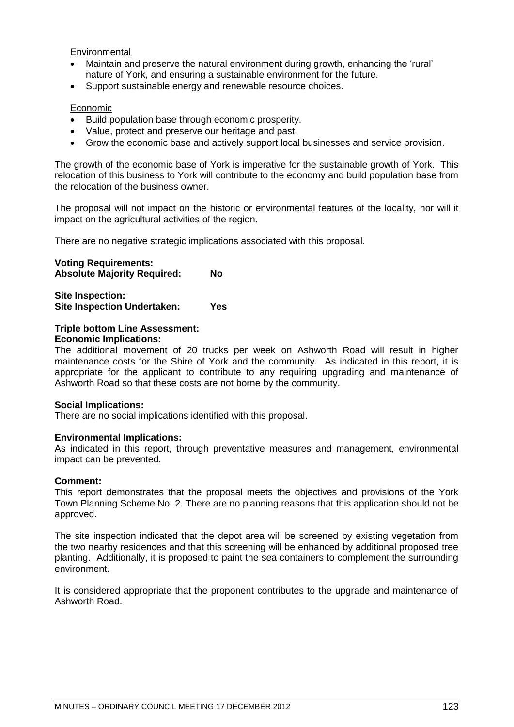Environmental

- Maintain and preserve the natural environment during growth, enhancing the 'rural' nature of York, and ensuring a sustainable environment for the future.
- Support sustainable energy and renewable resource choices.

### **Economic**

- Build population base through economic prosperity.
- Value, protect and preserve our heritage and past.
- Grow the economic base and actively support local businesses and service provision.

The growth of the economic base of York is imperative for the sustainable growth of York. This relocation of this business to York will contribute to the economy and build population base from the relocation of the business owner.

The proposal will not impact on the historic or environmental features of the locality, nor will it impact on the agricultural activities of the region.

There are no negative strategic implications associated with this proposal.

### **Voting Requirements:**

**Absolute Majority Required: No**

**Site Inspection: Site Inspection Undertaken: Yes**

## **Triple bottom Line Assessment:**

### **Economic Implications:**

The additional movement of 20 trucks per week on Ashworth Road will result in higher maintenance costs for the Shire of York and the community. As indicated in this report, it is appropriate for the applicant to contribute to any requiring upgrading and maintenance of Ashworth Road so that these costs are not borne by the community.

### **Social Implications:**

There are no social implications identified with this proposal.

### **Environmental Implications:**

As indicated in this report, through preventative measures and management, environmental impact can be prevented.

### **Comment:**

This report demonstrates that the proposal meets the objectives and provisions of the York Town Planning Scheme No. 2. There are no planning reasons that this application should not be approved.

The site inspection indicated that the depot area will be screened by existing vegetation from the two nearby residences and that this screening will be enhanced by additional proposed tree planting. Additionally, it is proposed to paint the sea containers to complement the surrounding environment.

It is considered appropriate that the proponent contributes to the upgrade and maintenance of Ashworth Road.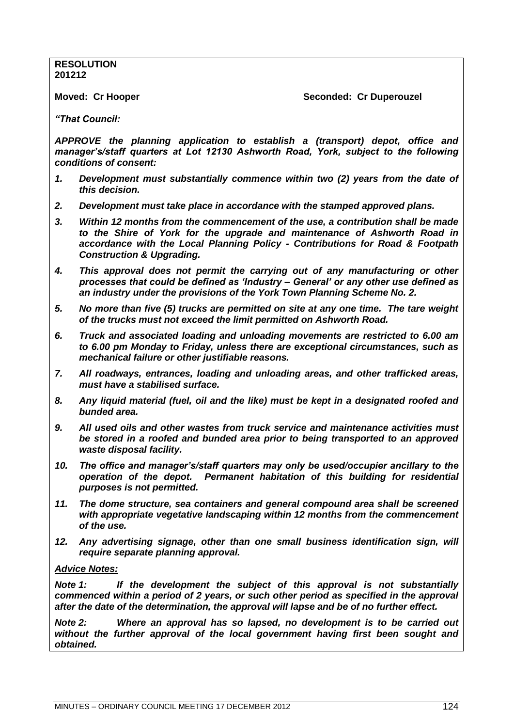**RESOLUTION 201212**

**Moved: Cr Hooper Seconded: Cr Duperouzel** 

*"That Council:*

*APPROVE the planning application to establish a (transport) depot, office and manager"s/staff quarters at Lot 12130 Ashworth Road, York, subject to the following conditions of consent:*

- *1. Development must substantially commence within two (2) years from the date of this decision.*
- *2. Development must take place in accordance with the stamped approved plans.*
- *3. Within 12 months from the commencement of the use, a contribution shall be made to the Shire of York for the upgrade and maintenance of Ashworth Road in accordance with the Local Planning Policy - Contributions for Road & Footpath Construction & Upgrading.*
- *4. This approval does not permit the carrying out of any manufacturing or other processes that could be defined as "Industry – General" or any other use defined as an industry under the provisions of the York Town Planning Scheme No. 2.*
- *5. No more than five (5) trucks are permitted on site at any one time. The tare weight of the trucks must not exceed the limit permitted on Ashworth Road.*
- *6. Truck and associated loading and unloading movements are restricted to 6.00 am to 6.00 pm Monday to Friday, unless there are exceptional circumstances, such as mechanical failure or other justifiable reasons.*
- *7. All roadways, entrances, loading and unloading areas, and other trafficked areas, must have a stabilised surface.*
- *8. Any liquid material (fuel, oil and the like) must be kept in a designated roofed and bunded area.*
- *9. All used oils and other wastes from truck service and maintenance activities must be stored in a roofed and bunded area prior to being transported to an approved waste disposal facility.*
- *10. The office and manager"s/staff quarters may only be used/occupier ancillary to the operation of the depot. Permanent habitation of this building for residential purposes is not permitted.*
- *11. The dome structure, sea containers and general compound area shall be screened with appropriate vegetative landscaping within 12 months from the commencement of the use.*
- *12. Any advertising signage, other than one small business identification sign, will require separate planning approval.*

### *Advice Notes:*

*Note 1: If the development the subject of this approval is not substantially commenced within a period of 2 years, or such other period as specified in the approval after the date of the determination, the approval will lapse and be of no further effect.*

*Note 2: Where an approval has so lapsed, no development is to be carried out without the further approval of the local government having first been sought and obtained.*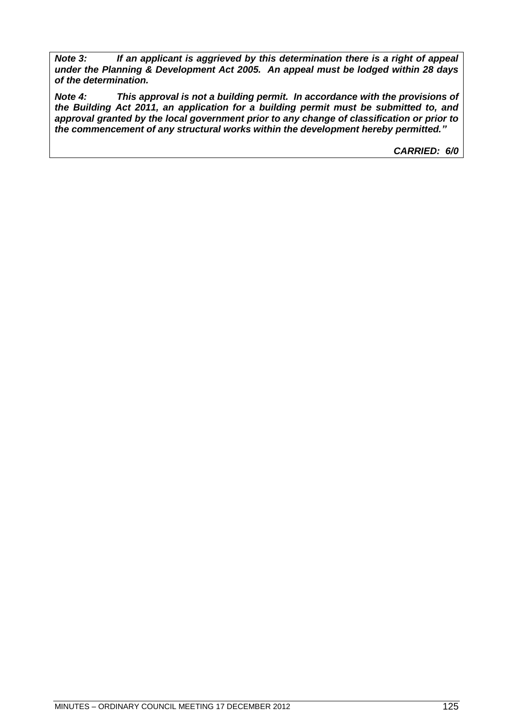*Note 3: If an applicant is aggrieved by this determination there is a right of appeal under the Planning & Development Act 2005. An appeal must be lodged within 28 days of the determination.*

*Note 4: This approval is not a building permit. In accordance with the provisions of the Building Act 2011, an application for a building permit must be submitted to, and approval granted by the local government prior to any change of classification or prior to the commencement of any structural works within the development hereby permitted."*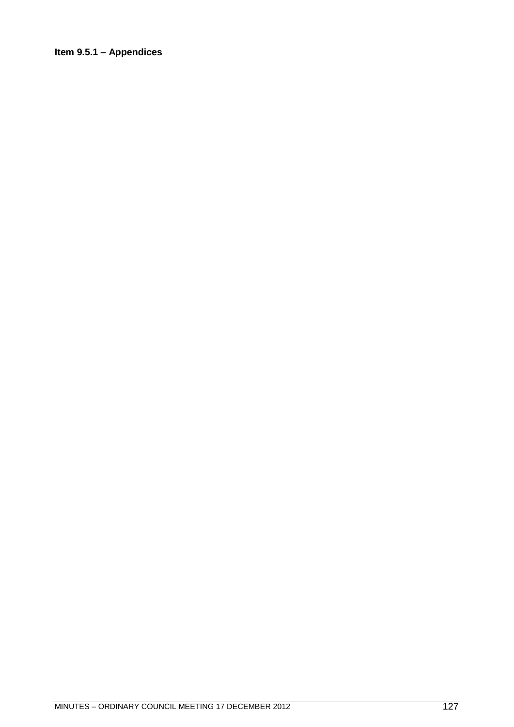### **Item 9.5.1 – Appendices**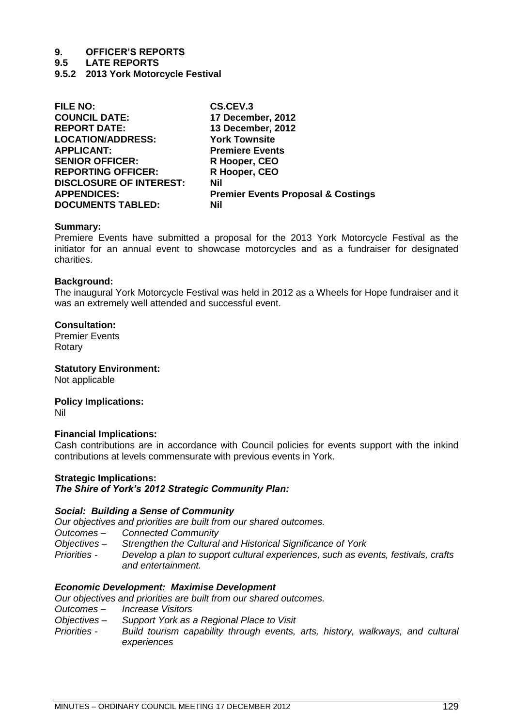# **9. OFFICER'S REPORTS**

**9.5 LATE REPORTS**

**9.5.2 2013 York Motorcycle Festival**

| <b>FILE NO:</b>                | CS.CEV.3                                      |
|--------------------------------|-----------------------------------------------|
| <b>COUNCIL DATE:</b>           | 17 December, 2012                             |
| <b>REPORT DATE:</b>            | 13 December, 2012                             |
| <b>LOCATION/ADDRESS:</b>       | <b>York Townsite</b>                          |
| <b>APPLICANT:</b>              | <b>Premiere Events</b>                        |
| <b>SENIOR OFFICER:</b>         | R Hooper, CEO                                 |
| <b>REPORTING OFFICER:</b>      | R Hooper, CEO                                 |
| <b>DISCLOSURE OF INTEREST:</b> | Nil                                           |
| <b>APPENDICES:</b>             | <b>Premier Events Proposal &amp; Costings</b> |
| <b>DOCUMENTS TABLED:</b>       | Nil                                           |
|                                |                                               |

### **Summary:**

Premiere Events have submitted a proposal for the 2013 York Motorcycle Festival as the initiator for an annual event to showcase motorcycles and as a fundraiser for designated charities.

### **Background:**

The inaugural York Motorcycle Festival was held in 2012 as a Wheels for Hope fundraiser and it was an extremely well attended and successful event.

### **Consultation:**

Premier Events Rotary

**Statutory Environment:** Not applicable

**Policy Implications:** Nil

### **Financial Implications:**

Cash contributions are in accordance with Council policies for events support with the inkind contributions at levels commensurate with previous events in York.

### **Strategic Implications:**

### *The Shire of York"s 2012 Strategic Community Plan:*

### *Social: Building a Sense of Community*

*Our objectives and priorities are built from our shared outcomes.*

- *Outcomes – Connected Community*
- *Objectives – Strengthen the Cultural and Historical Significance of York*
- *Priorities - Develop a plan to support cultural experiences, such as events, festivals, crafts and entertainment.*

### *Economic Development: Maximise Development*

*Our objectives and priorities are built from our shared outcomes.*

- *Outcomes – Increase Visitors*
- **Support York as a Regional Place to Visit**
- *Priorities - Build tourism capability through events, arts, history, walkways, and cultural experiences*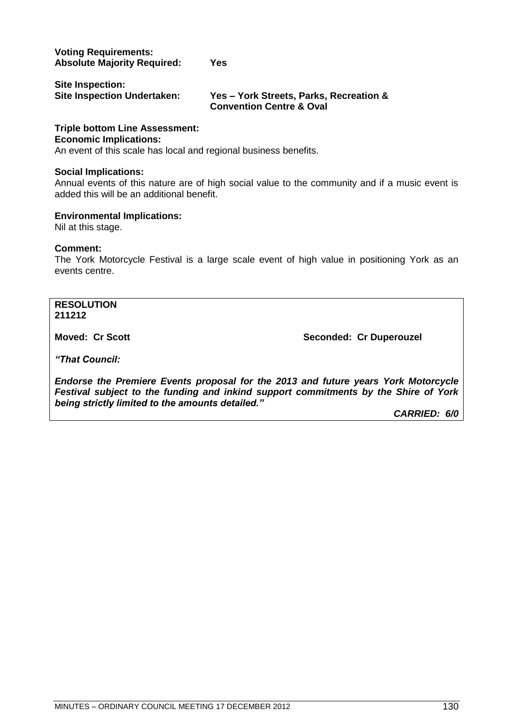### **Voting Requirements: Absolute Majority Required: Yes**

| Site Inspection:                   |               |
|------------------------------------|---------------|
| <b>Site Inspection Undertaken:</b> | Yes - York \$ |
|                                    |               |

**Streets, Parks, Recreation & Convention Centre & Oval**

### **Triple bottom Line Assessment: Economic Implications:**

An event of this scale has local and regional business benefits.

### **Social Implications:**

Annual events of this nature are of high social value to the community and if a music event is added this will be an additional benefit.

### **Environmental Implications:**

Nil at this stage.

### **Comment:**

The York Motorcycle Festival is a large scale event of high value in positioning York as an events centre.

**RESOLUTION 211212**

**Moved: Cr Scott Seconded: Cr Duperouzel** 

*"That Council:*

*Endorse the Premiere Events proposal for the 2013 and future years York Motorcycle Festival subject to the funding and inkind support commitments by the Shire of York being strictly limited to the amounts detailed."*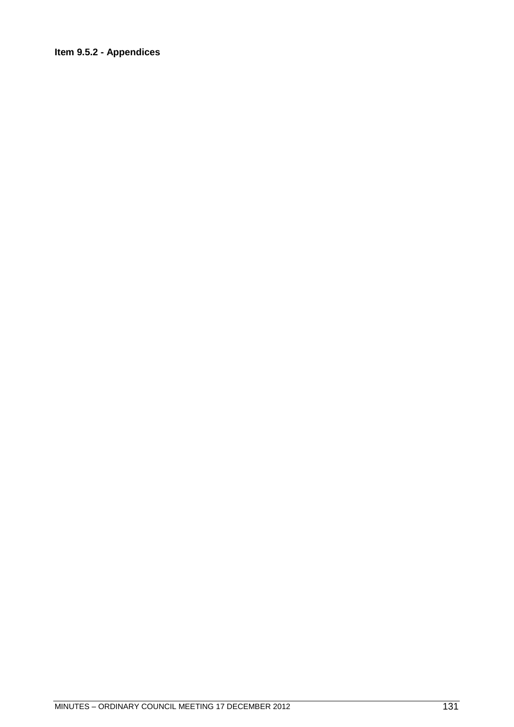### **Item 9.5.2 - Appendices**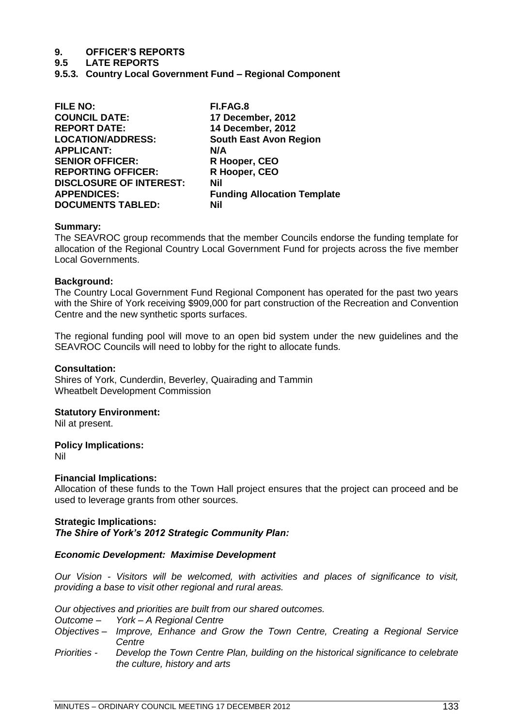# **9. OFFICER'S REPORTS**

**9.5 LATE REPORTS**

**9.5.3. Country Local Government Fund – Regional Component**

| <b>FILE NO:</b>                | FI.FAG.8                           |
|--------------------------------|------------------------------------|
| <b>COUNCIL DATE:</b>           | 17 December, 2012                  |
| <b>REPORT DATE:</b>            | 14 December, 2012                  |
| <b>LOCATION/ADDRESS:</b>       | <b>South East Avon Region</b>      |
| <b>APPLICANT:</b>              | N/A                                |
| <b>SENIOR OFFICER:</b>         | R Hooper, CEO                      |
| <b>REPORTING OFFICER:</b>      | R Hooper, CEO                      |
| <b>DISCLOSURE OF INTEREST:</b> | Nil                                |
| <b>APPENDICES:</b>             | <b>Funding Allocation Template</b> |
| <b>DOCUMENTS TABLED:</b>       | Nil                                |
|                                |                                    |

### **Summary:**

The SEAVROC group recommends that the member Councils endorse the funding template for allocation of the Regional Country Local Government Fund for projects across the five member Local Governments.

### **Background:**

The Country Local Government Fund Regional Component has operated for the past two years with the Shire of York receiving \$909,000 for part construction of the Recreation and Convention Centre and the new synthetic sports surfaces.

The regional funding pool will move to an open bid system under the new guidelines and the SEAVROC Councils will need to lobby for the right to allocate funds.

### **Consultation:**

Shires of York, Cunderdin, Beverley, Quairading and Tammin Wheatbelt Development Commission

### **Statutory Environment:**

Nil at present.

### **Policy Implications:**

Nil

### **Financial Implications:**

Allocation of these funds to the Town Hall project ensures that the project can proceed and be used to leverage grants from other sources.

### **Strategic Implications:** *The Shire of York"s 2012 Strategic Community Plan:*

### *Economic Development: Maximise Development*

*Our Vision - Visitors will be welcomed, with activities and places of significance to visit, providing a base to visit other regional and rural areas.*

*Our objectives and priorities are built from our shared outcomes.*

- *Outcome – York – A Regional Centre*
- *Objectives – Improve, Enhance and Grow the Town Centre, Creating a Regional Service Centre*
- *Priorities - Develop the Town Centre Plan, building on the historical significance to celebrate the culture, history and arts*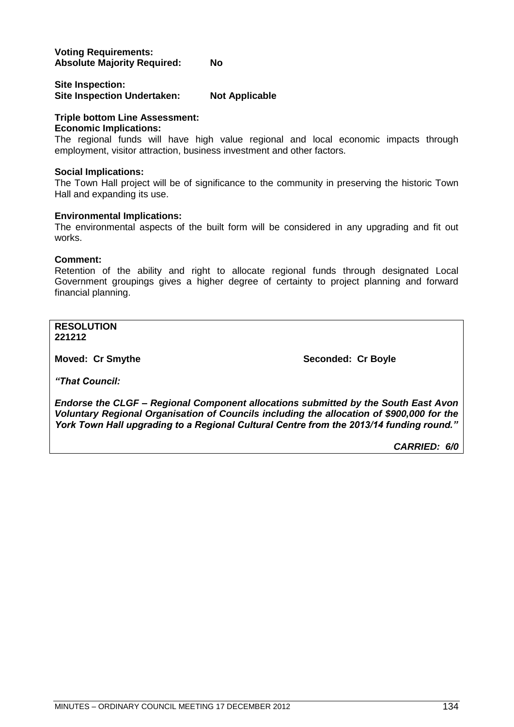### **Voting Requirements: Absolute Majority Required: No**

### **Site Inspection: Site Inspection Undertaken: Not Applicable**

### **Triple bottom Line Assessment:**

### **Economic Implications:**

The regional funds will have high value regional and local economic impacts through employment, visitor attraction, business investment and other factors.

### **Social Implications:**

The Town Hall project will be of significance to the community in preserving the historic Town Hall and expanding its use.

### **Environmental Implications:**

The environmental aspects of the built form will be considered in any upgrading and fit out works.

### **Comment:**

Retention of the ability and right to allocate regional funds through designated Local Government groupings gives a higher degree of certainty to project planning and forward financial planning.

**RESOLUTION 221212**

**Moved: Cr Smythe <b>Seconded: Cr Boyle Seconded: Cr Boyle** 

*"That Council:*

*Endorse the CLGF – Regional Component allocations submitted by the South East Avon Voluntary Regional Organisation of Councils including the allocation of \$900,000 for the York Town Hall upgrading to a Regional Cultural Centre from the 2013/14 funding round."*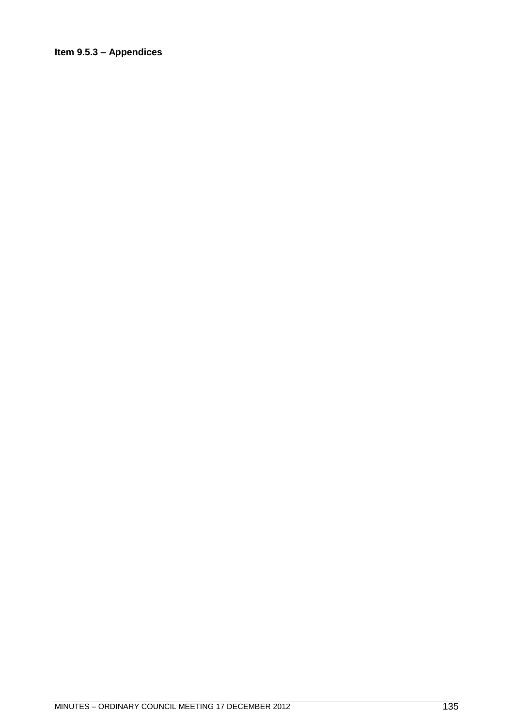### **Item 9.5.3 – Appendices**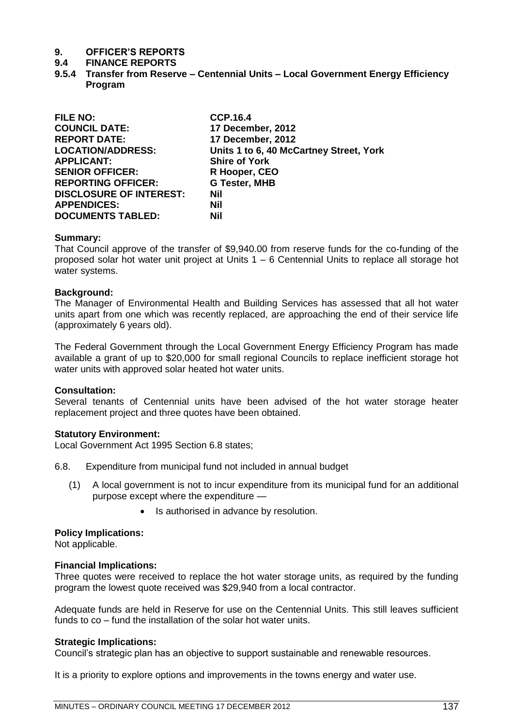## **9. OFFICER'S REPORTS**

### **9.4 FINANCE REPORTS**

**9.5.4 Transfer from Reserve – Centennial Units – Local Government Energy Efficiency Program** 

| <b>FILE NO:</b>                | <b>CCP.16.4</b>                         |
|--------------------------------|-----------------------------------------|
| <b>COUNCIL DATE:</b>           | 17 December, 2012                       |
| <b>REPORT DATE:</b>            | 17 December, 2012                       |
| <b>LOCATION/ADDRESS:</b>       | Units 1 to 6, 40 McCartney Street, York |
| <b>APPLICANT:</b>              | <b>Shire of York</b>                    |
| <b>SENIOR OFFICER:</b>         | R Hooper, CEO                           |
| <b>REPORTING OFFICER:</b>      | <b>G Tester, MHB</b>                    |
| <b>DISCLOSURE OF INTEREST:</b> | Nil                                     |
| <b>APPENDICES:</b>             | Nil                                     |
| <b>DOCUMENTS TABLED:</b>       | <b>Nil</b>                              |

### **Summary:**

That Council approve of the transfer of \$9,940.00 from reserve funds for the co-funding of the proposed solar hot water unit project at Units 1 – 6 Centennial Units to replace all storage hot water systems.

### **Background:**

The Manager of Environmental Health and Building Services has assessed that all hot water units apart from one which was recently replaced, are approaching the end of their service life (approximately 6 years old).

The Federal Government through the Local Government Energy Efficiency Program has made available a grant of up to \$20,000 for small regional Councils to replace inefficient storage hot water units with approved solar heated hot water units.

### **Consultation:**

Several tenants of Centennial units have been advised of the hot water storage heater replacement project and three quotes have been obtained.

### **Statutory Environment:**

Local Government Act 1995 Section 6.8 states;

- 6.8. Expenditure from municipal fund not included in annual budget
	- (1) A local government is not to incur expenditure from its municipal fund for an additional purpose except where the expenditure —
		- Is authorised in advance by resolution.

### **Policy Implications:**

Not applicable.

### **Financial Implications:**

Three quotes were received to replace the hot water storage units, as required by the funding program the lowest quote received was \$29,940 from a local contractor.

Adequate funds are held in Reserve for use on the Centennial Units. This still leaves sufficient funds to co – fund the installation of the solar hot water units.

### **Strategic Implications:**

Council's strategic plan has an objective to support sustainable and renewable resources.

It is a priority to explore options and improvements in the towns energy and water use.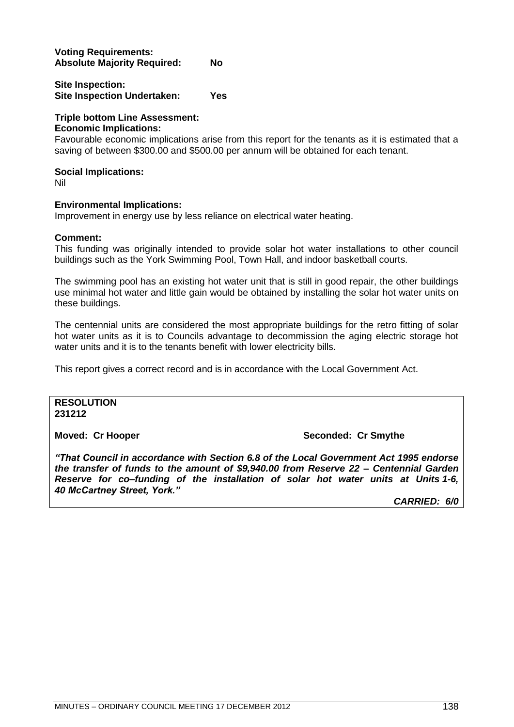### **Voting Requirements: Absolute Majority Required: No**

#### **Site Inspection: Site Inspection Undertaken: Yes**

#### **Triple bottom Line Assessment: Economic Implications:**

Favourable economic implications arise from this report for the tenants as it is estimated that a saving of between \$300.00 and \$500.00 per annum will be obtained for each tenant.

### **Social Implications:**

Nil

### **Environmental Implications:**

Improvement in energy use by less reliance on electrical water heating.

### **Comment:**

This funding was originally intended to provide solar hot water installations to other council buildings such as the York Swimming Pool, Town Hall, and indoor basketball courts.

The swimming pool has an existing hot water unit that is still in good repair, the other buildings use minimal hot water and little gain would be obtained by installing the solar hot water units on these buildings.

The centennial units are considered the most appropriate buildings for the retro fitting of solar hot water units as it is to Councils advantage to decommission the aging electric storage hot water units and it is to the tenants benefit with lower electricity bills.

This report gives a correct record and is in accordance with the Local Government Act.

### **RESOLUTION 231212**

### **Moved: Cr Hooper Seconded: Cr Smythe**

*"That Council in accordance with Section 6.8 of the Local Government Act 1995 endorse the transfer of funds to the amount of \$9,940.00 from Reserve 22 – Centennial Garden Reserve for co–funding of the installation of solar hot water units at Units 1-6, 40 McCartney Street, York."*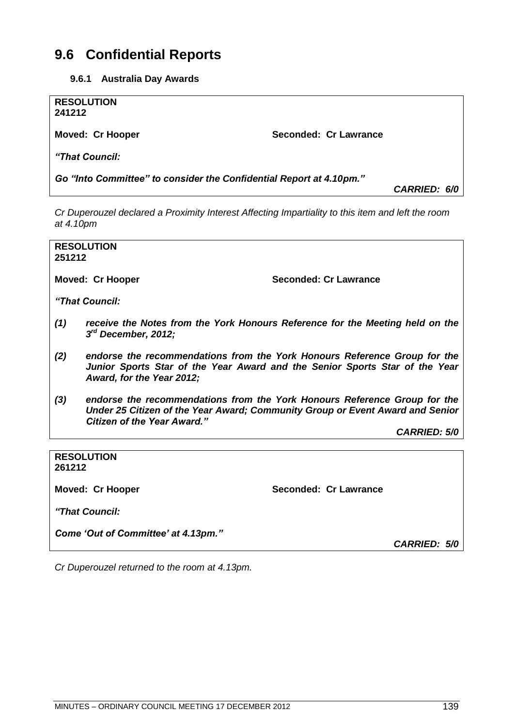## **9.6 Confidential Reports**

| 9.6.1 | <b>Australia Day Awards</b> |
|-------|-----------------------------|
|-------|-----------------------------|

| <b>RESOLUTION</b><br>241212                                         |                       |                     |  |
|---------------------------------------------------------------------|-----------------------|---------------------|--|
| <b>Moved: Cr Hooper</b>                                             | Seconded: Cr Lawrance |                     |  |
| "That Council:                                                      |                       |                     |  |
| Go "Into Committee" to consider the Confidential Report at 4.10pm." |                       | <b>CARRIED: 6/0</b> |  |

*Cr Duperouzel declared a Proximity Interest Affecting Impartiality to this item and left the room at 4.10pm*

**RESOLUTION 251212**

**Moved: Cr Hooper Seconded: Cr Lawrance**

*"That Council:*

- *(1) receive the Notes from the York Honours Reference for the Meeting held on the 3 rd December, 2012;*
- *(2) endorse the recommendations from the York Honours Reference Group for the Junior Sports Star of the Year Award and the Senior Sports Star of the Year Award, for the Year 2012;*
- *(3) endorse the recommendations from the York Honours Reference Group for the Under 25 Citizen of the Year Award; Community Group or Event Award and Senior Citizen of the Year Award."*

*CARRIED: 5/0*

**RESOLUTION 261212**

**Moved: Cr Hooper Seconded: Cr Lawrance**

*"That Council:*

*Come "Out of Committee" at 4.13pm."*

*CARRIED: 5/0*

*Cr Duperouzel returned to the room at 4.13pm.*